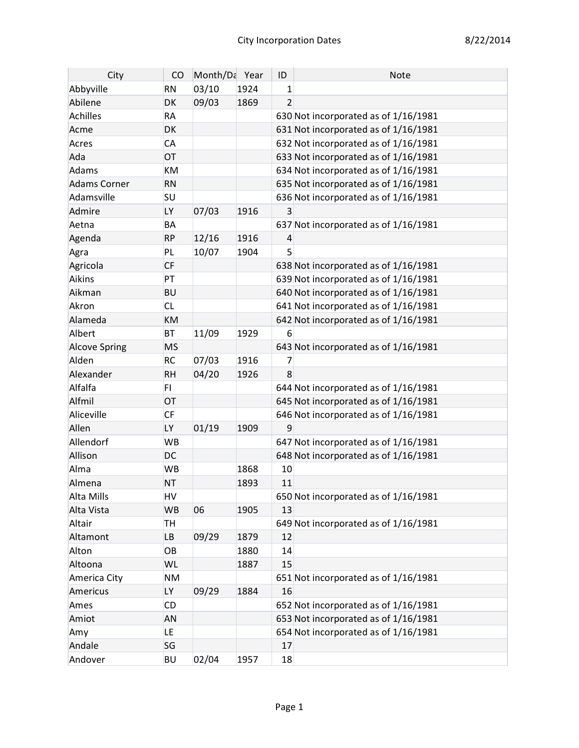| City                 | CO        | Month/Da Year |      | ID             | <b>Note</b>                          |
|----------------------|-----------|---------------|------|----------------|--------------------------------------|
| Abbyville            | <b>RN</b> | 03/10         | 1924 | 1              |                                      |
| Abilene              | DK        | 09/03         | 1869 | $\overline{2}$ |                                      |
| Achilles             | <b>RA</b> |               |      |                | 630 Not incorporated as of 1/16/1981 |
| Acme                 | DK        |               |      |                | 631 Not incorporated as of 1/16/1981 |
| Acres                | <b>CA</b> |               |      |                | 632 Not incorporated as of 1/16/1981 |
| Ada                  | OT        |               |      |                | 633 Not incorporated as of 1/16/1981 |
| Adams                | KM        |               |      |                | 634 Not incorporated as of 1/16/1981 |
| <b>Adams Corner</b>  | <b>RN</b> |               |      |                | 635 Not incorporated as of 1/16/1981 |
| Adamsville           | SU        |               |      |                | 636 Not incorporated as of 1/16/1981 |
| Admire               | LY        | 07/03         | 1916 | 3              |                                      |
| Aetna                | BA        |               |      |                | 637 Not incorporated as of 1/16/1981 |
| Agenda               | <b>RP</b> | 12/16         | 1916 | 4              |                                      |
| Agra                 | PL        | 10/07         | 1904 | 5              |                                      |
| Agricola             | <b>CF</b> |               |      |                | 638 Not incorporated as of 1/16/1981 |
| Aikins               | PT        |               |      |                | 639 Not incorporated as of 1/16/1981 |
| Aikman               | <b>BU</b> |               |      |                | 640 Not incorporated as of 1/16/1981 |
| Akron                | <b>CL</b> |               |      |                | 641 Not incorporated as of 1/16/1981 |
| Alameda              | <b>KM</b> |               |      |                | 642 Not incorporated as of 1/16/1981 |
| Albert               | <b>BT</b> | 11/09         | 1929 | 6              |                                      |
| <b>Alcove Spring</b> | <b>MS</b> |               |      |                | 643 Not incorporated as of 1/16/1981 |
| Alden                | <b>RC</b> | 07/03         | 1916 | 7              |                                      |
| Alexander            | <b>RH</b> | 04/20         | 1926 | 8              |                                      |
| Alfalfa              | FI.       |               |      |                | 644 Not incorporated as of 1/16/1981 |
| Alfmil               | OT        |               |      |                | 645 Not incorporated as of 1/16/1981 |
| Aliceville           | <b>CF</b> |               |      |                | 646 Not incorporated as of 1/16/1981 |
| Allen                | <b>LY</b> | 01/19         | 1909 | 9              |                                      |
| Allendorf            | <b>WB</b> |               |      |                | 647 Not incorporated as of 1/16/1981 |
| Allison              | <b>DC</b> |               |      |                | 648 Not incorporated as of 1/16/1981 |
| Alma                 | <b>WB</b> |               | 1868 | 10             |                                      |
| Almena               | <b>NT</b> |               | 1893 | 11             |                                      |
| Alta Mills           | HV        |               |      |                | 650 Not incorporated as of 1/16/1981 |
| Alta Vista           | <b>WB</b> | 06            | 1905 | 13             |                                      |
| Altair               | <b>TH</b> |               |      |                | 649 Not incorporated as of 1/16/1981 |
| Altamont             | LB        | 09/29         | 1879 | 12             |                                      |
| Alton                | OB        |               | 1880 | 14             |                                      |
| Altoona              | WL        |               | 1887 | 15             |                                      |
| America City         | <b>NM</b> |               |      |                | 651 Not incorporated as of 1/16/1981 |
| Americus             | LY        | 09/29         | 1884 | 16             |                                      |
| Ames                 | CD        |               |      |                | 652 Not incorporated as of 1/16/1981 |
| Amiot                | <b>AN</b> |               |      |                | 653 Not incorporated as of 1/16/1981 |
| Amy                  | LE.       |               |      |                | 654 Not incorporated as of 1/16/1981 |
| Andale               | SG        |               |      | 17             |                                      |
| Andover              | <b>BU</b> | 02/04         | 1957 | 18             |                                      |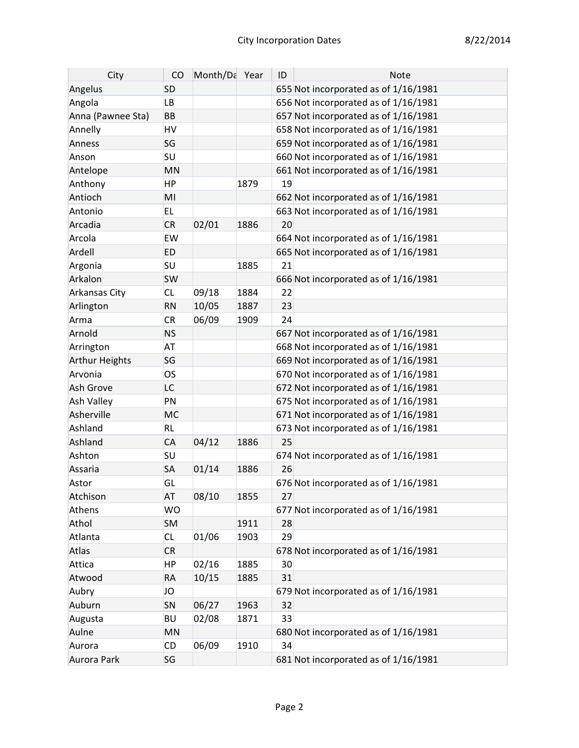| City              | CO        | Month/Da Year |      | ID | <b>Note</b>                          |
|-------------------|-----------|---------------|------|----|--------------------------------------|
| Angelus           | <b>SD</b> |               |      |    | 655 Not incorporated as of 1/16/1981 |
| Angola            | <b>LB</b> |               |      |    | 656 Not incorporated as of 1/16/1981 |
| Anna (Pawnee Sta) | <b>BB</b> |               |      |    | 657 Not incorporated as of 1/16/1981 |
| Annelly           | HV        |               |      |    | 658 Not incorporated as of 1/16/1981 |
| Anness            | SG        |               |      |    | 659 Not incorporated as of 1/16/1981 |
| Anson             | SU        |               |      |    | 660 Not incorporated as of 1/16/1981 |
| Antelope          | MN        |               |      |    | 661 Not incorporated as of 1/16/1981 |
| Anthony           | HP        |               | 1879 | 19 |                                      |
| Antioch           | MI        |               |      |    | 662 Not incorporated as of 1/16/1981 |
| Antonio           | EL.       |               |      |    | 663 Not incorporated as of 1/16/1981 |
| Arcadia           | <b>CR</b> | 02/01         | 1886 | 20 |                                      |
| Arcola            | EW        |               |      |    | 664 Not incorporated as of 1/16/1981 |
| Ardell            | <b>ED</b> |               |      |    | 665 Not incorporated as of 1/16/1981 |
| Argonia           | <b>SU</b> |               | 1885 | 21 |                                      |
| Arkalon           | <b>SW</b> |               |      |    | 666 Not incorporated as of 1/16/1981 |
| Arkansas City     | <b>CL</b> | 09/18         | 1884 | 22 |                                      |
| Arlington         | <b>RN</b> | 10/05         | 1887 | 23 |                                      |
| Arma              | <b>CR</b> | 06/09         | 1909 | 24 |                                      |
| Arnold            | <b>NS</b> |               |      |    | 667 Not incorporated as of 1/16/1981 |
| Arrington         | <b>AT</b> |               |      |    | 668 Not incorporated as of 1/16/1981 |
| Arthur Heights    | SG        |               |      |    | 669 Not incorporated as of 1/16/1981 |
| Arvonia           | OS        |               |      |    | 670 Not incorporated as of 1/16/1981 |
| Ash Grove         | LC        |               |      |    | 672 Not incorporated as of 1/16/1981 |
| Ash Valley        | PN        |               |      |    | 675 Not incorporated as of 1/16/1981 |
| Asherville        | <b>MC</b> |               |      |    | 671 Not incorporated as of 1/16/1981 |
| Ashland           | <b>RL</b> |               |      |    | 673 Not incorporated as of 1/16/1981 |
| Ashland           | <b>CA</b> | 04/12         | 1886 | 25 |                                      |
| Ashton            | SU        |               |      |    | 674 Not incorporated as of 1/16/1981 |
| Assaria           | <b>SA</b> | 01/14         | 1886 | 26 |                                      |
| Astor             | GL        |               |      |    | 676 Not incorporated as of 1/16/1981 |
| Atchison          | <b>AT</b> | 08/10         | 1855 | 27 |                                      |
| Athens            | <b>WO</b> |               |      |    | 677 Not incorporated as of 1/16/1981 |
| Athol             | <b>SM</b> |               | 1911 | 28 |                                      |
| Atlanta           | <b>CL</b> | 01/06         | 1903 | 29 |                                      |
| Atlas             | <b>CR</b> |               |      |    | 678 Not incorporated as of 1/16/1981 |
| Attica            | ΗP        | 02/16         | 1885 | 30 |                                      |
| Atwood            | <b>RA</b> | 10/15         | 1885 | 31 |                                      |
| Aubry             | JO        |               |      |    | 679 Not incorporated as of 1/16/1981 |
| Auburn            | SN        | 06/27         | 1963 | 32 |                                      |
| Augusta           | <b>BU</b> | 02/08         | 1871 | 33 |                                      |
| Aulne             | MN        |               |      |    | 680 Not incorporated as of 1/16/1981 |
| Aurora            | CD        | 06/09         | 1910 | 34 |                                      |
| Aurora Park       | SG        |               |      |    | 681 Not incorporated as of 1/16/1981 |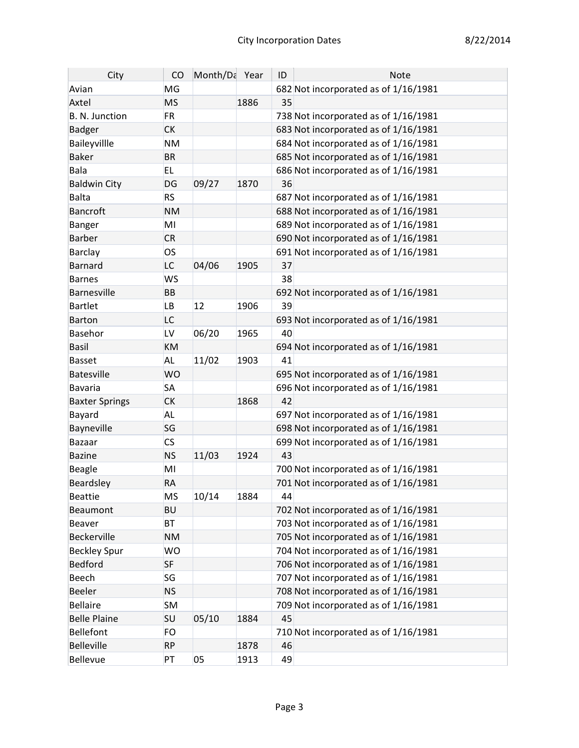| City                  | CO        | Month/Da Year |      | ID | <b>Note</b>                          |
|-----------------------|-----------|---------------|------|----|--------------------------------------|
| Avian                 | MG        |               |      |    | 682 Not incorporated as of 1/16/1981 |
| Axtel                 | <b>MS</b> |               | 1886 | 35 |                                      |
| B. N. Junction        | <b>FR</b> |               |      |    | 738 Not incorporated as of 1/16/1981 |
| <b>Badger</b>         | <b>CK</b> |               |      |    | 683 Not incorporated as of 1/16/1981 |
| Baileyvillle          | <b>NM</b> |               |      |    | 684 Not incorporated as of 1/16/1981 |
| <b>Baker</b>          | <b>BR</b> |               |      |    | 685 Not incorporated as of 1/16/1981 |
| Bala                  | <b>EL</b> |               |      |    | 686 Not incorporated as of 1/16/1981 |
| <b>Baldwin City</b>   | DG        | 09/27         | 1870 | 36 |                                      |
| <b>Balta</b>          | <b>RS</b> |               |      |    | 687 Not incorporated as of 1/16/1981 |
| <b>Bancroft</b>       | <b>NM</b> |               |      |    | 688 Not incorporated as of 1/16/1981 |
| <b>Banger</b>         | MI        |               |      |    | 689 Not incorporated as of 1/16/1981 |
| <b>Barber</b>         | <b>CR</b> |               |      |    | 690 Not incorporated as of 1/16/1981 |
| <b>Barclay</b>        | <b>OS</b> |               |      |    | 691 Not incorporated as of 1/16/1981 |
| <b>Barnard</b>        | <b>LC</b> | 04/06         | 1905 | 37 |                                      |
| <b>Barnes</b>         | <b>WS</b> |               |      | 38 |                                      |
| <b>Barnesville</b>    | <b>BB</b> |               |      |    | 692 Not incorporated as of 1/16/1981 |
| <b>Bartlet</b>        | <b>LB</b> | 12            | 1906 | 39 |                                      |
| <b>Barton</b>         | LC        |               |      |    | 693 Not incorporated as of 1/16/1981 |
| <b>Basehor</b>        | LV        | 06/20         | 1965 | 40 |                                      |
| <b>Basil</b>          | KM        |               |      |    | 694 Not incorporated as of 1/16/1981 |
| <b>Basset</b>         | <b>AL</b> | 11/02         | 1903 | 41 |                                      |
| <b>Batesville</b>     | <b>WO</b> |               |      |    | 695 Not incorporated as of 1/16/1981 |
| <b>Bavaria</b>        | <b>SA</b> |               |      |    | 696 Not incorporated as of 1/16/1981 |
| <b>Baxter Springs</b> | <b>CK</b> |               | 1868 | 42 |                                      |
| Bayard                | <b>AL</b> |               |      |    | 697 Not incorporated as of 1/16/1981 |
| Bayneville            | SG        |               |      |    | 698 Not incorporated as of 1/16/1981 |
| <b>Bazaar</b>         | <b>CS</b> |               |      |    | 699 Not incorporated as of 1/16/1981 |
| <b>Bazine</b>         | <b>NS</b> | 11/03         | 1924 | 43 |                                      |
| Beagle                | MI        |               |      |    | 700 Not incorporated as of 1/16/1981 |
| Beardsley             | <b>RA</b> |               |      |    | 701 Not incorporated as of 1/16/1981 |
| <b>Beattie</b>        | <b>MS</b> | 10/14         | 1884 | 44 |                                      |
| Beaumont              | <b>BU</b> |               |      |    | 702 Not incorporated as of 1/16/1981 |
| Beaver                | <b>BT</b> |               |      |    | 703 Not incorporated as of 1/16/1981 |
| Beckerville           | <b>NM</b> |               |      |    | 705 Not incorporated as of 1/16/1981 |
| <b>Beckley Spur</b>   | <b>WO</b> |               |      |    | 704 Not incorporated as of 1/16/1981 |
| Bedford               | <b>SF</b> |               |      |    | 706 Not incorporated as of 1/16/1981 |
| Beech                 | SG        |               |      |    | 707 Not incorporated as of 1/16/1981 |
| <b>Beeler</b>         | <b>NS</b> |               |      |    | 708 Not incorporated as of 1/16/1981 |
| <b>Bellaire</b>       | <b>SM</b> |               |      |    | 709 Not incorporated as of 1/16/1981 |
| <b>Belle Plaine</b>   | <b>SU</b> | 05/10         | 1884 | 45 |                                      |
| Bellefont             | FO        |               |      |    | 710 Not incorporated as of 1/16/1981 |
| <b>Belleville</b>     | <b>RP</b> |               | 1878 | 46 |                                      |
| <b>Bellevue</b>       | PT        | 05            | 1913 | 49 |                                      |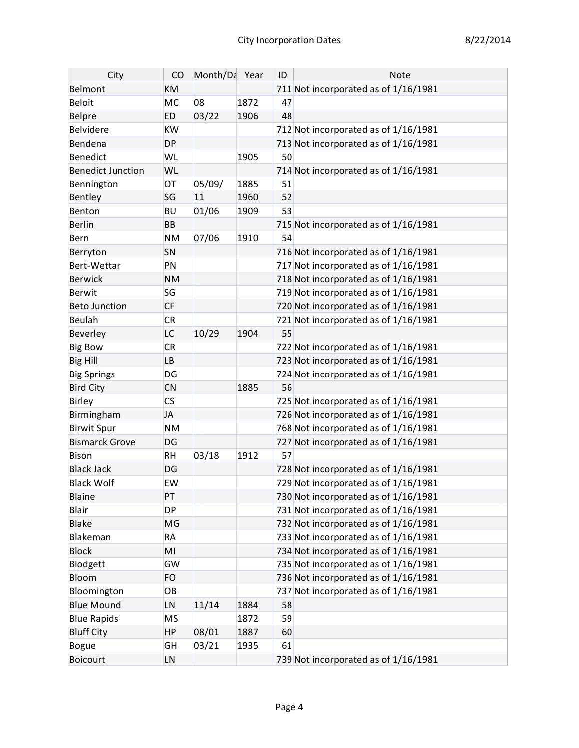| City                     | CO                       | Month/Da Year |      | ID | <b>Note</b>                          |
|--------------------------|--------------------------|---------------|------|----|--------------------------------------|
| Belmont                  | <b>KM</b>                |               |      |    | 711 Not incorporated as of 1/16/1981 |
| <b>Beloit</b>            | <b>MC</b>                | 08            | 1872 | 47 |                                      |
| Belpre                   | <b>ED</b>                | 03/22         | 1906 | 48 |                                      |
| Belvidere                | <b>KW</b>                |               |      |    | 712 Not incorporated as of 1/16/1981 |
| Bendena                  | <b>DP</b>                |               |      |    | 713 Not incorporated as of 1/16/1981 |
| Benedict                 | WL                       |               | 1905 | 50 |                                      |
| <b>Benedict Junction</b> | WL                       |               |      |    | 714 Not incorporated as of 1/16/1981 |
| Bennington               | OT                       | 05/09/        | 1885 | 51 |                                      |
| Bentley                  | SG                       | 11            | 1960 | 52 |                                      |
| Benton                   | <b>BU</b>                | 01/06         | 1909 | 53 |                                      |
| Berlin                   | <b>BB</b>                |               |      |    | 715 Not incorporated as of 1/16/1981 |
| Bern                     | <b>NM</b>                | 07/06         | 1910 | 54 |                                      |
| Berryton                 | SN                       |               |      |    | 716 Not incorporated as of 1/16/1981 |
| Bert-Wettar              | PN                       |               |      |    | 717 Not incorporated as of 1/16/1981 |
| Berwick                  | <b>NM</b>                |               |      |    | 718 Not incorporated as of 1/16/1981 |
| Berwit                   | SG                       |               |      |    | 719 Not incorporated as of 1/16/1981 |
| <b>Beto Junction</b>     | <b>CF</b>                |               |      |    | 720 Not incorporated as of 1/16/1981 |
| Beulah                   | <b>CR</b>                |               |      |    | 721 Not incorporated as of 1/16/1981 |
| Beverley                 | <b>LC</b>                | 10/29         | 1904 | 55 |                                      |
| <b>Big Bow</b>           | <b>CR</b>                |               |      |    | 722 Not incorporated as of 1/16/1981 |
| <b>Big Hill</b>          | <b>LB</b>                |               |      |    | 723 Not incorporated as of 1/16/1981 |
| <b>Big Springs</b>       | DG                       |               |      |    | 724 Not incorporated as of 1/16/1981 |
| <b>Bird City</b>         | <b>CN</b>                |               | 1885 | 56 |                                      |
| Birley                   | $\mathsf{CS}\phantom{0}$ |               |      |    | 725 Not incorporated as of 1/16/1981 |
| Birmingham               | <b>JA</b>                |               |      |    | 726 Not incorporated as of 1/16/1981 |
| <b>Birwit Spur</b>       | <b>NM</b>                |               |      |    | 768 Not incorporated as of 1/16/1981 |
| <b>Bismarck Grove</b>    | DG                       |               |      |    | 727 Not incorporated as of 1/16/1981 |
| Bison                    | <b>RH</b>                | 03/18         | 1912 | 57 |                                      |
| <b>Black Jack</b>        | DG                       |               |      |    | 728 Not incorporated as of 1/16/1981 |
| <b>Black Wolf</b>        | <b>EW</b>                |               |      |    | 729 Not incorporated as of 1/16/1981 |
| Blaine                   | PT                       |               |      |    | 730 Not incorporated as of 1/16/1981 |
| Blair                    | <b>DP</b>                |               |      |    | 731 Not incorporated as of 1/16/1981 |
| <b>Blake</b>             | MG                       |               |      |    | 732 Not incorporated as of 1/16/1981 |
| Blakeman                 | <b>RA</b>                |               |      |    | 733 Not incorporated as of 1/16/1981 |
| <b>Block</b>             | MI                       |               |      |    | 734 Not incorporated as of 1/16/1981 |
| Blodgett                 | GW                       |               |      |    | 735 Not incorporated as of 1/16/1981 |
| Bloom                    | <b>FO</b>                |               |      |    | 736 Not incorporated as of 1/16/1981 |
| Bloomington              | OB                       |               |      |    | 737 Not incorporated as of 1/16/1981 |
| <b>Blue Mound</b>        | LN                       | 11/14         | 1884 | 58 |                                      |
| <b>Blue Rapids</b>       | <b>MS</b>                |               | 1872 | 59 |                                      |
| <b>Bluff City</b>        | <b>HP</b>                | 08/01         | 1887 | 60 |                                      |
| Bogue                    | <b>GH</b>                | 03/21         | 1935 | 61 |                                      |
| Boicourt                 | LN                       |               |      |    | 739 Not incorporated as of 1/16/1981 |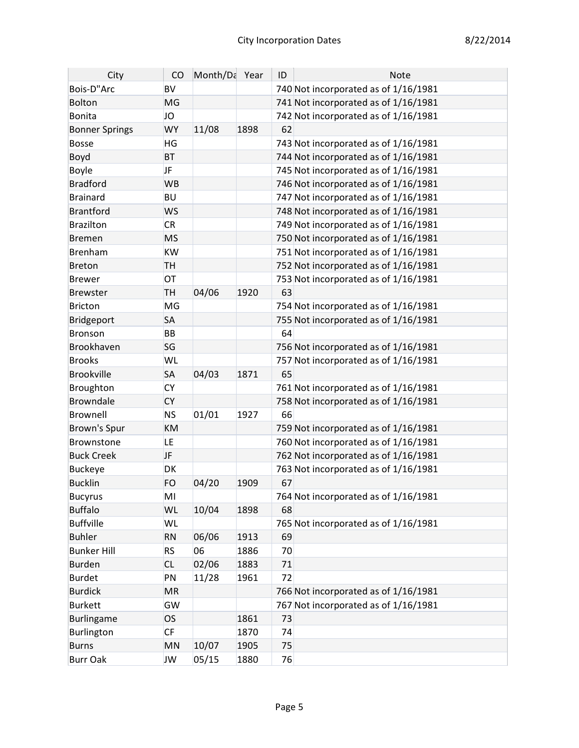| City                  | CO        | Month/Da Year |      | ID | <b>Note</b>                          |
|-----------------------|-----------|---------------|------|----|--------------------------------------|
| Bois-D"Arc            | <b>BV</b> |               |      |    | 740 Not incorporated as of 1/16/1981 |
| Bolton                | MG        |               |      |    | 741 Not incorporated as of 1/16/1981 |
| Bonita                | <b>JO</b> |               |      |    | 742 Not incorporated as of 1/16/1981 |
| <b>Bonner Springs</b> | <b>WY</b> | 11/08         | 1898 | 62 |                                      |
| Bosse                 | HG        |               |      |    | 743 Not incorporated as of 1/16/1981 |
| Boyd                  | <b>BT</b> |               |      |    | 744 Not incorporated as of 1/16/1981 |
| Boyle                 | <b>JF</b> |               |      |    | 745 Not incorporated as of 1/16/1981 |
| Bradford              | <b>WB</b> |               |      |    | 746 Not incorporated as of 1/16/1981 |
| Brainard              | <b>BU</b> |               |      |    | 747 Not incorporated as of 1/16/1981 |
| Brantford             | <b>WS</b> |               |      |    | 748 Not incorporated as of 1/16/1981 |
| Brazilton             | <b>CR</b> |               |      |    | 749 Not incorporated as of 1/16/1981 |
| <b>Bremen</b>         | <b>MS</b> |               |      |    | 750 Not incorporated as of 1/16/1981 |
| Brenham               | <b>KW</b> |               |      |    | 751 Not incorporated as of 1/16/1981 |
| <b>Breton</b>         | TH        |               |      |    | 752 Not incorporated as of 1/16/1981 |
| Brewer                | OT        |               |      |    | 753 Not incorporated as of 1/16/1981 |
| <b>Brewster</b>       | <b>TH</b> | 04/06         | 1920 | 63 |                                      |
| Bricton               | MG        |               |      |    | 754 Not incorporated as of 1/16/1981 |
| Bridgeport            | SA        |               |      |    | 755 Not incorporated as of 1/16/1981 |
| Bronson               | <b>BB</b> |               |      | 64 |                                      |
| Brookhaven            | SG        |               |      |    | 756 Not incorporated as of 1/16/1981 |
| <b>Brooks</b>         | WL        |               |      |    | 757 Not incorporated as of 1/16/1981 |
| <b>Brookville</b>     | SA        | 04/03         | 1871 | 65 |                                      |
| Broughton             | <b>CY</b> |               |      |    | 761 Not incorporated as of 1/16/1981 |
| Browndale             | <b>CY</b> |               |      |    | 758 Not incorporated as of 1/16/1981 |
| Brownell              | <b>NS</b> | 01/01         | 1927 | 66 |                                      |
| Brown's Spur          | KM        |               |      |    | 759 Not incorporated as of 1/16/1981 |
| Brownstone            | LE.       |               |      |    | 760 Not incorporated as of 1/16/1981 |
| <b>Buck Creek</b>     | JF        |               |      |    | 762 Not incorporated as of 1/16/1981 |
| <b>Buckeye</b>        | DK        |               |      |    | 763 Not incorporated as of 1/16/1981 |
| <b>Bucklin</b>        | FO        | 04/20         | 1909 | 67 |                                      |
| <b>Bucyrus</b>        | MI        |               |      |    | 764 Not incorporated as of 1/16/1981 |
| <b>Buffalo</b>        | WL        | 10/04         | 1898 | 68 |                                      |
| Buffville             | WL        |               |      |    | 765 Not incorporated as of 1/16/1981 |
| <b>Buhler</b>         | <b>RN</b> | 06/06         | 1913 | 69 |                                      |
| <b>Bunker Hill</b>    | <b>RS</b> | 06            | 1886 | 70 |                                      |
| Burden                | <b>CL</b> | 02/06         | 1883 | 71 |                                      |
| <b>Burdet</b>         | PN        | 11/28         | 1961 | 72 |                                      |
| <b>Burdick</b>        | <b>MR</b> |               |      |    | 766 Not incorporated as of 1/16/1981 |
| <b>Burkett</b>        | GW        |               |      |    | 767 Not incorporated as of 1/16/1981 |
| Burlingame            | <b>OS</b> |               | 1861 | 73 |                                      |
| Burlington            | CF        |               | 1870 | 74 |                                      |
| <b>Burns</b>          | MN        | 10/07         | 1905 | 75 |                                      |
| <b>Burr Oak</b>       | JW        | 05/15         | 1880 | 76 |                                      |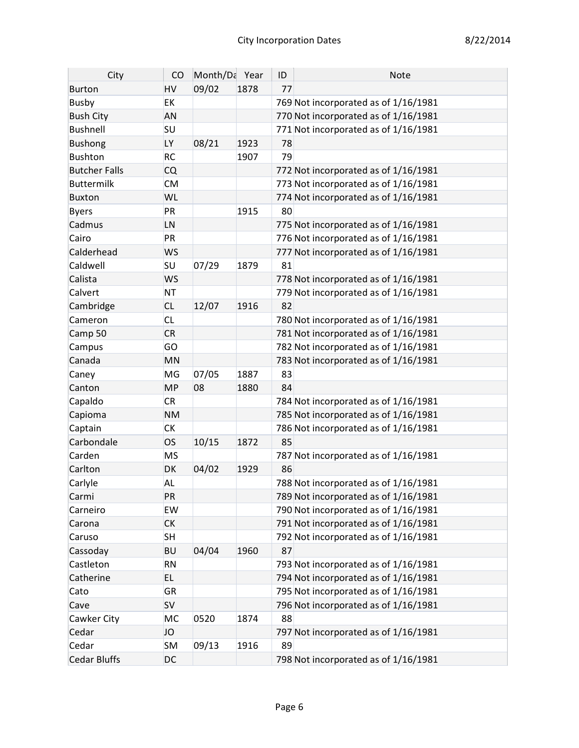| City                 | CO        | Month/Da Year |      | ID | <b>Note</b>                          |
|----------------------|-----------|---------------|------|----|--------------------------------------|
| <b>Burton</b>        | HV        | 09/02         | 1878 | 77 |                                      |
| <b>Busby</b>         | <b>EK</b> |               |      |    | 769 Not incorporated as of 1/16/1981 |
| <b>Bush City</b>     | <b>AN</b> |               |      |    | 770 Not incorporated as of 1/16/1981 |
| <b>Bushnell</b>      | SU        |               |      |    | 771 Not incorporated as of 1/16/1981 |
| <b>Bushong</b>       | LY        | 08/21         | 1923 | 78 |                                      |
| <b>Bushton</b>       | <b>RC</b> |               | 1907 | 79 |                                      |
| <b>Butcher Falls</b> | <b>CQ</b> |               |      |    | 772 Not incorporated as of 1/16/1981 |
| <b>Buttermilk</b>    | <b>CM</b> |               |      |    | 773 Not incorporated as of 1/16/1981 |
| <b>Buxton</b>        | WL        |               |      |    | 774 Not incorporated as of 1/16/1981 |
| <b>Byers</b>         | PR        |               | 1915 | 80 |                                      |
| Cadmus               | LN        |               |      |    | 775 Not incorporated as of 1/16/1981 |
| Cairo                | PR        |               |      |    | 776 Not incorporated as of 1/16/1981 |
| Calderhead           | <b>WS</b> |               |      |    | 777 Not incorporated as of 1/16/1981 |
| Caldwell             | SU        | 07/29         | 1879 | 81 |                                      |
| Calista              | <b>WS</b> |               |      |    | 778 Not incorporated as of 1/16/1981 |
| Calvert              | <b>NT</b> |               |      |    | 779 Not incorporated as of 1/16/1981 |
| Cambridge            | <b>CL</b> | 12/07         | 1916 | 82 |                                      |
| Cameron              | <b>CL</b> |               |      |    | 780 Not incorporated as of 1/16/1981 |
| Camp 50              | <b>CR</b> |               |      |    | 781 Not incorporated as of 1/16/1981 |
| Campus               | GO        |               |      |    | 782 Not incorporated as of 1/16/1981 |
| Canada               | MN        |               |      |    | 783 Not incorporated as of 1/16/1981 |
| Caney                | MG        | 07/05         | 1887 | 83 |                                      |
| Canton               | <b>MP</b> | 08            | 1880 | 84 |                                      |
| Capaldo              | <b>CR</b> |               |      |    | 784 Not incorporated as of 1/16/1981 |
| Capioma              | <b>NM</b> |               |      |    | 785 Not incorporated as of 1/16/1981 |
| Captain              | <b>CK</b> |               |      |    | 786 Not incorporated as of 1/16/1981 |
| Carbondale           | <b>OS</b> | 10/15         | 1872 | 85 |                                      |
| Carden               | <b>MS</b> |               |      |    | 787 Not incorporated as of 1/16/1981 |
| Carlton              | DK        | 04/02         | 1929 | 86 |                                      |
| Carlyle              | <b>AL</b> |               |      |    | 788 Not incorporated as of 1/16/1981 |
| Carmi                | PR        |               |      |    | 789 Not incorporated as of 1/16/1981 |
| Carneiro             | <b>EW</b> |               |      |    | 790 Not incorporated as of 1/16/1981 |
| Carona               | <b>CK</b> |               |      |    | 791 Not incorporated as of 1/16/1981 |
| Caruso               | <b>SH</b> |               |      |    | 792 Not incorporated as of 1/16/1981 |
| Cassoday             | <b>BU</b> | 04/04         | 1960 | 87 |                                      |
| Castleton            | <b>RN</b> |               |      |    | 793 Not incorporated as of 1/16/1981 |
| Catherine            | EL.       |               |      |    | 794 Not incorporated as of 1/16/1981 |
| Cato                 | <b>GR</b> |               |      |    | 795 Not incorporated as of 1/16/1981 |
| Cave                 | <b>SV</b> |               |      |    | 796 Not incorporated as of 1/16/1981 |
| Cawker City          | MC        | 0520          | 1874 | 88 |                                      |
| Cedar                | JO        |               |      |    | 797 Not incorporated as of 1/16/1981 |
| Cedar                | <b>SM</b> | 09/13         | 1916 | 89 |                                      |
| <b>Cedar Bluffs</b>  | <b>DC</b> |               |      |    | 798 Not incorporated as of 1/16/1981 |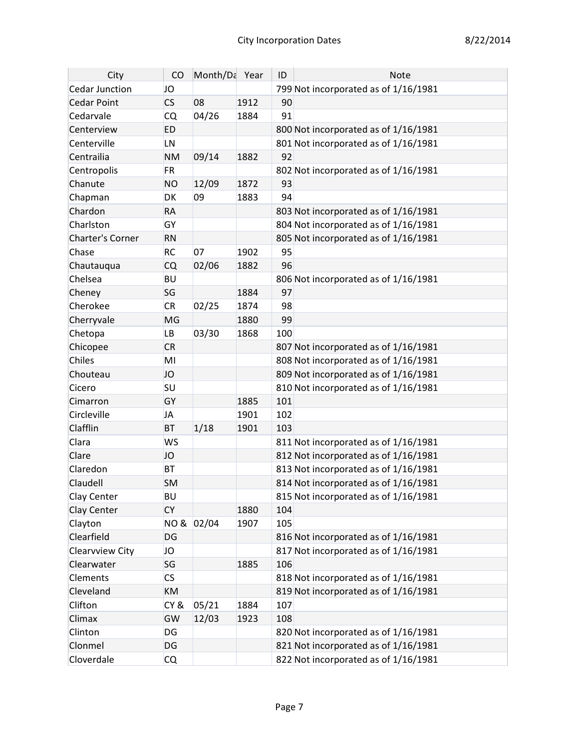| City                    | CO        | Month/Da Year |      | ID  | <b>Note</b>                          |
|-------------------------|-----------|---------------|------|-----|--------------------------------------|
| Cedar Junction          | JO        |               |      |     | 799 Not incorporated as of 1/16/1981 |
| <b>Cedar Point</b>      | <b>CS</b> | 08            | 1912 | 90  |                                      |
| Cedarvale               | <b>CQ</b> | 04/26         | 1884 | 91  |                                      |
| Centerview              | <b>ED</b> |               |      |     | 800 Not incorporated as of 1/16/1981 |
| Centerville             | LN        |               |      |     | 801 Not incorporated as of 1/16/1981 |
| Centrailia              | <b>NM</b> | 09/14         | 1882 | 92  |                                      |
| Centropolis             | <b>FR</b> |               |      |     | 802 Not incorporated as of 1/16/1981 |
| Chanute                 | <b>NO</b> | 12/09         | 1872 | 93  |                                      |
| Chapman                 | DK        | 09            | 1883 | 94  |                                      |
| Chardon                 | <b>RA</b> |               |      |     | 803 Not incorporated as of 1/16/1981 |
| Charlston               | GY        |               |      |     | 804 Not incorporated as of 1/16/1981 |
| <b>Charter's Corner</b> | <b>RN</b> |               |      |     | 805 Not incorporated as of 1/16/1981 |
| Chase                   | <b>RC</b> | 07            | 1902 | 95  |                                      |
| Chautauqua              | <b>CQ</b> | 02/06         | 1882 | 96  |                                      |
| Chelsea                 | <b>BU</b> |               |      |     | 806 Not incorporated as of 1/16/1981 |
| Cheney                  | SG        |               | 1884 | 97  |                                      |
| Cherokee                | <b>CR</b> | 02/25         | 1874 | 98  |                                      |
| Cherryvale              | MG        |               | 1880 | 99  |                                      |
| Chetopa                 | <b>LB</b> | 03/30         | 1868 | 100 |                                      |
| Chicopee                | <b>CR</b> |               |      |     | 807 Not incorporated as of 1/16/1981 |
| Chiles                  | MI        |               |      |     | 808 Not incorporated as of 1/16/1981 |
| Chouteau                | JO        |               |      |     | 809 Not incorporated as of 1/16/1981 |
| Cicero                  | <b>SU</b> |               |      |     | 810 Not incorporated as of 1/16/1981 |
| Cimarron                | GY        |               | 1885 | 101 |                                      |
| Circleville             | <b>JA</b> |               | 1901 | 102 |                                      |
| Clafflin                | <b>BT</b> | 1/18          | 1901 | 103 |                                      |
| Clara                   | <b>WS</b> |               |      |     | 811 Not incorporated as of 1/16/1981 |
| Clare                   | JO        |               |      |     | 812 Not incorporated as of 1/16/1981 |
| Claredon                | <b>BT</b> |               |      |     | 813 Not incorporated as of 1/16/1981 |
| Claudell                | <b>SM</b> |               |      |     | 814 Not incorporated as of 1/16/1981 |
| Clay Center             | BU        |               |      |     | 815 Not incorporated as of 1/16/1981 |
| Clay Center             | <b>CY</b> |               | 1880 | 104 |                                      |
| Clayton                 | NO &      | 02/04         | 1907 | 105 |                                      |
| Clearfield              | DG        |               |      |     | 816 Not incorporated as of 1/16/1981 |
| Clearvview City         | JO        |               |      |     | 817 Not incorporated as of 1/16/1981 |
| Clearwater              | SG        |               | 1885 | 106 |                                      |
| Clements                | <b>CS</b> |               |      |     | 818 Not incorporated as of 1/16/1981 |
| Cleveland               | <b>KM</b> |               |      |     | 819 Not incorporated as of 1/16/1981 |
| Clifton                 | CY&       | 05/21         | 1884 | 107 |                                      |
| Climax                  | GW        | 12/03         | 1923 | 108 |                                      |
| Clinton                 | DG        |               |      |     | 820 Not incorporated as of 1/16/1981 |
| Clonmel                 | DG        |               |      |     | 821 Not incorporated as of 1/16/1981 |
| Cloverdale              | CQ        |               |      |     | 822 Not incorporated as of 1/16/1981 |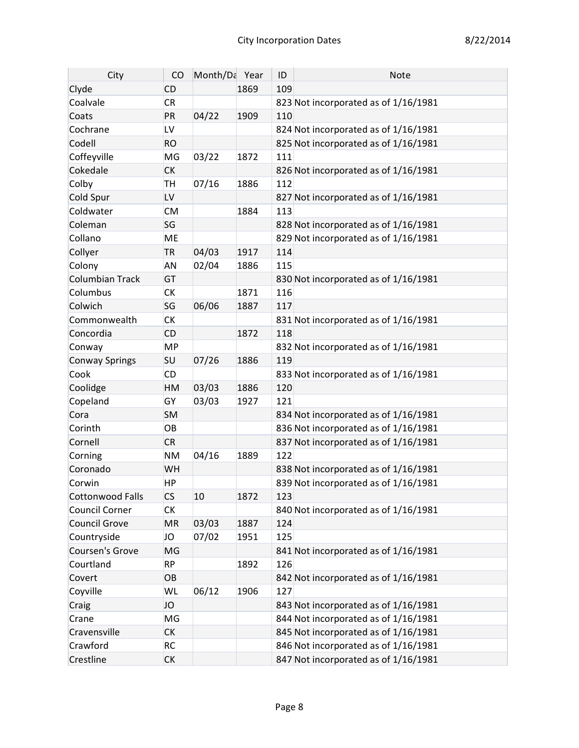| City                   | CO                       | Month/Da Year |      | ID  | Note                                 |
|------------------------|--------------------------|---------------|------|-----|--------------------------------------|
| Clyde                  | <b>CD</b>                |               | 1869 | 109 |                                      |
| Coalvale               | <b>CR</b>                |               |      |     | 823 Not incorporated as of 1/16/1981 |
| Coats                  | PR                       | 04/22         | 1909 | 110 |                                      |
| Cochrane               | LV                       |               |      |     | 824 Not incorporated as of 1/16/1981 |
| Codell                 | <b>RO</b>                |               |      |     | 825 Not incorporated as of 1/16/1981 |
| Coffeyville            | MG                       | 03/22         | 1872 | 111 |                                      |
| Cokedale               | <b>CK</b>                |               |      |     | 826 Not incorporated as of 1/16/1981 |
| Colby                  | <b>TH</b>                | 07/16         | 1886 | 112 |                                      |
| Cold Spur              | LV                       |               |      |     | 827 Not incorporated as of 1/16/1981 |
| Coldwater              | <b>CM</b>                |               | 1884 | 113 |                                      |
| Coleman                | SG                       |               |      |     | 828 Not incorporated as of 1/16/1981 |
| Collano                | <b>ME</b>                |               |      |     | 829 Not incorporated as of 1/16/1981 |
| Collyer                | <b>TR</b>                | 04/03         | 1917 | 114 |                                      |
| Colony                 | <b>AN</b>                | 02/04         | 1886 | 115 |                                      |
| <b>Columbian Track</b> | GT                       |               |      |     | 830 Not incorporated as of 1/16/1981 |
| Columbus               | <b>CK</b>                |               | 1871 | 116 |                                      |
| Colwich                | SG                       | 06/06         | 1887 | 117 |                                      |
| Commonwealth           | <b>CK</b>                |               |      |     | 831 Not incorporated as of 1/16/1981 |
| Concordia              | <b>CD</b>                |               | 1872 | 118 |                                      |
| Conway                 | <b>MP</b>                |               |      |     | 832 Not incorporated as of 1/16/1981 |
| <b>Conway Springs</b>  | <b>SU</b>                | 07/26         | 1886 | 119 |                                      |
| Cook                   | <b>CD</b>                |               |      |     | 833 Not incorporated as of 1/16/1981 |
| Coolidge               | HM                       | 03/03         | 1886 | 120 |                                      |
| Copeland               | GY                       | 03/03         | 1927 | 121 |                                      |
| Cora                   | <b>SM</b>                |               |      |     | 834 Not incorporated as of 1/16/1981 |
| Corinth                | OB                       |               |      |     | 836 Not incorporated as of 1/16/1981 |
| Cornell                | <b>CR</b>                |               |      |     | 837 Not incorporated as of 1/16/1981 |
| Corning                | <b>NM</b>                | 04/16         | 1889 | 122 |                                      |
| Coronado               | WH                       |               |      |     | 838 Not incorporated as of 1/16/1981 |
| Corwin                 | HP                       |               |      |     | 839 Not incorporated as of 1/16/1981 |
| Cottonwood Falls       | $\mathsf{CS}\phantom{0}$ | 10            | 1872 | 123 |                                      |
| <b>Council Corner</b>  | СK                       |               |      |     | 840 Not incorporated as of 1/16/1981 |
| Council Grove          | <b>MR</b>                | 03/03         | 1887 | 124 |                                      |
| Countryside            | JO                       | 07/02         | 1951 | 125 |                                      |
| Coursen's Grove        | MG                       |               |      |     | 841 Not incorporated as of 1/16/1981 |
| Courtland              | <b>RP</b>                |               | 1892 | 126 |                                      |
| Covert                 | OB                       |               |      |     | 842 Not incorporated as of 1/16/1981 |
| Coyville               | WL                       | 06/12         | 1906 | 127 |                                      |
| Craig                  | JO                       |               |      |     | 843 Not incorporated as of 1/16/1981 |
| Crane                  | MG                       |               |      |     | 844 Not incorporated as of 1/16/1981 |
| Cravensville           | <b>CK</b>                |               |      |     | 845 Not incorporated as of 1/16/1981 |
| Crawford               | <b>RC</b>                |               |      |     | 846 Not incorporated as of 1/16/1981 |
| Crestline              | <b>CK</b>                |               |      |     | 847 Not incorporated as of 1/16/1981 |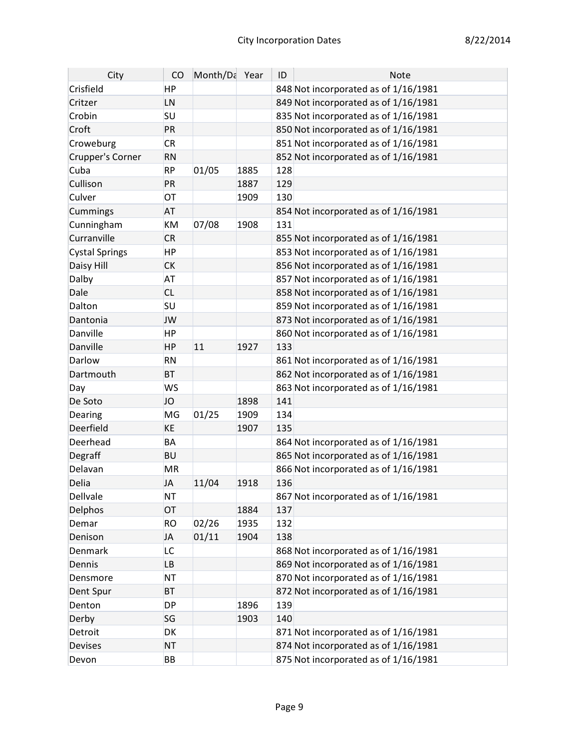| City                  | CO        | Month/Da Year |      | ID  | Note                                 |
|-----------------------|-----------|---------------|------|-----|--------------------------------------|
| Crisfield             | HP        |               |      |     | 848 Not incorporated as of 1/16/1981 |
| Critzer               | LN        |               |      |     | 849 Not incorporated as of 1/16/1981 |
| Crobin                | SU        |               |      |     | 835 Not incorporated as of 1/16/1981 |
| Croft                 | PR        |               |      |     | 850 Not incorporated as of 1/16/1981 |
| Croweburg             | <b>CR</b> |               |      |     | 851 Not incorporated as of 1/16/1981 |
| Crupper's Corner      | <b>RN</b> |               |      |     | 852 Not incorporated as of 1/16/1981 |
| Cuba                  | <b>RP</b> | 01/05         | 1885 | 128 |                                      |
| Cullison              | PR        |               | 1887 | 129 |                                      |
| Culver                | OT        |               | 1909 | 130 |                                      |
| Cummings              | <b>AT</b> |               |      |     | 854 Not incorporated as of 1/16/1981 |
| Cunningham            | KM        | 07/08         | 1908 | 131 |                                      |
| Curranville           | <b>CR</b> |               |      |     | 855 Not incorporated as of 1/16/1981 |
| <b>Cystal Springs</b> | <b>HP</b> |               |      |     | 853 Not incorporated as of 1/16/1981 |
| Daisy Hill            | <b>CK</b> |               |      |     | 856 Not incorporated as of 1/16/1981 |
| Dalby                 | <b>AT</b> |               |      |     | 857 Not incorporated as of 1/16/1981 |
| Dale                  | <b>CL</b> |               |      |     | 858 Not incorporated as of 1/16/1981 |
| Dalton                | SU        |               |      |     | 859 Not incorporated as of 1/16/1981 |
| Dantonia              | <b>JW</b> |               |      |     | 873 Not incorporated as of 1/16/1981 |
| Danville              | <b>HP</b> |               |      |     | 860 Not incorporated as of 1/16/1981 |
| Danville              | <b>HP</b> | 11            | 1927 | 133 |                                      |
| Darlow                | <b>RN</b> |               |      |     | 861 Not incorporated as of 1/16/1981 |
| Dartmouth             | <b>BT</b> |               |      |     | 862 Not incorporated as of 1/16/1981 |
| Day                   | <b>WS</b> |               |      |     | 863 Not incorporated as of 1/16/1981 |
| De Soto               | JO        |               | 1898 | 141 |                                      |
| Dearing               | MG        | 01/25         | 1909 | 134 |                                      |
| Deerfield             | KE        |               | 1907 | 135 |                                      |
| Deerhead              | BA        |               |      |     | 864 Not incorporated as of 1/16/1981 |
| Degraff               | <b>BU</b> |               |      |     | 865 Not incorporated as of 1/16/1981 |
| Delavan               | <b>MR</b> |               |      |     | 866 Not incorporated as of 1/16/1981 |
| Delia                 | <b>JA</b> | 11/04         | 1918 | 136 |                                      |
| Dellvale              | NΤ        |               |      |     | 867 Not incorporated as of 1/16/1981 |
| Delphos               | OT        |               | 1884 | 137 |                                      |
| Demar                 | <b>RO</b> | 02/26         | 1935 | 132 |                                      |
| Denison               | <b>JA</b> | 01/11         | 1904 | 138 |                                      |
| Denmark               | LC        |               |      |     | 868 Not incorporated as of 1/16/1981 |
| Dennis                | <b>LB</b> |               |      |     | 869 Not incorporated as of 1/16/1981 |
| Densmore              | <b>NT</b> |               |      |     | 870 Not incorporated as of 1/16/1981 |
| Dent Spur             | <b>BT</b> |               |      |     | 872 Not incorporated as of 1/16/1981 |
| Denton                | <b>DP</b> |               | 1896 | 139 |                                      |
| Derby                 | SG        |               | 1903 | 140 |                                      |
| Detroit               | DK        |               |      |     | 871 Not incorporated as of 1/16/1981 |
| <b>Devises</b>        | <b>NT</b> |               |      |     | 874 Not incorporated as of 1/16/1981 |
| Devon                 | BB        |               |      |     | 875 Not incorporated as of 1/16/1981 |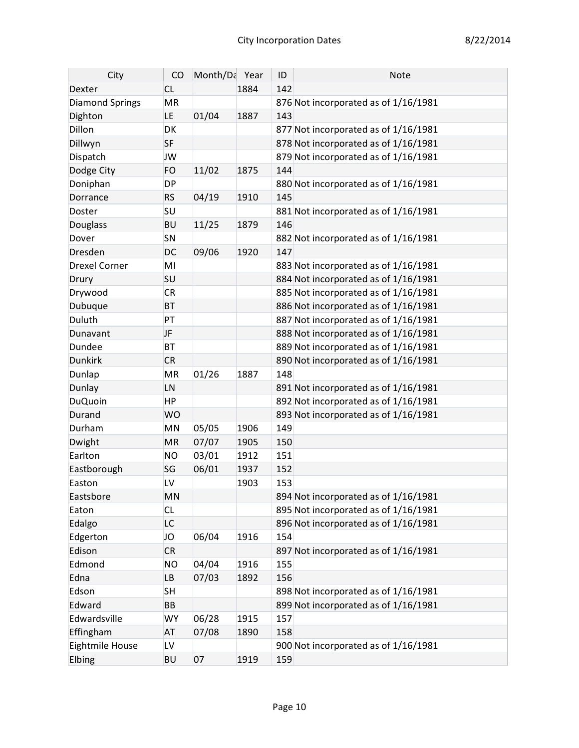| 142<br><b>CL</b><br>1884<br>Dexter<br>Diamond Springs<br><b>MR</b><br>876 Not incorporated as of 1/16/1981<br>01/04<br>1887<br>Dighton<br>LE<br>143<br>Dillon<br>DK<br>877 Not incorporated as of 1/16/1981<br>878 Not incorporated as of 1/16/1981<br>Dillwyn<br><b>SF</b><br><b>JW</b><br>879 Not incorporated as of 1/16/1981<br>Dispatch<br>Dodge City<br><b>FO</b><br>11/02<br>1875<br>144<br>Doniphan<br><b>DP</b><br>880 Not incorporated as of 1/16/1981<br>04/19<br><b>RS</b><br>1910<br>145<br>Dorrance<br>SU<br>881 Not incorporated as of 1/16/1981<br>Doster<br><b>BU</b><br>Douglass<br>11/25<br>1879<br>146<br>Dover<br>SN<br>882 Not incorporated as of 1/16/1981<br>DC<br>09/06<br>1920<br>Dresden<br>147<br>MI<br>883 Not incorporated as of 1/16/1981<br><b>Drexel Corner</b><br>SU<br>884 Not incorporated as of 1/16/1981<br>Drury<br><b>CR</b><br>885 Not incorporated as of 1/16/1981<br>Drywood<br>Dubuque<br><b>BT</b><br>886 Not incorporated as of 1/16/1981<br>Duluth<br>PT<br>887 Not incorporated as of 1/16/1981<br>JF<br>888 Not incorporated as of 1/16/1981<br>Dunavant<br>889 Not incorporated as of 1/16/1981<br>Dundee<br><b>BT</b><br><b>Dunkirk</b><br><b>CR</b><br>890 Not incorporated as of 1/16/1981 | City | CO | Month/Da Year | ID | <b>Note</b> |
|-------------------------------------------------------------------------------------------------------------------------------------------------------------------------------------------------------------------------------------------------------------------------------------------------------------------------------------------------------------------------------------------------------------------------------------------------------------------------------------------------------------------------------------------------------------------------------------------------------------------------------------------------------------------------------------------------------------------------------------------------------------------------------------------------------------------------------------------------------------------------------------------------------------------------------------------------------------------------------------------------------------------------------------------------------------------------------------------------------------------------------------------------------------------------------------------------------------------------------------------------|------|----|---------------|----|-------------|
|                                                                                                                                                                                                                                                                                                                                                                                                                                                                                                                                                                                                                                                                                                                                                                                                                                                                                                                                                                                                                                                                                                                                                                                                                                                 |      |    |               |    |             |
|                                                                                                                                                                                                                                                                                                                                                                                                                                                                                                                                                                                                                                                                                                                                                                                                                                                                                                                                                                                                                                                                                                                                                                                                                                                 |      |    |               |    |             |
|                                                                                                                                                                                                                                                                                                                                                                                                                                                                                                                                                                                                                                                                                                                                                                                                                                                                                                                                                                                                                                                                                                                                                                                                                                                 |      |    |               |    |             |
|                                                                                                                                                                                                                                                                                                                                                                                                                                                                                                                                                                                                                                                                                                                                                                                                                                                                                                                                                                                                                                                                                                                                                                                                                                                 |      |    |               |    |             |
|                                                                                                                                                                                                                                                                                                                                                                                                                                                                                                                                                                                                                                                                                                                                                                                                                                                                                                                                                                                                                                                                                                                                                                                                                                                 |      |    |               |    |             |
|                                                                                                                                                                                                                                                                                                                                                                                                                                                                                                                                                                                                                                                                                                                                                                                                                                                                                                                                                                                                                                                                                                                                                                                                                                                 |      |    |               |    |             |
|                                                                                                                                                                                                                                                                                                                                                                                                                                                                                                                                                                                                                                                                                                                                                                                                                                                                                                                                                                                                                                                                                                                                                                                                                                                 |      |    |               |    |             |
|                                                                                                                                                                                                                                                                                                                                                                                                                                                                                                                                                                                                                                                                                                                                                                                                                                                                                                                                                                                                                                                                                                                                                                                                                                                 |      |    |               |    |             |
|                                                                                                                                                                                                                                                                                                                                                                                                                                                                                                                                                                                                                                                                                                                                                                                                                                                                                                                                                                                                                                                                                                                                                                                                                                                 |      |    |               |    |             |
|                                                                                                                                                                                                                                                                                                                                                                                                                                                                                                                                                                                                                                                                                                                                                                                                                                                                                                                                                                                                                                                                                                                                                                                                                                                 |      |    |               |    |             |
|                                                                                                                                                                                                                                                                                                                                                                                                                                                                                                                                                                                                                                                                                                                                                                                                                                                                                                                                                                                                                                                                                                                                                                                                                                                 |      |    |               |    |             |
|                                                                                                                                                                                                                                                                                                                                                                                                                                                                                                                                                                                                                                                                                                                                                                                                                                                                                                                                                                                                                                                                                                                                                                                                                                                 |      |    |               |    |             |
|                                                                                                                                                                                                                                                                                                                                                                                                                                                                                                                                                                                                                                                                                                                                                                                                                                                                                                                                                                                                                                                                                                                                                                                                                                                 |      |    |               |    |             |
|                                                                                                                                                                                                                                                                                                                                                                                                                                                                                                                                                                                                                                                                                                                                                                                                                                                                                                                                                                                                                                                                                                                                                                                                                                                 |      |    |               |    |             |
|                                                                                                                                                                                                                                                                                                                                                                                                                                                                                                                                                                                                                                                                                                                                                                                                                                                                                                                                                                                                                                                                                                                                                                                                                                                 |      |    |               |    |             |
|                                                                                                                                                                                                                                                                                                                                                                                                                                                                                                                                                                                                                                                                                                                                                                                                                                                                                                                                                                                                                                                                                                                                                                                                                                                 |      |    |               |    |             |
|                                                                                                                                                                                                                                                                                                                                                                                                                                                                                                                                                                                                                                                                                                                                                                                                                                                                                                                                                                                                                                                                                                                                                                                                                                                 |      |    |               |    |             |
|                                                                                                                                                                                                                                                                                                                                                                                                                                                                                                                                                                                                                                                                                                                                                                                                                                                                                                                                                                                                                                                                                                                                                                                                                                                 |      |    |               |    |             |
|                                                                                                                                                                                                                                                                                                                                                                                                                                                                                                                                                                                                                                                                                                                                                                                                                                                                                                                                                                                                                                                                                                                                                                                                                                                 |      |    |               |    |             |
|                                                                                                                                                                                                                                                                                                                                                                                                                                                                                                                                                                                                                                                                                                                                                                                                                                                                                                                                                                                                                                                                                                                                                                                                                                                 |      |    |               |    |             |
|                                                                                                                                                                                                                                                                                                                                                                                                                                                                                                                                                                                                                                                                                                                                                                                                                                                                                                                                                                                                                                                                                                                                                                                                                                                 |      |    |               |    |             |
| Dunlap<br><b>MR</b><br>01/26<br>1887<br>148                                                                                                                                                                                                                                                                                                                                                                                                                                                                                                                                                                                                                                                                                                                                                                                                                                                                                                                                                                                                                                                                                                                                                                                                     |      |    |               |    |             |
| Dunlay<br>LN<br>891 Not incorporated as of 1/16/1981                                                                                                                                                                                                                                                                                                                                                                                                                                                                                                                                                                                                                                                                                                                                                                                                                                                                                                                                                                                                                                                                                                                                                                                            |      |    |               |    |             |
| 892 Not incorporated as of 1/16/1981<br><b>DuQuoin</b><br><b>HP</b>                                                                                                                                                                                                                                                                                                                                                                                                                                                                                                                                                                                                                                                                                                                                                                                                                                                                                                                                                                                                                                                                                                                                                                             |      |    |               |    |             |
| 893 Not incorporated as of 1/16/1981<br>Durand<br><b>WO</b>                                                                                                                                                                                                                                                                                                                                                                                                                                                                                                                                                                                                                                                                                                                                                                                                                                                                                                                                                                                                                                                                                                                                                                                     |      |    |               |    |             |
| 05/05<br>Durham<br>MN<br>1906<br>149                                                                                                                                                                                                                                                                                                                                                                                                                                                                                                                                                                                                                                                                                                                                                                                                                                                                                                                                                                                                                                                                                                                                                                                                            |      |    |               |    |             |
| Dwight<br>07/07<br>1905<br>150<br><b>MR</b>                                                                                                                                                                                                                                                                                                                                                                                                                                                                                                                                                                                                                                                                                                                                                                                                                                                                                                                                                                                                                                                                                                                                                                                                     |      |    |               |    |             |
| Earlton<br>03/01<br><b>NO</b><br>1912<br>151                                                                                                                                                                                                                                                                                                                                                                                                                                                                                                                                                                                                                                                                                                                                                                                                                                                                                                                                                                                                                                                                                                                                                                                                    |      |    |               |    |             |
| 06/01<br>152<br>Eastborough<br>SG<br>1937                                                                                                                                                                                                                                                                                                                                                                                                                                                                                                                                                                                                                                                                                                                                                                                                                                                                                                                                                                                                                                                                                                                                                                                                       |      |    |               |    |             |
| LV<br>1903<br>153<br>Easton                                                                                                                                                                                                                                                                                                                                                                                                                                                                                                                                                                                                                                                                                                                                                                                                                                                                                                                                                                                                                                                                                                                                                                                                                     |      |    |               |    |             |
| 894 Not incorporated as of 1/16/1981<br>MN<br>Eastsbore                                                                                                                                                                                                                                                                                                                                                                                                                                                                                                                                                                                                                                                                                                                                                                                                                                                                                                                                                                                                                                                                                                                                                                                         |      |    |               |    |             |
| 895 Not incorporated as of 1/16/1981<br>Eaton<br><b>CL</b>                                                                                                                                                                                                                                                                                                                                                                                                                                                                                                                                                                                                                                                                                                                                                                                                                                                                                                                                                                                                                                                                                                                                                                                      |      |    |               |    |             |
| 896 Not incorporated as of 1/16/1981<br>Edalgo<br>LC                                                                                                                                                                                                                                                                                                                                                                                                                                                                                                                                                                                                                                                                                                                                                                                                                                                                                                                                                                                                                                                                                                                                                                                            |      |    |               |    |             |
| Edgerton<br>06/04<br>154<br>JO<br>1916                                                                                                                                                                                                                                                                                                                                                                                                                                                                                                                                                                                                                                                                                                                                                                                                                                                                                                                                                                                                                                                                                                                                                                                                          |      |    |               |    |             |
| Edison<br><b>CR</b><br>897 Not incorporated as of 1/16/1981                                                                                                                                                                                                                                                                                                                                                                                                                                                                                                                                                                                                                                                                                                                                                                                                                                                                                                                                                                                                                                                                                                                                                                                     |      |    |               |    |             |
| Edmond<br>04/04<br>1916<br><b>NO</b><br>155                                                                                                                                                                                                                                                                                                                                                                                                                                                                                                                                                                                                                                                                                                                                                                                                                                                                                                                                                                                                                                                                                                                                                                                                     |      |    |               |    |             |
| 07/03<br>Edna<br>156<br><b>LB</b><br>1892                                                                                                                                                                                                                                                                                                                                                                                                                                                                                                                                                                                                                                                                                                                                                                                                                                                                                                                                                                                                                                                                                                                                                                                                       |      |    |               |    |             |
| Edson<br><b>SH</b><br>898 Not incorporated as of 1/16/1981                                                                                                                                                                                                                                                                                                                                                                                                                                                                                                                                                                                                                                                                                                                                                                                                                                                                                                                                                                                                                                                                                                                                                                                      |      |    |               |    |             |
| Edward<br>899 Not incorporated as of 1/16/1981<br>BB                                                                                                                                                                                                                                                                                                                                                                                                                                                                                                                                                                                                                                                                                                                                                                                                                                                                                                                                                                                                                                                                                                                                                                                            |      |    |               |    |             |
| Edwardsville<br><b>WY</b><br>06/28<br>1915<br>157                                                                                                                                                                                                                                                                                                                                                                                                                                                                                                                                                                                                                                                                                                                                                                                                                                                                                                                                                                                                                                                                                                                                                                                               |      |    |               |    |             |
| Effingham<br>07/08<br>1890<br>158<br><b>AT</b>                                                                                                                                                                                                                                                                                                                                                                                                                                                                                                                                                                                                                                                                                                                                                                                                                                                                                                                                                                                                                                                                                                                                                                                                  |      |    |               |    |             |
| Eightmile House<br>LV<br>900 Not incorporated as of 1/16/1981                                                                                                                                                                                                                                                                                                                                                                                                                                                                                                                                                                                                                                                                                                                                                                                                                                                                                                                                                                                                                                                                                                                                                                                   |      |    |               |    |             |
| Elbing<br><b>BU</b><br>07<br>1919<br>159                                                                                                                                                                                                                                                                                                                                                                                                                                                                                                                                                                                                                                                                                                                                                                                                                                                                                                                                                                                                                                                                                                                                                                                                        |      |    |               |    |             |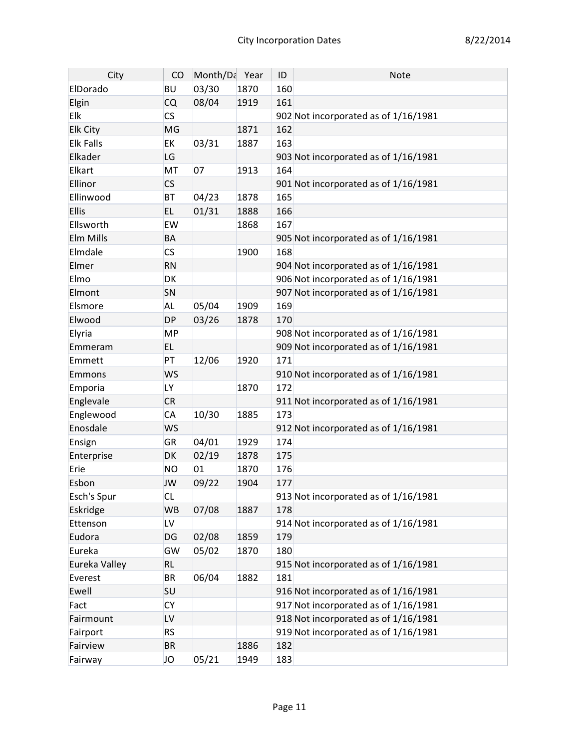| City             | CO        | Month/Da Year |      | ID  | <b>Note</b>                          |
|------------------|-----------|---------------|------|-----|--------------------------------------|
| ElDorado         | <b>BU</b> | 03/30         | 1870 | 160 |                                      |
| Elgin            | <b>CQ</b> | 08/04         | 1919 | 161 |                                      |
| Elk              | <b>CS</b> |               |      |     | 902 Not incorporated as of 1/16/1981 |
| Elk City         | <b>MG</b> |               | 1871 | 162 |                                      |
| <b>Elk Falls</b> | <b>EK</b> | 03/31         | 1887 | 163 |                                      |
| Elkader          | LG        |               |      |     | 903 Not incorporated as of 1/16/1981 |
| Elkart           | MT        | 07            | 1913 | 164 |                                      |
| Ellinor          | <b>CS</b> |               |      |     | 901 Not incorporated as of 1/16/1981 |
| Ellinwood        | <b>BT</b> | 04/23         | 1878 | 165 |                                      |
| <b>Ellis</b>     | EL.       | 01/31         | 1888 | 166 |                                      |
| Ellsworth        | EW        |               | 1868 | 167 |                                      |
| Elm Mills        | <b>BA</b> |               |      |     | 905 Not incorporated as of 1/16/1981 |
| Elmdale          | <b>CS</b> |               | 1900 | 168 |                                      |
| Elmer            | <b>RN</b> |               |      |     | 904 Not incorporated as of 1/16/1981 |
| Elmo             | <b>DK</b> |               |      |     | 906 Not incorporated as of 1/16/1981 |
| Elmont           | SN        |               |      |     | 907 Not incorporated as of 1/16/1981 |
| Elsmore          | <b>AL</b> | 05/04         | 1909 | 169 |                                      |
| Elwood           | <b>DP</b> | 03/26         | 1878 | 170 |                                      |
| Elyria           | <b>MP</b> |               |      |     | 908 Not incorporated as of 1/16/1981 |
| Emmeram          | EL.       |               |      |     | 909 Not incorporated as of 1/16/1981 |
| Emmett           | PT        | 12/06         | 1920 | 171 |                                      |
| Emmons           | <b>WS</b> |               |      |     | 910 Not incorporated as of 1/16/1981 |
| Emporia          | LY.       |               | 1870 | 172 |                                      |
| Englevale        | <b>CR</b> |               |      |     | 911 Not incorporated as of 1/16/1981 |
| Englewood        | <b>CA</b> | 10/30         | 1885 | 173 |                                      |
| Enosdale         | <b>WS</b> |               |      |     | 912 Not incorporated as of 1/16/1981 |
| Ensign           | <b>GR</b> | 04/01         | 1929 | 174 |                                      |
| Enterprise       | <b>DK</b> | 02/19         | 1878 | 175 |                                      |
| Erie             | <b>NO</b> | 01            | 1870 | 176 |                                      |
| Esbon            | JW        | 09/22         | 1904 | 177 |                                      |
| Esch's Spur      | <b>CL</b> |               |      |     | 913 Not incorporated as of 1/16/1981 |
| Eskridge         | <b>WB</b> | 07/08         | 1887 | 178 |                                      |
| Ettenson         | LV        |               |      |     | 914 Not incorporated as of 1/16/1981 |
| Eudora           | DG        | 02/08         | 1859 | 179 |                                      |
| Eureka           | GW        | 05/02         | 1870 | 180 |                                      |
| Eureka Valley    | <b>RL</b> |               |      |     | 915 Not incorporated as of 1/16/1981 |
| Everest          | <b>BR</b> | 06/04         | 1882 | 181 |                                      |
| Ewell            | <b>SU</b> |               |      |     | 916 Not incorporated as of 1/16/1981 |
| Fact             | <b>CY</b> |               |      |     | 917 Not incorporated as of 1/16/1981 |
| Fairmount        | LV        |               |      |     | 918 Not incorporated as of 1/16/1981 |
| Fairport         | <b>RS</b> |               |      |     | 919 Not incorporated as of 1/16/1981 |
| Fairview         | <b>BR</b> |               | 1886 | 182 |                                      |
| Fairway          | JO        | 05/21         | 1949 | 183 |                                      |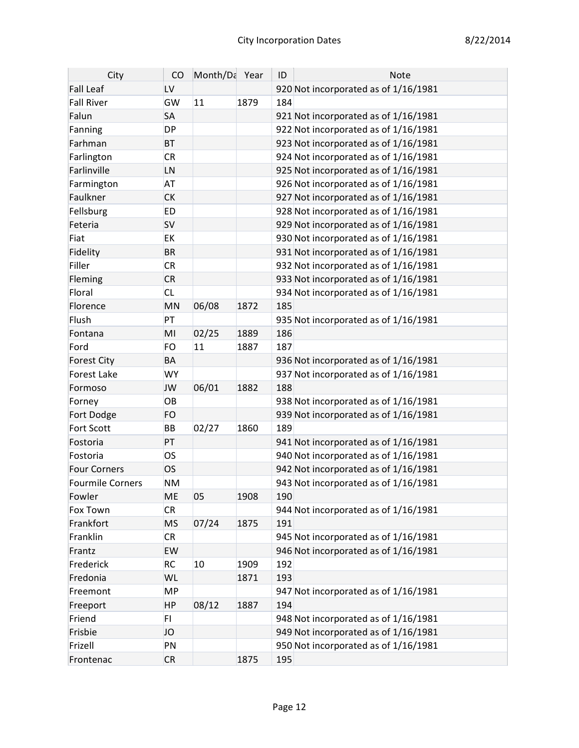| City                | CO             | Month/Da Year |      | ID  | Note                                 |
|---------------------|----------------|---------------|------|-----|--------------------------------------|
| <b>Fall Leaf</b>    | LV             |               |      |     | 920 Not incorporated as of 1/16/1981 |
| <b>Fall River</b>   | GW             | 11            | 1879 | 184 |                                      |
| Falun               | SA             |               |      |     | 921 Not incorporated as of 1/16/1981 |
| Fanning             | <b>DP</b>      |               |      |     | 922 Not incorporated as of 1/16/1981 |
| Farhman             | <b>BT</b>      |               |      |     | 923 Not incorporated as of 1/16/1981 |
| Farlington          | <b>CR</b>      |               |      |     | 924 Not incorporated as of 1/16/1981 |
| Farlinville         | LN             |               |      |     | 925 Not incorporated as of 1/16/1981 |
| Farmington          | <b>AT</b>      |               |      |     | 926 Not incorporated as of 1/16/1981 |
| Faulkner            | <b>CK</b>      |               |      |     | 927 Not incorporated as of 1/16/1981 |
| Fellsburg           | <b>ED</b>      |               |      |     | 928 Not incorporated as of 1/16/1981 |
| Feteria             | <b>SV</b>      |               |      |     | 929 Not incorporated as of 1/16/1981 |
| Fiat                | EK             |               |      |     | 930 Not incorporated as of 1/16/1981 |
| Fidelity            | <b>BR</b>      |               |      |     | 931 Not incorporated as of 1/16/1981 |
| Filler              | <b>CR</b>      |               |      |     | 932 Not incorporated as of 1/16/1981 |
| Fleming             | <b>CR</b>      |               |      |     | 933 Not incorporated as of 1/16/1981 |
| Floral              | <b>CL</b>      |               |      |     | 934 Not incorporated as of 1/16/1981 |
| Florence            | MN             | 06/08         | 1872 | 185 |                                      |
| Flush               | PT             |               |      |     | 935 Not incorporated as of 1/16/1981 |
| Fontana             | MI             | 02/25         | 1889 | 186 |                                      |
| Ford                | FO             | 11            | 1887 | 187 |                                      |
| <b>Forest City</b>  | <b>BA</b>      |               |      |     | 936 Not incorporated as of 1/16/1981 |
| <b>Forest Lake</b>  | <b>WY</b>      |               |      |     | 937 Not incorporated as of 1/16/1981 |
| Formoso             | <b>JW</b>      | 06/01         | 1882 | 188 |                                      |
| Forney              | OB             |               |      |     | 938 Not incorporated as of 1/16/1981 |
| Fort Dodge          | FO             |               |      |     | 939 Not incorporated as of 1/16/1981 |
| <b>Fort Scott</b>   | BB             | 02/27         | 1860 | 189 |                                      |
| Fostoria            | PT             |               |      |     | 941 Not incorporated as of 1/16/1981 |
| Fostoria            | <b>OS</b>      |               |      |     | 940 Not incorporated as of 1/16/1981 |
| <b>Four Corners</b> | <b>OS</b>      |               |      |     | 942 Not incorporated as of 1/16/1981 |
| Fourmile Corners    | <b>NM</b>      |               |      |     | 943 Not incorporated as of 1/16/1981 |
| Fowler              | ME             | 05            | 1908 | 190 |                                      |
| Fox Town            | <b>CR</b>      |               |      |     | 944 Not incorporated as of 1/16/1981 |
| Frankfort           | <b>MS</b>      | 07/24         | 1875 | 191 |                                      |
| Franklin            | <b>CR</b>      |               |      |     | 945 Not incorporated as of 1/16/1981 |
| Frantz              | EW             |               |      |     | 946 Not incorporated as of 1/16/1981 |
| Frederick           | <b>RC</b>      | 10            | 1909 | 192 |                                      |
| Fredonia            | WL             |               | 1871 | 193 |                                      |
| Freemont            | <b>MP</b>      |               |      |     | 947 Not incorporated as of 1/16/1981 |
| Freeport            | <b>HP</b>      | 08/12         | 1887 | 194 |                                      |
| Friend              | F <sub>1</sub> |               |      |     | 948 Not incorporated as of 1/16/1981 |
| Frisbie             | JO             |               |      |     | 949 Not incorporated as of 1/16/1981 |
| Frizell             | PN             |               |      |     | 950 Not incorporated as of 1/16/1981 |
| Frontenac           | <b>CR</b>      |               | 1875 | 195 |                                      |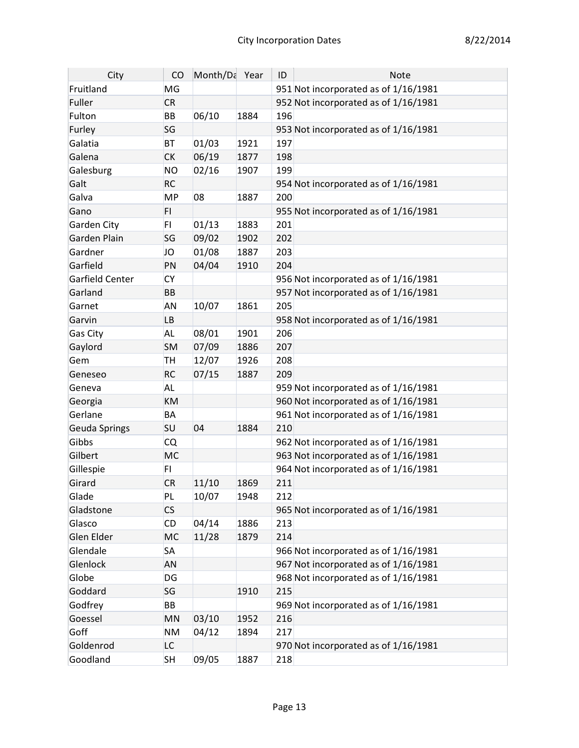| City                 | CO        | Month/Da Year |      | ID  | <b>Note</b>                          |
|----------------------|-----------|---------------|------|-----|--------------------------------------|
| Fruitland            | MG        |               |      |     | 951 Not incorporated as of 1/16/1981 |
| Fuller               | <b>CR</b> |               |      |     | 952 Not incorporated as of 1/16/1981 |
| Fulton               | <b>BB</b> | 06/10         | 1884 | 196 |                                      |
| Furley               | SG        |               |      |     | 953 Not incorporated as of 1/16/1981 |
| Galatia              | <b>BT</b> | 01/03         | 1921 | 197 |                                      |
| Galena               | <b>CK</b> | 06/19         | 1877 | 198 |                                      |
| Galesburg            | <b>NO</b> | 02/16         | 1907 | 199 |                                      |
| Galt                 | <b>RC</b> |               |      |     | 954 Not incorporated as of 1/16/1981 |
| Galva                | <b>MP</b> | 08            | 1887 | 200 |                                      |
| Gano                 | FI.       |               |      |     | 955 Not incorporated as of 1/16/1981 |
| Garden City          | FI.       | 01/13         | 1883 | 201 |                                      |
| Garden Plain         | SG        | 09/02         | 1902 | 202 |                                      |
| Gardner              | JO        | 01/08         | 1887 | 203 |                                      |
| Garfield             | PN        | 04/04         | 1910 | 204 |                                      |
| Garfield Center      | <b>CY</b> |               |      |     | 956 Not incorporated as of 1/16/1981 |
| Garland              | <b>BB</b> |               |      |     | 957 Not incorporated as of 1/16/1981 |
| Garnet               | <b>AN</b> | 10/07         | 1861 | 205 |                                      |
| Garvin               | <b>LB</b> |               |      |     | 958 Not incorporated as of 1/16/1981 |
| Gas City             | <b>AL</b> | 08/01         | 1901 | 206 |                                      |
| Gaylord              | <b>SM</b> | 07/09         | 1886 | 207 |                                      |
| Gem                  | <b>TH</b> | 12/07         | 1926 | 208 |                                      |
| Geneseo              | <b>RC</b> | 07/15         | 1887 | 209 |                                      |
| Geneva               | <b>AL</b> |               |      |     | 959 Not incorporated as of 1/16/1981 |
| Georgia              | KM        |               |      |     | 960 Not incorporated as of 1/16/1981 |
| Gerlane              | BA        |               |      |     | 961 Not incorporated as of 1/16/1981 |
| <b>Geuda Springs</b> | <b>SU</b> | 04            | 1884 | 210 |                                      |
| Gibbs                | <b>CQ</b> |               |      |     | 962 Not incorporated as of 1/16/1981 |
| Gilbert              | <b>MC</b> |               |      |     | 963 Not incorporated as of 1/16/1981 |
| Gillespie            | FI.       |               |      |     | 964 Not incorporated as of 1/16/1981 |
| Girard               | <b>CR</b> | 11/10         | 1869 | 211 |                                      |
| Glade                | PL        | 10/07         | 1948 | 212 |                                      |
| Gladstone            | <b>CS</b> |               |      |     | 965 Not incorporated as of 1/16/1981 |
| Glasco               | CD        | 04/14         | 1886 | 213 |                                      |
| Glen Elder           | MC        | 11/28         | 1879 | 214 |                                      |
| Glendale             | <b>SA</b> |               |      |     | 966 Not incorporated as of 1/16/1981 |
| Glenlock             | AN        |               |      |     | 967 Not incorporated as of 1/16/1981 |
| Globe                | DG        |               |      |     | 968 Not incorporated as of 1/16/1981 |
| Goddard              | SG        |               | 1910 | 215 |                                      |
| Godfrey              | BB        |               |      |     | 969 Not incorporated as of 1/16/1981 |
| Goessel              | MN        | 03/10         | 1952 | 216 |                                      |
| Goff                 | <b>NM</b> | 04/12         | 1894 | 217 |                                      |
| Goldenrod            | LC        |               |      |     | 970 Not incorporated as of 1/16/1981 |
| Goodland             | <b>SH</b> | 09/05         | 1887 | 218 |                                      |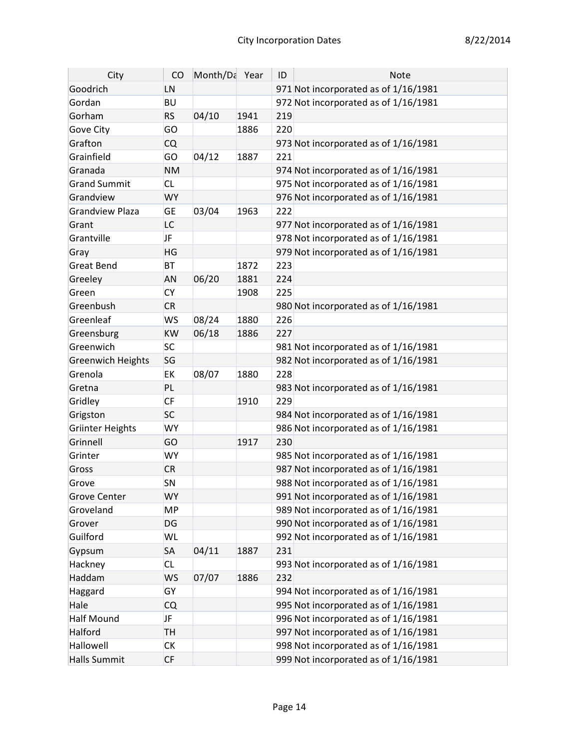| City                     | CO        | Month/Da Year |      | ID  | <b>Note</b>                          |
|--------------------------|-----------|---------------|------|-----|--------------------------------------|
| Goodrich                 | LN        |               |      |     | 971 Not incorporated as of 1/16/1981 |
| Gordan                   | <b>BU</b> |               |      |     | 972 Not incorporated as of 1/16/1981 |
| Gorham                   | <b>RS</b> | 04/10         | 1941 | 219 |                                      |
| Gove City                | GO        |               | 1886 | 220 |                                      |
| Grafton                  | <b>CQ</b> |               |      |     | 973 Not incorporated as of 1/16/1981 |
| Grainfield               | GO        | 04/12         | 1887 | 221 |                                      |
| Granada                  | <b>NM</b> |               |      |     | 974 Not incorporated as of 1/16/1981 |
| <b>Grand Summit</b>      | <b>CL</b> |               |      |     | 975 Not incorporated as of 1/16/1981 |
| Grandview                | <b>WY</b> |               |      |     | 976 Not incorporated as of 1/16/1981 |
| <b>Grandview Plaza</b>   | <b>GE</b> | 03/04         | 1963 | 222 |                                      |
| Grant                    | LC        |               |      |     | 977 Not incorporated as of 1/16/1981 |
| Grantville               | <b>JF</b> |               |      |     | 978 Not incorporated as of 1/16/1981 |
| Gray                     | HG        |               |      |     | 979 Not incorporated as of 1/16/1981 |
| <b>Great Bend</b>        | <b>BT</b> |               | 1872 | 223 |                                      |
| Greeley                  | <b>AN</b> | 06/20         | 1881 | 224 |                                      |
| Green                    | <b>CY</b> |               | 1908 | 225 |                                      |
| Greenbush                | <b>CR</b> |               |      |     | 980 Not incorporated as of 1/16/1981 |
| Greenleaf                | <b>WS</b> | 08/24         | 1880 | 226 |                                      |
| Greensburg               | KW        | 06/18         | 1886 | 227 |                                      |
| Greenwich                | <b>SC</b> |               |      |     | 981 Not incorporated as of 1/16/1981 |
| <b>Greenwich Heights</b> | SG        |               |      |     | 982 Not incorporated as of 1/16/1981 |
| Grenola                  | EK        | 08/07         | 1880 | 228 |                                      |
| Gretna                   | PL        |               |      |     | 983 Not incorporated as of 1/16/1981 |
| Gridley                  | <b>CF</b> |               | 1910 | 229 |                                      |
| Grigston                 | <b>SC</b> |               |      |     | 984 Not incorporated as of 1/16/1981 |
| <b>Griinter Heights</b>  | <b>WY</b> |               |      |     | 986 Not incorporated as of 1/16/1981 |
| Grinnell                 | GO        |               | 1917 | 230 |                                      |
| Grinter                  | <b>WY</b> |               |      |     | 985 Not incorporated as of 1/16/1981 |
| Gross                    | <b>CR</b> |               |      |     | 987 Not incorporated as of 1/16/1981 |
| Grove                    | SN        |               |      |     | 988 Not incorporated as of 1/16/1981 |
| <b>Grove Center</b>      | <b>WY</b> |               |      |     | 991 Not incorporated as of 1/16/1981 |
| Groveland                | MP        |               |      |     | 989 Not incorporated as of 1/16/1981 |
| Grover                   | DG        |               |      |     | 990 Not incorporated as of 1/16/1981 |
| Guilford                 | WL        |               |      |     | 992 Not incorporated as of 1/16/1981 |
| Gypsum                   | <b>SA</b> | 04/11         | 1887 | 231 |                                      |
| Hackney                  | <b>CL</b> |               |      |     | 993 Not incorporated as of 1/16/1981 |
| Haddam                   | <b>WS</b> | 07/07         | 1886 | 232 |                                      |
| Haggard                  | GY        |               |      |     | 994 Not incorporated as of 1/16/1981 |
| Hale                     | <b>CQ</b> |               |      |     | 995 Not incorporated as of 1/16/1981 |
| Half Mound               | <b>JF</b> |               |      |     | 996 Not incorporated as of 1/16/1981 |
| Halford                  | <b>TH</b> |               |      |     | 997 Not incorporated as of 1/16/1981 |
| Hallowell                | СK        |               |      |     | 998 Not incorporated as of 1/16/1981 |
| <b>Halls Summit</b>      | <b>CF</b> |               |      |     | 999 Not incorporated as of 1/16/1981 |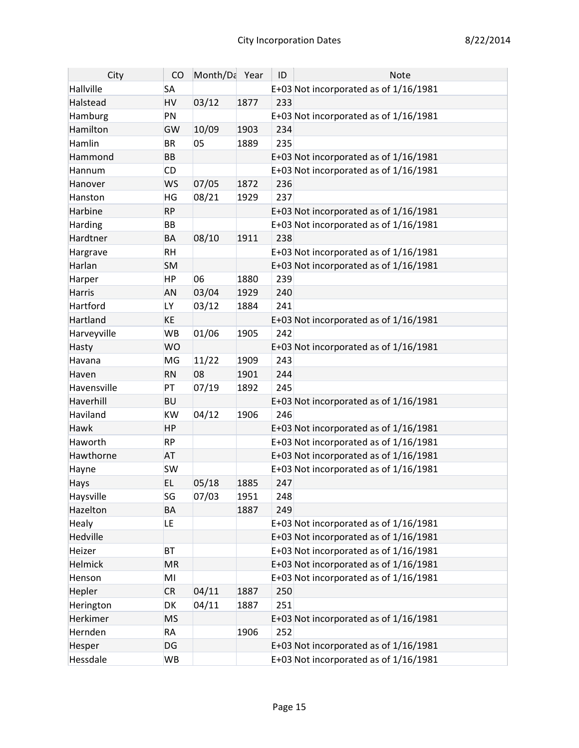| City          | CO             | Month/Da Year |      | ID  | <b>Note</b>                           |
|---------------|----------------|---------------|------|-----|---------------------------------------|
| Hallville     | <b>SA</b>      |               |      |     | E+03 Not incorporated as of 1/16/1981 |
| Halstead      | <b>HV</b>      | 03/12         | 1877 | 233 |                                       |
| Hamburg       | PN             |               |      |     | E+03 Not incorporated as of 1/16/1981 |
| Hamilton      | GW             | 10/09         | 1903 | 234 |                                       |
| Hamlin        | <b>BR</b>      | 05            | 1889 | 235 |                                       |
| Hammond       | <b>BB</b>      |               |      |     | E+03 Not incorporated as of 1/16/1981 |
| Hannum        | <b>CD</b>      |               |      |     | E+03 Not incorporated as of 1/16/1981 |
| Hanover       | <b>WS</b>      | 07/05         | 1872 | 236 |                                       |
| Hanston       | HG             | 08/21         | 1929 | 237 |                                       |
| Harbine       | <b>RP</b>      |               |      |     | E+03 Not incorporated as of 1/16/1981 |
| Harding       | <b>BB</b>      |               |      |     | E+03 Not incorporated as of 1/16/1981 |
| Hardtner      | <b>BA</b>      | 08/10         | 1911 | 238 |                                       |
| Hargrave      | <b>RH</b>      |               |      |     | E+03 Not incorporated as of 1/16/1981 |
| Harlan        | <b>SM</b>      |               |      |     | E+03 Not incorporated as of 1/16/1981 |
| Harper        | <b>HP</b>      | 06            | 1880 | 239 |                                       |
| <b>Harris</b> | <b>AN</b>      | 03/04         | 1929 | 240 |                                       |
| Hartford      | LY <sub></sub> | 03/12         | 1884 | 241 |                                       |
| Hartland      | <b>KE</b>      |               |      |     | E+03 Not incorporated as of 1/16/1981 |
| Harveyville   | <b>WB</b>      | 01/06         | 1905 | 242 |                                       |
| Hasty         | <b>WO</b>      |               |      |     | E+03 Not incorporated as of 1/16/1981 |
| Havana        | MG             | 11/22         | 1909 | 243 |                                       |
| Haven         | <b>RN</b>      | 08            | 1901 | 244 |                                       |
| Havensville   | PT             | 07/19         | 1892 | 245 |                                       |
| Haverhill     | <b>BU</b>      |               |      |     | E+03 Not incorporated as of 1/16/1981 |
| Haviland      | <b>KW</b>      | 04/12         | 1906 | 246 |                                       |
| Hawk          | <b>HP</b>      |               |      |     | E+03 Not incorporated as of 1/16/1981 |
| Haworth       | <b>RP</b>      |               |      |     | E+03 Not incorporated as of 1/16/1981 |
| Hawthorne     | <b>AT</b>      |               |      |     | E+03 Not incorporated as of 1/16/1981 |
| Hayne         | <b>SW</b>      |               |      |     | E+03 Not incorporated as of 1/16/1981 |
| Hays          | <b>EL</b>      | 05/18         | 1885 | 247 |                                       |
| Haysville     | SG             | 07/03         | 1951 | 248 |                                       |
| Hazelton      | <b>BA</b>      |               | 1887 | 249 |                                       |
| Healy         | LE             |               |      |     | E+03 Not incorporated as of 1/16/1981 |
| Hedville      |                |               |      |     | E+03 Not incorporated as of 1/16/1981 |
| Heizer        | <b>BT</b>      |               |      |     | E+03 Not incorporated as of 1/16/1981 |
| Helmick       | <b>MR</b>      |               |      |     | E+03 Not incorporated as of 1/16/1981 |
| Henson        | MI             |               |      |     | E+03 Not incorporated as of 1/16/1981 |
| Hepler        | <b>CR</b>      | 04/11         | 1887 | 250 |                                       |
| Herington     | DK             | 04/11         | 1887 | 251 |                                       |
| Herkimer      | <b>MS</b>      |               |      |     | E+03 Not incorporated as of 1/16/1981 |
| Hernden       | <b>RA</b>      |               | 1906 | 252 |                                       |
| Hesper        | <b>DG</b>      |               |      |     | E+03 Not incorporated as of 1/16/1981 |
| Hessdale      | <b>WB</b>      |               |      |     | E+03 Not incorporated as of 1/16/1981 |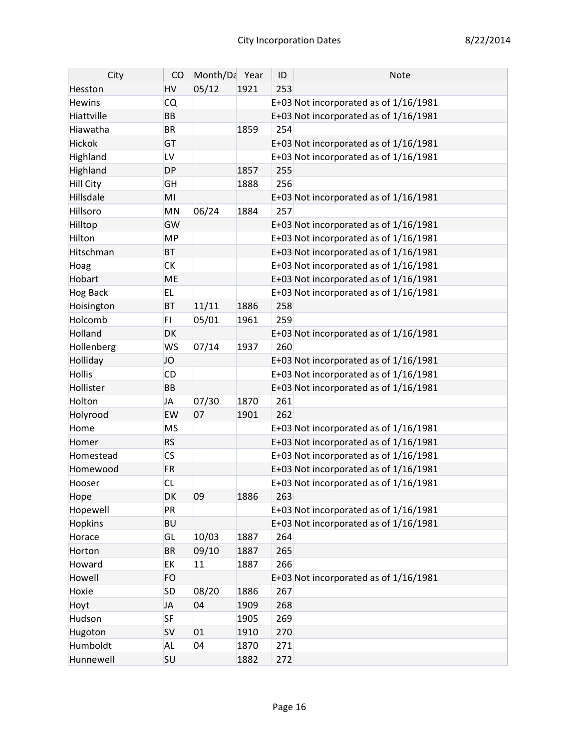| City             | CO        | Month/Da Year |      | ID  | Note                                    |
|------------------|-----------|---------------|------|-----|-----------------------------------------|
| Hesston          | HV        | 05/12         | 1921 | 253 |                                         |
| <b>Hewins</b>    | <b>CQ</b> |               |      |     | E+03 Not incorporated as of 1/16/1981   |
| Hiattville       | <b>BB</b> |               |      |     | E+03 Not incorporated as of 1/16/1981   |
| Hiawatha         | <b>BR</b> |               | 1859 | 254 |                                         |
| Hickok           | GT        |               |      |     | E+03 Not incorporated as of 1/16/1981   |
| Highland         | LV        |               |      |     | E+03 Not incorporated as of 1/16/1981   |
| Highland         | <b>DP</b> |               | 1857 | 255 |                                         |
| <b>Hill City</b> | GH        |               | 1888 | 256 |                                         |
| Hillsdale        | MI        |               |      |     | E+03 Not incorporated as of 1/16/1981   |
| Hillsoro         | MN        | 06/24         | 1884 | 257 |                                         |
| Hilltop          | GW        |               |      |     | E+03 Not incorporated as of 1/16/1981   |
| Hilton           | <b>MP</b> |               |      |     | E+03 Not incorporated as of 1/16/1981   |
| Hitschman        | <b>BT</b> |               |      |     | E+03 Not incorporated as of 1/16/1981   |
| Hoag             | <b>CK</b> |               |      |     | E+03 Not incorporated as of $1/16/1981$ |
| Hobart           | <b>ME</b> |               |      |     | E+03 Not incorporated as of 1/16/1981   |
| <b>Hog Back</b>  | <b>EL</b> |               |      |     | E+03 Not incorporated as of 1/16/1981   |
| Hoisington       | <b>BT</b> | 11/11         | 1886 | 258 |                                         |
| Holcomb          | FI.       | 05/01         | 1961 | 259 |                                         |
| Holland          | DK        |               |      |     | E+03 Not incorporated as of 1/16/1981   |
| Hollenberg       | <b>WS</b> | 07/14         | 1937 | 260 |                                         |
| Holliday         | JO        |               |      |     | E+03 Not incorporated as of 1/16/1981   |
| <b>Hollis</b>    | CD        |               |      |     | E+03 Not incorporated as of 1/16/1981   |
| Hollister        | <b>BB</b> |               |      |     | E+03 Not incorporated as of 1/16/1981   |
| Holton           | <b>JA</b> | 07/30         | 1870 | 261 |                                         |
| Holyrood         | EW        | 07            | 1901 | 262 |                                         |
| Home             | <b>MS</b> |               |      |     | E+03 Not incorporated as of $1/16/1981$ |
| Homer            | <b>RS</b> |               |      |     | E+03 Not incorporated as of 1/16/1981   |
| Homestead        | <b>CS</b> |               |      |     | E+03 Not incorporated as of 1/16/1981   |
| Homewood         | <b>FR</b> |               |      |     | E+03 Not incorporated as of 1/16/1981   |
| Hooser           | <b>CL</b> |               |      |     | E+03 Not incorporated as of 1/16/1981   |
| Hope             | DK        | 09            | 1886 | 263 |                                         |
| Hopewell         | PR        |               |      |     | E+03 Not incorporated as of 1/16/1981   |
| <b>Hopkins</b>   | <b>BU</b> |               |      |     | E+03 Not incorporated as of 1/16/1981   |
| Horace           | GL        | 10/03         | 1887 | 264 |                                         |
| Horton           | <b>BR</b> | 09/10         | 1887 | 265 |                                         |
| Howard           | EK        | 11            | 1887 | 266 |                                         |
| Howell           | <b>FO</b> |               |      |     | E+03 Not incorporated as of 1/16/1981   |
| Hoxie            | <b>SD</b> | 08/20         | 1886 | 267 |                                         |
| Hoyt             | <b>JA</b> | 04            | 1909 | 268 |                                         |
| Hudson           | <b>SF</b> |               | 1905 | 269 |                                         |
| Hugoton          | <b>SV</b> | 01            | 1910 | 270 |                                         |
| Humboldt         | <b>AL</b> | 04            | 1870 | 271 |                                         |
| Hunnewell        | SU        |               | 1882 | 272 |                                         |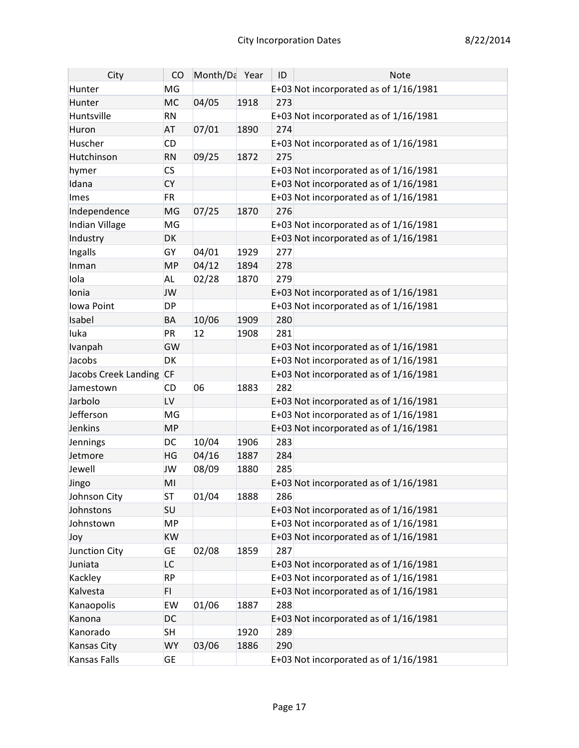| City                 | CO        | Month/Da Year |      | ID  | <b>Note</b>                             |
|----------------------|-----------|---------------|------|-----|-----------------------------------------|
| Hunter               | MG        |               |      |     | E+03 Not incorporated as of 1/16/1981   |
| Hunter               | <b>MC</b> | 04/05         | 1918 | 273 |                                         |
| Huntsville           | <b>RN</b> |               |      |     | E+03 Not incorporated as of 1/16/1981   |
| Huron                | <b>AT</b> | 07/01         | 1890 | 274 |                                         |
| Huscher              | <b>CD</b> |               |      |     | E+03 Not incorporated as of 1/16/1981   |
| Hutchinson           | <b>RN</b> | 09/25         | 1872 | 275 |                                         |
| hymer                | <b>CS</b> |               |      |     | E+03 Not incorporated as of $1/16/1981$ |
| Idana                | <b>CY</b> |               |      |     | E+03 Not incorporated as of 1/16/1981   |
| Imes                 | <b>FR</b> |               |      |     | E+03 Not incorporated as of 1/16/1981   |
| Independence         | <b>MG</b> | 07/25         | 1870 | 276 |                                         |
| Indian Village       | MG        |               |      |     | E+03 Not incorporated as of 1/16/1981   |
| Industry             | <b>DK</b> |               |      |     | E+03 Not incorporated as of 1/16/1981   |
| Ingalls              | GY        | 04/01         | 1929 | 277 |                                         |
| Inman                | <b>MP</b> | 04/12         | 1894 | 278 |                                         |
| Iola                 | <b>AL</b> | 02/28         | 1870 | 279 |                                         |
| Ionia                | <b>JW</b> |               |      |     | E+03 Not incorporated as of 1/16/1981   |
| lowa Point           | <b>DP</b> |               |      |     | E+03 Not incorporated as of 1/16/1981   |
| Isabel               | <b>BA</b> | 10/06         | 1909 | 280 |                                         |
| luka                 | PR        | 12            | 1908 | 281 |                                         |
| Ivanpah              | GW        |               |      |     | E+03 Not incorporated as of 1/16/1981   |
| Jacobs               | <b>DK</b> |               |      |     | E+03 Not incorporated as of $1/16/1981$ |
| Jacobs Creek Landing | <b>CF</b> |               |      |     | E+03 Not incorporated as of 1/16/1981   |
| Jamestown            | <b>CD</b> | 06            | 1883 | 282 |                                         |
| Jarbolo              | LV        |               |      |     | E+03 Not incorporated as of 1/16/1981   |
| Jefferson            | MG        |               |      |     | E+03 Not incorporated as of 1/16/1981   |
| Jenkins              | <b>MP</b> |               |      |     | E+03 Not incorporated as of 1/16/1981   |
| Jennings             | <b>DC</b> | 10/04         | 1906 | 283 |                                         |
| Jetmore              | <b>HG</b> | 04/16         | 1887 | 284 |                                         |
| Jewell               | <b>JW</b> | 08/09         | 1880 | 285 |                                         |
| Jingo                | MI        |               |      |     | E+03 Not incorporated as of 1/16/1981   |
| Johnson City         | <b>ST</b> | 01/04         | 1888 | 286 |                                         |
| Johnstons            | SU        |               |      |     | E+03 Not incorporated as of 1/16/1981   |
| Johnstown            | <b>MP</b> |               |      |     | E+03 Not incorporated as of $1/16/1981$ |
| Joy                  | <b>KW</b> |               |      |     | E+03 Not incorporated as of 1/16/1981   |
| Junction City        | <b>GE</b> | 02/08         | 1859 | 287 |                                         |
| Juniata              | LC.       |               |      |     | E+03 Not incorporated as of 1/16/1981   |
| Kackley              | <b>RP</b> |               |      |     | E+03 Not incorporated as of 1/16/1981   |
| Kalvesta             | FI.       |               |      |     | E+03 Not incorporated as of 1/16/1981   |
| Kanaopolis           | EW        | 01/06         | 1887 | 288 |                                         |
| Kanona               | <b>DC</b> |               |      |     | E+03 Not incorporated as of 1/16/1981   |
| Kanorado             | <b>SH</b> |               | 1920 | 289 |                                         |
| Kansas City          | <b>WY</b> | 03/06         | 1886 | 290 |                                         |
| Kansas Falls         | <b>GE</b> |               |      |     | E+03 Not incorporated as of 1/16/1981   |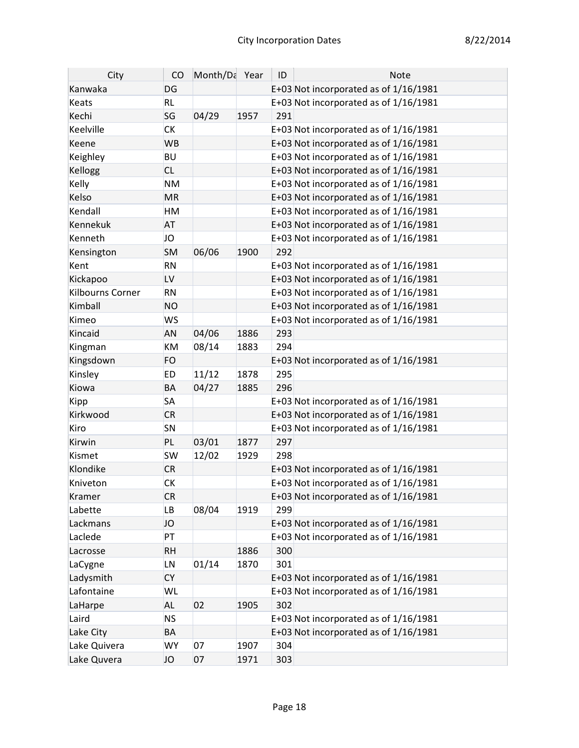| City             | CO        | Month/Da Year |      | ID  | <b>Note</b>                             |
|------------------|-----------|---------------|------|-----|-----------------------------------------|
| Kanwaka          | DG        |               |      |     | E+03 Not incorporated as of 1/16/1981   |
| <b>Keats</b>     | <b>RL</b> |               |      |     | E+03 Not incorporated as of 1/16/1981   |
| Kechi            | SG        | 04/29         | 1957 | 291 |                                         |
| Keelville        | <b>CK</b> |               |      |     | E+03 Not incorporated as of $1/16/1981$ |
| Keene            | <b>WB</b> |               |      |     | E+03 Not incorporated as of 1/16/1981   |
| Keighley         | <b>BU</b> |               |      |     | E+03 Not incorporated as of 1/16/1981   |
| Kellogg          | <b>CL</b> |               |      |     | E+03 Not incorporated as of 1/16/1981   |
| Kelly            | <b>NM</b> |               |      |     | E+03 Not incorporated as of 1/16/1981   |
| Kelso            | <b>MR</b> |               |      |     | E+03 Not incorporated as of 1/16/1981   |
| Kendall          | <b>HM</b> |               |      |     | E+03 Not incorporated as of $1/16/1981$ |
| Kennekuk         | <b>AT</b> |               |      |     | E+03 Not incorporated as of 1/16/1981   |
| Kenneth          | JO        |               |      |     | E+03 Not incorporated as of 1/16/1981   |
| Kensington       | <b>SM</b> | 06/06         | 1900 | 292 |                                         |
| Kent             | <b>RN</b> |               |      |     | E+03 Not incorporated as of 1/16/1981   |
| Kickapoo         | LV        |               |      |     | E+03 Not incorporated as of 1/16/1981   |
| Kilbourns Corner | <b>RN</b> |               |      |     | E+03 Not incorporated as of 1/16/1981   |
| Kimball          | <b>NO</b> |               |      |     | E+03 Not incorporated as of 1/16/1981   |
| Kimeo            | <b>WS</b> |               |      |     | E+03 Not incorporated as of 1/16/1981   |
| Kincaid          | <b>AN</b> | 04/06         | 1886 | 293 |                                         |
| Kingman          | KM        | 08/14         | 1883 | 294 |                                         |
| Kingsdown        | <b>FO</b> |               |      |     | E+03 Not incorporated as of 1/16/1981   |
| Kinsley          | <b>ED</b> | 11/12         | 1878 | 295 |                                         |
| Kiowa            | <b>BA</b> | 04/27         | 1885 | 296 |                                         |
| Kipp             | <b>SA</b> |               |      |     | E+03 Not incorporated as of 1/16/1981   |
| Kirkwood         | <b>CR</b> |               |      |     | E+03 Not incorporated as of 1/16/1981   |
| Kiro             | SN        |               |      |     | E+03 Not incorporated as of 1/16/1981   |
| Kirwin           | <b>PL</b> | 03/01         | 1877 | 297 |                                         |
| Kismet           | <b>SW</b> | 12/02         | 1929 | 298 |                                         |
| Klondike         | <b>CR</b> |               |      |     | E+03 Not incorporated as of 1/16/1981   |
| Kniveton         | <b>CK</b> |               |      |     | E+03 Not incorporated as of $1/16/1981$ |
| Kramer           | <b>CR</b> |               |      |     | E+03 Not incorporated as of 1/16/1981   |
| Labette          | LB        | 08/04         | 1919 | 299 |                                         |
| Lackmans         | JO        |               |      |     | E+03 Not incorporated as of $1/16/1981$ |
| Laclede          | PT        |               |      |     | E+03 Not incorporated as of $1/16/1981$ |
| Lacrosse         | <b>RH</b> |               | 1886 | 300 |                                         |
| LaCygne          | LN        | 01/14         | 1870 | 301 |                                         |
| Ladysmith        | <b>CY</b> |               |      |     | E+03 Not incorporated as of 1/16/1981   |
| Lafontaine       | <b>WL</b> |               |      |     | E+03 Not incorporated as of $1/16/1981$ |
| LaHarpe          | <b>AL</b> | 02            | 1905 | 302 |                                         |
| Laird            | <b>NS</b> |               |      |     | E+03 Not incorporated as of 1/16/1981   |
| Lake City        | BA        |               |      |     | E+03 Not incorporated as of 1/16/1981   |
| Lake Quivera     | <b>WY</b> | 07            | 1907 | 304 |                                         |
| Lake Quvera      | JO        | 07            | 1971 | 303 |                                         |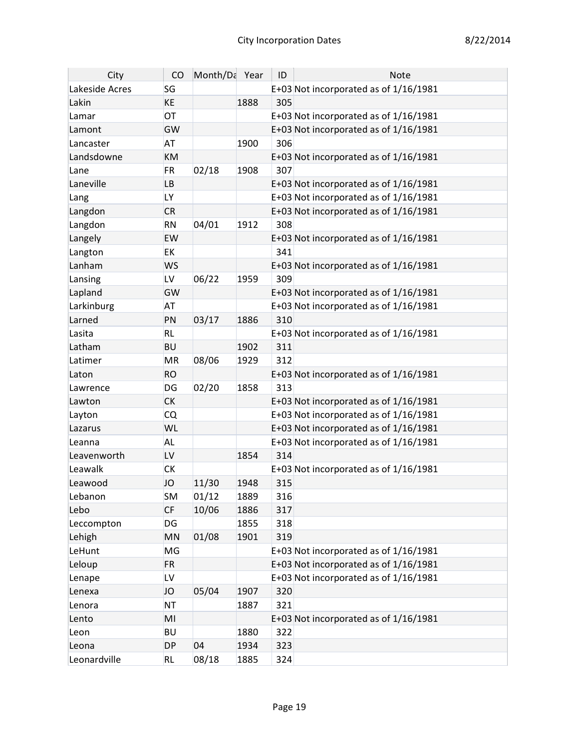| City           | CO        | Month/Da Year |      | ID  | <b>Note</b>                             |
|----------------|-----------|---------------|------|-----|-----------------------------------------|
| Lakeside Acres | SG        |               |      |     | E+03 Not incorporated as of 1/16/1981   |
| Lakin          | <b>KE</b> |               | 1888 | 305 |                                         |
| Lamar          | OT        |               |      |     | E+03 Not incorporated as of 1/16/1981   |
| Lamont         | GW        |               |      |     | E+03 Not incorporated as of 1/16/1981   |
| Lancaster      | <b>AT</b> |               | 1900 | 306 |                                         |
| Landsdowne     | KM        |               |      |     | E+03 Not incorporated as of 1/16/1981   |
| Lane           | <b>FR</b> | 02/18         | 1908 | 307 |                                         |
| Laneville      | <b>LB</b> |               |      |     | E+03 Not incorporated as of 1/16/1981   |
| Lang           | LY        |               |      |     | E+03 Not incorporated as of 1/16/1981   |
| Langdon        | <b>CR</b> |               |      |     | E+03 Not incorporated as of 1/16/1981   |
| Langdon        | <b>RN</b> | 04/01         | 1912 | 308 |                                         |
| Langely        | EW        |               |      |     | E+03 Not incorporated as of 1/16/1981   |
| Langton        | <b>EK</b> |               |      | 341 |                                         |
| Lanham         | <b>WS</b> |               |      |     | E+03 Not incorporated as of 1/16/1981   |
| Lansing        | LV        | 06/22         | 1959 | 309 |                                         |
| Lapland        | GW        |               |      |     | E+03 Not incorporated as of 1/16/1981   |
| Larkinburg     | AT        |               |      |     | E+03 Not incorporated as of $1/16/1981$ |
| Larned         | PN        | 03/17         | 1886 | 310 |                                         |
| Lasita         | <b>RL</b> |               |      |     | E+03 Not incorporated as of 1/16/1981   |
| Latham         | <b>BU</b> |               | 1902 | 311 |                                         |
| Latimer        | MR        | 08/06         | 1929 | 312 |                                         |
| Laton          | <b>RO</b> |               |      |     | E+03 Not incorporated as of 1/16/1981   |
| Lawrence       | DG        | 02/20         | 1858 | 313 |                                         |
| Lawton         | <b>CK</b> |               |      |     | E+03 Not incorporated as of 1/16/1981   |
| Layton         | <b>CQ</b> |               |      |     | E+03 Not incorporated as of 1/16/1981   |
| Lazarus        | WL        |               |      |     | E+03 Not incorporated as of 1/16/1981   |
| Leanna         | <b>AL</b> |               |      |     | E+03 Not incorporated as of 1/16/1981   |
| Leavenworth    | LV        |               | 1854 | 314 |                                         |
| Leawalk        | <b>CK</b> |               |      |     | E+03 Not incorporated as of $1/16/1981$ |
| Leawood        | <b>JO</b> | 11/30         | 1948 | 315 |                                         |
| Lebanon        | <b>SM</b> | 01/12         | 1889 | 316 |                                         |
| Lebo           | <b>CF</b> | 10/06         | 1886 | 317 |                                         |
| Leccompton     | DG        |               | 1855 | 318 |                                         |
| Lehigh         | MN        | 01/08         | 1901 | 319 |                                         |
| LeHunt         | MG        |               |      |     | E+03 Not incorporated as of 1/16/1981   |
| Leloup         | <b>FR</b> |               |      |     | E+03 Not incorporated as of 1/16/1981   |
| Lenape         | LV        |               |      |     | E+03 Not incorporated as of 1/16/1981   |
| Lenexa         | JO        | 05/04         | 1907 | 320 |                                         |
| Lenora         | <b>NT</b> |               | 1887 | 321 |                                         |
| Lento          | MI        |               |      |     | E+03 Not incorporated as of 1/16/1981   |
| Leon           | <b>BU</b> |               | 1880 | 322 |                                         |
| Leona          | <b>DP</b> | 04            | 1934 | 323 |                                         |
| Leonardville   | <b>RL</b> | 08/18         | 1885 | 324 |                                         |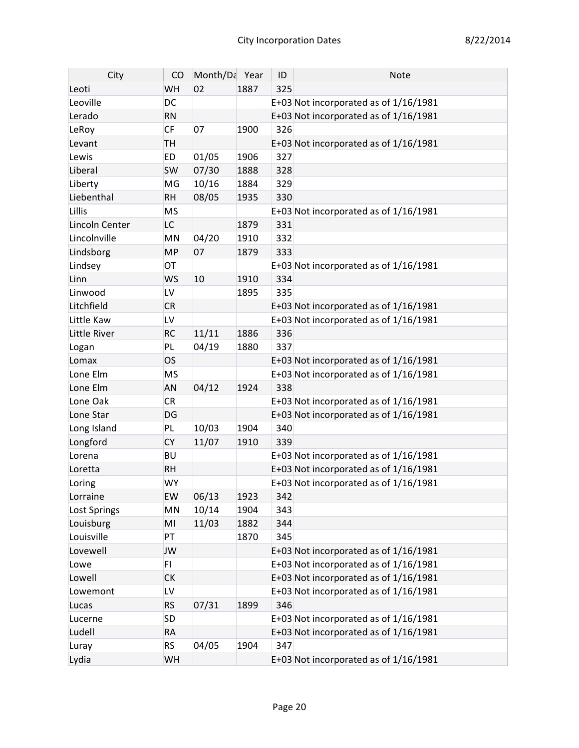| City           | CO        | Month/Da Year |      | ID  | <b>Note</b>                             |
|----------------|-----------|---------------|------|-----|-----------------------------------------|
| Leoti          | WH        | 02            | 1887 | 325 |                                         |
| Leoville       | DC        |               |      |     | E+03 Not incorporated as of 1/16/1981   |
| Lerado         | <b>RN</b> |               |      |     | E+03 Not incorporated as of 1/16/1981   |
| LeRoy          | CF        | 07            | 1900 | 326 |                                         |
| Levant         | TH        |               |      |     | E+03 Not incorporated as of 1/16/1981   |
| Lewis          | <b>ED</b> | 01/05         | 1906 | 327 |                                         |
| Liberal        | <b>SW</b> | 07/30         | 1888 | 328 |                                         |
| Liberty        | MG        | 10/16         | 1884 | 329 |                                         |
| Liebenthal     | <b>RH</b> | 08/05         | 1935 | 330 |                                         |
| Lillis         | <b>MS</b> |               |      |     | E+03 Not incorporated as of $1/16/1981$ |
| Lincoln Center | LC        |               | 1879 | 331 |                                         |
| Lincolnville   | MN        | 04/20         | 1910 | 332 |                                         |
| Lindsborg      | <b>MP</b> | 07            | 1879 | 333 |                                         |
| Lindsey        | OT        |               |      |     | E+03 Not incorporated as of 1/16/1981   |
| Linn           | <b>WS</b> | 10            | 1910 | 334 |                                         |
| Linwood        | LV        |               | 1895 | 335 |                                         |
| Litchfield     | <b>CR</b> |               |      |     | E+03 Not incorporated as of 1/16/1981   |
| Little Kaw     | LV        |               |      |     | E+03 Not incorporated as of 1/16/1981   |
| Little River   | <b>RC</b> | 11/11         | 1886 | 336 |                                         |
| Logan          | PL        | 04/19         | 1880 | 337 |                                         |
| Lomax          | <b>OS</b> |               |      |     | E+03 Not incorporated as of 1/16/1981   |
| Lone Elm       | <b>MS</b> |               |      |     | E+03 Not incorporated as of 1/16/1981   |
| Lone Elm       | AN        | 04/12         | 1924 | 338 |                                         |
| Lone Oak       | <b>CR</b> |               |      |     | E+03 Not incorporated as of 1/16/1981   |
| Lone Star      | DG        |               |      |     | E+03 Not incorporated as of 1/16/1981   |
| Long Island    | PL        | 10/03         | 1904 | 340 |                                         |
| Longford       | <b>CY</b> | 11/07         | 1910 | 339 |                                         |
| Lorena         | <b>BU</b> |               |      |     | E+03 Not incorporated as of 1/16/1981   |
| Loretta        | <b>RH</b> |               |      |     | E+03 Not incorporated as of 1/16/1981   |
| Loring         | <b>WY</b> |               |      |     | E+03 Not incorporated as of 1/16/1981   |
| Lorraine       | EW        | 06/13         | 1923 | 342 |                                         |
| Lost Springs   | MN        | 10/14         | 1904 | 343 |                                         |
| Louisburg      | MI        | 11/03         | 1882 | 344 |                                         |
| Louisville     | <b>PT</b> |               | 1870 | 345 |                                         |
| Lovewell       | JW        |               |      |     | E+03 Not incorporated as of 1/16/1981   |
| Lowe           | FI.       |               |      |     | E+03 Not incorporated as of $1/16/1981$ |
| Lowell         | <b>CK</b> |               |      |     | E+03 Not incorporated as of 1/16/1981   |
| Lowemont       | LV        |               |      |     | E+03 Not incorporated as of $1/16/1981$ |
| Lucas          | <b>RS</b> | 07/31         | 1899 | 346 |                                         |
| Lucerne        | SD        |               |      |     | E+03 Not incorporated as of $1/16/1981$ |
| Ludell         | <b>RA</b> |               |      |     | E+03 Not incorporated as of 1/16/1981   |
| Luray          | <b>RS</b> | 04/05         | 1904 | 347 |                                         |
| Lydia          | WH        |               |      |     | E+03 Not incorporated as of 1/16/1981   |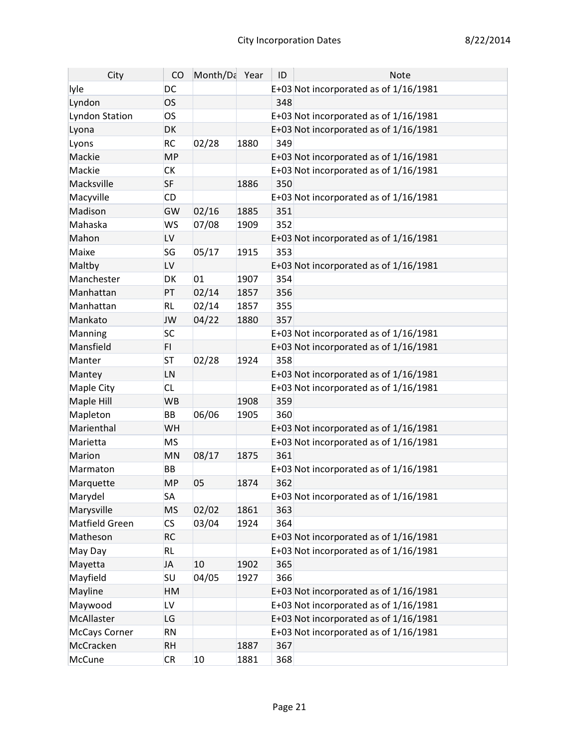| City                  | CO        | Month/Da Year |      | ID  | <b>Note</b>                             |
|-----------------------|-----------|---------------|------|-----|-----------------------------------------|
| lyle                  | DC        |               |      |     | E+03 Not incorporated as of 1/16/1981   |
| Lyndon                | <b>OS</b> |               |      | 348 |                                         |
| <b>Lyndon Station</b> | <b>OS</b> |               |      |     | E+03 Not incorporated as of 1/16/1981   |
| Lyona                 | DK        |               |      |     | E+03 Not incorporated as of 1/16/1981   |
| Lyons                 | <b>RC</b> | 02/28         | 1880 | 349 |                                         |
| Mackie                | <b>MP</b> |               |      |     | E+03 Not incorporated as of 1/16/1981   |
| Mackie                | СK        |               |      |     | E+03 Not incorporated as of 1/16/1981   |
| Macksville            | <b>SF</b> |               | 1886 | 350 |                                         |
| Macyville             | <b>CD</b> |               |      |     | E+03 Not incorporated as of 1/16/1981   |
| Madison               | GW        | 02/16         | 1885 | 351 |                                         |
| Mahaska               | <b>WS</b> | 07/08         | 1909 | 352 |                                         |
| Mahon                 | LV        |               |      |     | E+03 Not incorporated as of 1/16/1981   |
| Maixe                 | SG        | 05/17         | 1915 | 353 |                                         |
| Maltby                | LV        |               |      |     | E+03 Not incorporated as of 1/16/1981   |
| Manchester            | DK        | 01            | 1907 | 354 |                                         |
| Manhattan             | PT        | 02/14         | 1857 | 356 |                                         |
| Manhattan             | <b>RL</b> | 02/14         | 1857 | 355 |                                         |
| Mankato               | <b>JW</b> | 04/22         | 1880 | 357 |                                         |
| Manning               | <b>SC</b> |               |      |     | E+03 Not incorporated as of 1/16/1981   |
| Mansfield             | FI.       |               |      |     | E+03 Not incorporated as of 1/16/1981   |
| Manter                | <b>ST</b> | 02/28         | 1924 | 358 |                                         |
| Mantey                | LN        |               |      |     | E+03 Not incorporated as of 1/16/1981   |
| Maple City            | <b>CL</b> |               |      |     | E+03 Not incorporated as of 1/16/1981   |
| Maple Hill            | <b>WB</b> |               | 1908 | 359 |                                         |
| Mapleton              | BB        | 06/06         | 1905 | 360 |                                         |
| Marienthal            | WH        |               |      |     | E+03 Not incorporated as of 1/16/1981   |
| Marietta              | <b>MS</b> |               |      |     | E+03 Not incorporated as of 1/16/1981   |
| Marion                | MN        | 08/17         | 1875 | 361 |                                         |
| Marmaton              | BB        |               |      |     | E+03 Not incorporated as of 1/16/1981   |
| Marquette             | MP        | 05            | 1874 | 362 |                                         |
| Marydel               | <b>SA</b> |               |      |     | E+03 Not incorporated as of 1/16/1981   |
| Marysville            | <b>MS</b> | 02/02         | 1861 | 363 |                                         |
| Matfield Green        | CS        | 03/04         | 1924 | 364 |                                         |
| Matheson              | RC        |               |      |     | E+03 Not incorporated as of 1/16/1981   |
| May Day               | <b>RL</b> |               |      |     | E+03 Not incorporated as of 1/16/1981   |
| Mayetta               | <b>JA</b> | 10            | 1902 | 365 |                                         |
| Mayfield              | <b>SU</b> | 04/05         | 1927 | 366 |                                         |
| Mayline               | НM        |               |      |     | E+03 Not incorporated as of 1/16/1981   |
| Maywood               | LV        |               |      |     | E+03 Not incorporated as of $1/16/1981$ |
| McAllaster            | LG        |               |      |     | E+03 Not incorporated as of 1/16/1981   |
| McCays Corner         | <b>RN</b> |               |      |     | E+03 Not incorporated as of 1/16/1981   |
| McCracken             | <b>RH</b> |               | 1887 | 367 |                                         |
| McCune                | <b>CR</b> | 10            | 1881 | 368 |                                         |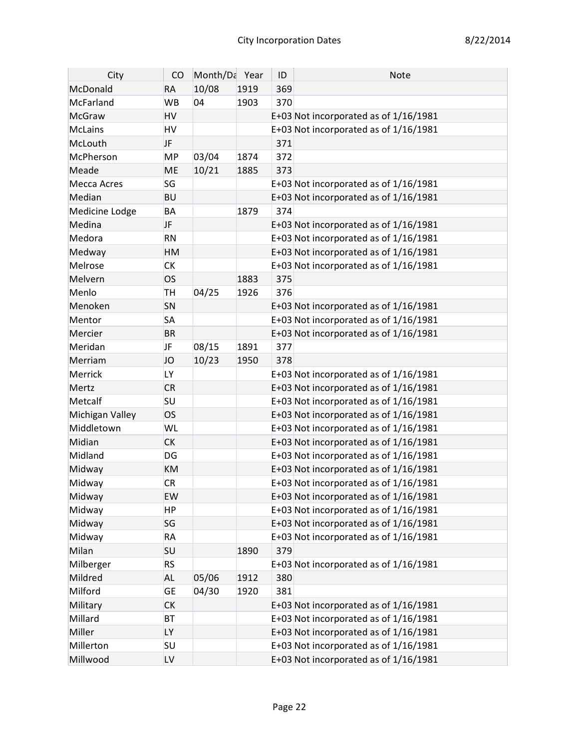| City            | CO        | Month/Da Year |      | ID  | Note                                    |
|-----------------|-----------|---------------|------|-----|-----------------------------------------|
| McDonald        | <b>RA</b> | 10/08         | 1919 | 369 |                                         |
| McFarland       | <b>WB</b> | 04            | 1903 | 370 |                                         |
| <b>McGraw</b>   | HV        |               |      |     | E+03 Not incorporated as of 1/16/1981   |
| <b>McLains</b>  | HV        |               |      |     | E+03 Not incorporated as of 1/16/1981   |
| McLouth         | <b>JF</b> |               |      | 371 |                                         |
| McPherson       | <b>MP</b> | 03/04         | 1874 | 372 |                                         |
| Meade           | <b>ME</b> | 10/21         | 1885 | 373 |                                         |
| Mecca Acres     | SG        |               |      |     | E+03 Not incorporated as of 1/16/1981   |
| Median          | <b>BU</b> |               |      |     | E+03 Not incorporated as of 1/16/1981   |
| Medicine Lodge  | BA        |               | 1879 | 374 |                                         |
| Medina          | <b>JF</b> |               |      |     | E+03 Not incorporated as of 1/16/1981   |
| Medora          | <b>RN</b> |               |      |     | E+03 Not incorporated as of 1/16/1981   |
| Medway          | HM        |               |      |     | E+03 Not incorporated as of 1/16/1981   |
| Melrose         | <b>CK</b> |               |      |     | E+03 Not incorporated as of 1/16/1981   |
| Melvern         | <b>OS</b> |               | 1883 | 375 |                                         |
| Menlo           | <b>TH</b> | 04/25         | 1926 | 376 |                                         |
| Menoken         | SN        |               |      |     | E+03 Not incorporated as of 1/16/1981   |
| Mentor          | <b>SA</b> |               |      |     | E+03 Not incorporated as of 1/16/1981   |
| Mercier         | <b>BR</b> |               |      |     | E+03 Not incorporated as of 1/16/1981   |
| Meridan         | <b>JF</b> | 08/15         | 1891 | 377 |                                         |
| Merriam         | JO        | 10/23         | 1950 | 378 |                                         |
| Merrick         | LY        |               |      |     | E+03 Not incorporated as of 1/16/1981   |
| Mertz           | <b>CR</b> |               |      |     | E+03 Not incorporated as of 1/16/1981   |
| Metcalf         | SU        |               |      |     | E+03 Not incorporated as of 1/16/1981   |
| Michigan Valley | <b>OS</b> |               |      |     | E+03 Not incorporated as of 1/16/1981   |
| Middletown      | WL        |               |      |     | E+03 Not incorporated as of 1/16/1981   |
| Midian          | <b>CK</b> |               |      |     | E+03 Not incorporated as of 1/16/1981   |
| Midland         | DG        |               |      |     | E+03 Not incorporated as of 1/16/1981   |
| Midway          | KM        |               |      |     | E+03 Not incorporated as of 1/16/1981   |
| Midway          | <b>CR</b> |               |      |     | E+03 Not incorporated as of 1/16/1981   |
| Midway          | EW        |               |      |     | E+03 Not incorporated as of 1/16/1981   |
| Midway          | <b>HP</b> |               |      |     | E+03 Not incorporated as of $1/16/1981$ |
| Midway          | SG        |               |      |     | E+03 Not incorporated as of 1/16/1981   |
| Midway          | <b>RA</b> |               |      |     | E+03 Not incorporated as of 1/16/1981   |
| Milan           | SU        |               | 1890 | 379 |                                         |
| Milberger       | <b>RS</b> |               |      |     | E+03 Not incorporated as of 1/16/1981   |
| Mildred         | <b>AL</b> | 05/06         | 1912 | 380 |                                         |
| Milford         | <b>GE</b> | 04/30         | 1920 | 381 |                                         |
| Military        | <b>CK</b> |               |      |     | E+03 Not incorporated as of 1/16/1981   |
| Millard         | <b>BT</b> |               |      |     | E+03 Not incorporated as of 1/16/1981   |
| Miller          | <b>LY</b> |               |      |     | E+03 Not incorporated as of 1/16/1981   |
| Millerton       | <b>SU</b> |               |      |     | E+03 Not incorporated as of 1/16/1981   |
| Millwood        | LV        |               |      |     | E+03 Not incorporated as of 1/16/1981   |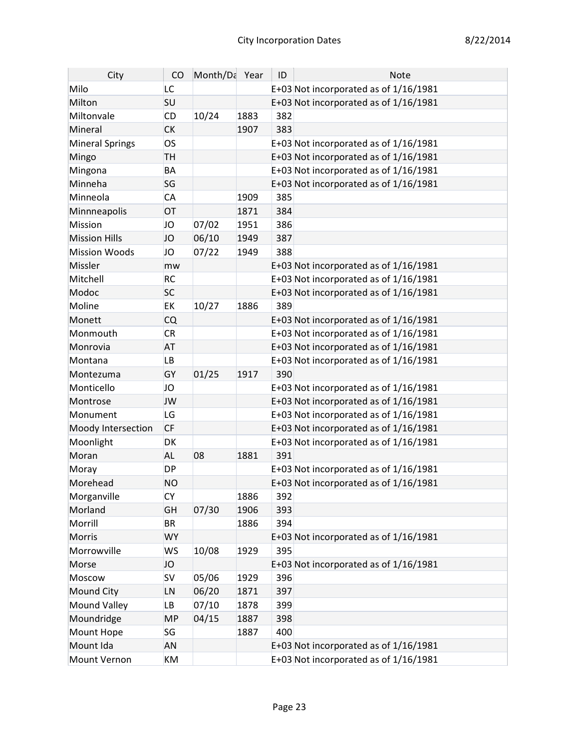| City                 | CO        | Month/Da Year |      | ID  | Note                                    |
|----------------------|-----------|---------------|------|-----|-----------------------------------------|
| Milo                 | LC        |               |      |     | E+03 Not incorporated as of 1/16/1981   |
| Milton               | <b>SU</b> |               |      |     | E+03 Not incorporated as of 1/16/1981   |
| Miltonvale           | <b>CD</b> | 10/24         | 1883 | 382 |                                         |
| Mineral              | <b>CK</b> |               | 1907 | 383 |                                         |
| Mineral Springs      | <b>OS</b> |               |      |     | E+03 Not incorporated as of 1/16/1981   |
| Mingo                | <b>TH</b> |               |      |     | E+03 Not incorporated as of 1/16/1981   |
| Mingona              | BA        |               |      |     | E+03 Not incorporated as of 1/16/1981   |
| Minneha              | SG        |               |      |     | E+03 Not incorporated as of 1/16/1981   |
| Minneola             | CA        |               | 1909 | 385 |                                         |
| Minnneapolis         | OT        |               | 1871 | 384 |                                         |
| Mission              | JO        | 07/02         | 1951 | 386 |                                         |
| <b>Mission Hills</b> | <b>JO</b> | 06/10         | 1949 | 387 |                                         |
| <b>Mission Woods</b> | JO        | 07/22         | 1949 | 388 |                                         |
| Missler              | mw        |               |      |     | E+03 Not incorporated as of 1/16/1981   |
| Mitchell             | <b>RC</b> |               |      |     | E+03 Not incorporated as of $1/16/1981$ |
| Modoc                | <b>SC</b> |               |      |     | E+03 Not incorporated as of 1/16/1981   |
| Moline               | EK        | 10/27         | 1886 | 389 |                                         |
| Monett               | <b>CQ</b> |               |      |     | E+03 Not incorporated as of 1/16/1981   |
| Monmouth             | <b>CR</b> |               |      |     | E+03 Not incorporated as of $1/16/1981$ |
| Monrovia             | <b>AT</b> |               |      |     | E+03 Not incorporated as of 1/16/1981   |
| Montana              | <b>LB</b> |               |      |     | E+03 Not incorporated as of 1/16/1981   |
| Montezuma            | GY        | 01/25         | 1917 | 390 |                                         |
| Monticello           | JO        |               |      |     | E+03 Not incorporated as of 1/16/1981   |
| Montrose             | <b>JW</b> |               |      |     | E+03 Not incorporated as of 1/16/1981   |
| Monument             | LG        |               |      |     | E+03 Not incorporated as of 1/16/1981   |
| Moody Intersection   | <b>CF</b> |               |      |     | E+03 Not incorporated as of 1/16/1981   |
| Moonlight            | DK        |               |      |     | E+03 Not incorporated as of 1/16/1981   |
| Moran                | <b>AL</b> | 08            | 1881 | 391 |                                         |
| Moray                | <b>DP</b> |               |      |     | E+03 Not incorporated as of 1/16/1981   |
| Morehead             | <b>NO</b> |               |      |     | E+03 Not incorporated as of 1/16/1981   |
| Morganville          | <b>CY</b> |               | 1886 | 392 |                                         |
| Morland              | GH        | 07/30         | 1906 | 393 |                                         |
| Morrill              | <b>BR</b> |               | 1886 | 394 |                                         |
| Morris               | <b>WY</b> |               |      |     | E+03 Not incorporated as of 1/16/1981   |
| Morrowville          | <b>WS</b> | 10/08         | 1929 | 395 |                                         |
| Morse                | JO        |               |      |     | E+03 Not incorporated as of 1/16/1981   |
| Moscow               | <b>SV</b> | 05/06         | 1929 | 396 |                                         |
| Mound City           | LN        | 06/20         | 1871 | 397 |                                         |
| <b>Mound Valley</b>  | LB        | 07/10         | 1878 | 399 |                                         |
| Moundridge           | <b>MP</b> | 04/15         | 1887 | 398 |                                         |
| Mount Hope           | SG        |               | 1887 | 400 |                                         |
| Mount Ida            | <b>AN</b> |               |      |     | E+03 Not incorporated as of 1/16/1981   |
| Mount Vernon         | KM        |               |      |     | E+03 Not incorporated as of 1/16/1981   |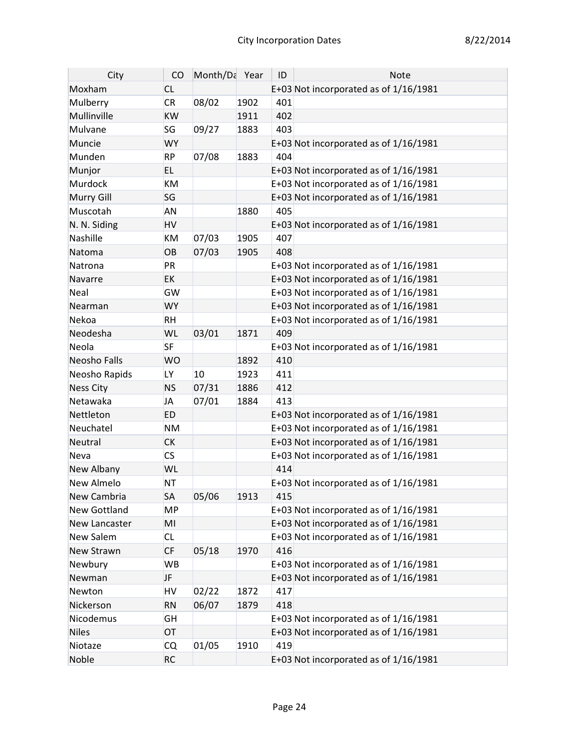| City             | CO        | Month/Da Year |      | ID  | <b>Note</b>                           |
|------------------|-----------|---------------|------|-----|---------------------------------------|
| Moxham           | <b>CL</b> |               |      |     | E+03 Not incorporated as of 1/16/1981 |
| Mulberry         | <b>CR</b> | 08/02         | 1902 | 401 |                                       |
| Mullinville      | <b>KW</b> |               | 1911 | 402 |                                       |
| Mulvane          | SG        | 09/27         | 1883 | 403 |                                       |
| Muncie           | <b>WY</b> |               |      |     | E+03 Not incorporated as of 1/16/1981 |
| Munden           | <b>RP</b> | 07/08         | 1883 | 404 |                                       |
| Munjor           | EL.       |               |      |     | E+03 Not incorporated as of 1/16/1981 |
| Murdock          | <b>KM</b> |               |      |     | E+03 Not incorporated as of 1/16/1981 |
| Murry Gill       | SG        |               |      |     | E+03 Not incorporated as of 1/16/1981 |
| Muscotah         | <b>AN</b> |               | 1880 | 405 |                                       |
| N. N. Siding     | <b>HV</b> |               |      |     | E+03 Not incorporated as of 1/16/1981 |
| Nashille         | <b>KM</b> | 07/03         | 1905 | 407 |                                       |
| Natoma           | OB        | 07/03         | 1905 | 408 |                                       |
| Natrona          | PR        |               |      |     | E+03 Not incorporated as of 1/16/1981 |
| Navarre          | <b>EK</b> |               |      |     | E+03 Not incorporated as of 1/16/1981 |
| Neal             | GW        |               |      |     | E+03 Not incorporated as of 1/16/1981 |
| Nearman          | <b>WY</b> |               |      |     | E+03 Not incorporated as of 1/16/1981 |
| Nekoa            | <b>RH</b> |               |      |     | E+03 Not incorporated as of 1/16/1981 |
| Neodesha         | WL        | 03/01         | 1871 | 409 |                                       |
| Neola            | <b>SF</b> |               |      |     | E+03 Not incorporated as of 1/16/1981 |
| Neosho Falls     | <b>WO</b> |               | 1892 | 410 |                                       |
| Neosho Rapids    | <b>LY</b> | 10            | 1923 | 411 |                                       |
| <b>Ness City</b> | <b>NS</b> | 07/31         | 1886 | 412 |                                       |
| Netawaka         | <b>JA</b> | 07/01         | 1884 | 413 |                                       |
| Nettleton        | <b>ED</b> |               |      |     | E+03 Not incorporated as of 1/16/1981 |
| Neuchatel        | <b>NM</b> |               |      |     | E+03 Not incorporated as of 1/16/1981 |
| Neutral          | <b>CK</b> |               |      |     | E+03 Not incorporated as of 1/16/1981 |
| Neva             | <b>CS</b> |               |      |     | E+03 Not incorporated as of 1/16/1981 |
| New Albany       | WL        |               |      | 414 |                                       |
| New Almelo       | <b>NT</b> |               |      |     | E+03 Not incorporated as of 1/16/1981 |
| New Cambria      | <b>SA</b> | 05/06         | 1913 | 415 |                                       |
| New Gottland     | <b>MP</b> |               |      |     | E+03 Not incorporated as of 1/16/1981 |
| New Lancaster    | MI        |               |      |     | E+03 Not incorporated as of 1/16/1981 |
| New Salem        | <b>CL</b> |               |      |     | E+03 Not incorporated as of 1/16/1981 |
| New Strawn       | <b>CF</b> | 05/18         | 1970 | 416 |                                       |
| Newbury          | WB        |               |      |     | E+03 Not incorporated as of 1/16/1981 |
| Newman           | <b>JF</b> |               |      |     | E+03 Not incorporated as of 1/16/1981 |
| Newton           | <b>HV</b> | 02/22         | 1872 | 417 |                                       |
| Nickerson        | <b>RN</b> | 06/07         | 1879 | 418 |                                       |
| Nicodemus        | GH        |               |      |     | E+03 Not incorporated as of 1/16/1981 |
| <b>Niles</b>     | OT        |               |      |     | E+03 Not incorporated as of 1/16/1981 |
| Niotaze          | <b>CQ</b> | 01/05         | 1910 | 419 |                                       |
| Noble            | <b>RC</b> |               |      |     | E+03 Not incorporated as of 1/16/1981 |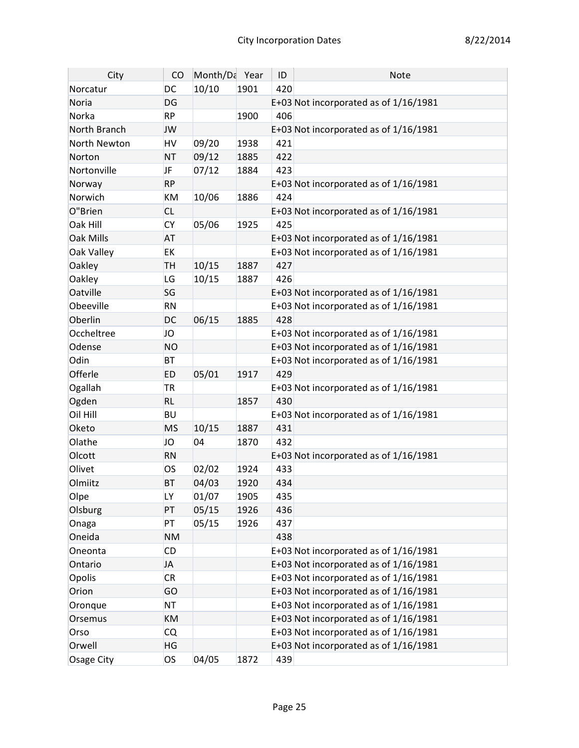| City             | CO        | Month/Da Year |      | ID  | <b>Note</b>                             |
|------------------|-----------|---------------|------|-----|-----------------------------------------|
| Norcatur         | DC        | 10/10         | 1901 | 420 |                                         |
| Noria            | <b>DG</b> |               |      |     | E+03 Not incorporated as of 1/16/1981   |
| Norka            | <b>RP</b> |               | 1900 | 406 |                                         |
| North Branch     | JW        |               |      |     | E+03 Not incorporated as of 1/16/1981   |
| North Newton     | HV        | 09/20         | 1938 | 421 |                                         |
| Norton           | <b>NT</b> | 09/12         | 1885 | 422 |                                         |
| Nortonville      | JF        | 07/12         | 1884 | 423 |                                         |
| Norway           | <b>RP</b> |               |      |     | E+03 Not incorporated as of 1/16/1981   |
| Norwich          | KM        | 10/06         | 1886 | 424 |                                         |
| O"Brien          | <b>CL</b> |               |      |     | E+03 Not incorporated as of 1/16/1981   |
| Oak Hill         | <b>CY</b> | 05/06         | 1925 | 425 |                                         |
| <b>Oak Mills</b> | <b>AT</b> |               |      |     | E+03 Not incorporated as of 1/16/1981   |
| Oak Valley       | <b>EK</b> |               |      |     | E+03 Not incorporated as of 1/16/1981   |
| Oakley           | <b>TH</b> | 10/15         | 1887 | 427 |                                         |
| Oakley           | <b>LG</b> | 10/15         | 1887 | 426 |                                         |
| Oatville         | SG        |               |      |     | E+03 Not incorporated as of 1/16/1981   |
| Obeeville        | <b>RN</b> |               |      |     | E+03 Not incorporated as of 1/16/1981   |
| Oberlin          | <b>DC</b> | 06/15         | 1885 | 428 |                                         |
| Occheltree       | JO        |               |      |     | E+03 Not incorporated as of 1/16/1981   |
| Odense           | <b>NO</b> |               |      |     | E+03 Not incorporated as of 1/16/1981   |
| Odin             | <b>BT</b> |               |      |     | E+03 Not incorporated as of 1/16/1981   |
| Offerle          | <b>ED</b> | 05/01         | 1917 | 429 |                                         |
| Ogallah          | <b>TR</b> |               |      |     | E+03 Not incorporated as of $1/16/1981$ |
| Ogden            | <b>RL</b> |               | 1857 | 430 |                                         |
| Oil Hill         | <b>BU</b> |               |      |     | E+03 Not incorporated as of 1/16/1981   |
| Oketo            | <b>MS</b> | 10/15         | 1887 | 431 |                                         |
| Olathe           | JO        | 04            | 1870 | 432 |                                         |
| Olcott           | <b>RN</b> |               |      |     | E+03 Not incorporated as of 1/16/1981   |
| Olivet           | <b>OS</b> | 02/02         | 1924 | 433 |                                         |
| Olmiitz          | <b>BT</b> | 04/03         | 1920 | 434 |                                         |
| Olpe             | LY        | 01/07         | 1905 | 435 |                                         |
| Olsburg          | PT        | 05/15         | 1926 | 436 |                                         |
| Onaga            | PT        | 05/15         | 1926 | 437 |                                         |
| Oneida           | <b>NM</b> |               |      | 438 |                                         |
| Oneonta          | <b>CD</b> |               |      |     | E+03 Not incorporated as of 1/16/1981   |
| Ontario          | JA        |               |      |     | E+03 Not incorporated as of 1/16/1981   |
| Opolis           | <b>CR</b> |               |      |     | E+03 Not incorporated as of $1/16/1981$ |
| Orion            | GO        |               |      |     | E+03 Not incorporated as of 1/16/1981   |
| Oronque          | <b>NT</b> |               |      |     | E+03 Not incorporated as of 1/16/1981   |
| Orsemus          | <b>KM</b> |               |      |     | E+03 Not incorporated as of 1/16/1981   |
| Orso             | <b>CQ</b> |               |      |     | E+03 Not incorporated as of 1/16/1981   |
| Orwell           | <b>HG</b> |               |      |     | E+03 Not incorporated as of 1/16/1981   |
| Osage City       | <b>OS</b> | 04/05         | 1872 | 439 |                                         |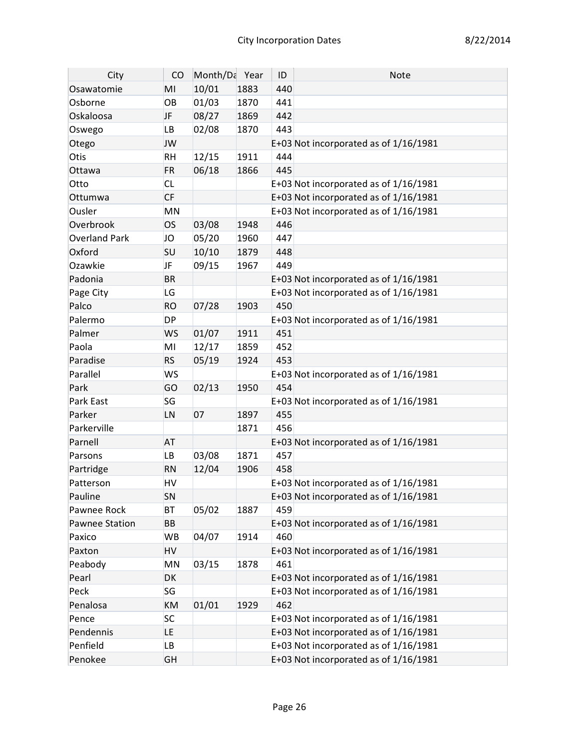| City                 | CO        | Month/Da Year |      | ID  | <b>Note</b>                             |
|----------------------|-----------|---------------|------|-----|-----------------------------------------|
| Osawatomie           | MI        | 10/01         | 1883 | 440 |                                         |
| Osborne              | OB        | 01/03         | 1870 | 441 |                                         |
| Oskaloosa            | JF        | 08/27         | 1869 | 442 |                                         |
| Oswego               | <b>LB</b> | 02/08         | 1870 | 443 |                                         |
| Otego                | JW        |               |      |     | E+03 Not incorporated as of 1/16/1981   |
| Otis                 | <b>RH</b> | 12/15         | 1911 | 444 |                                         |
| Ottawa               | <b>FR</b> | 06/18         | 1866 | 445 |                                         |
| Otto                 | <b>CL</b> |               |      |     | E+03 Not incorporated as of 1/16/1981   |
| Ottumwa              | <b>CF</b> |               |      |     | E+03 Not incorporated as of 1/16/1981   |
| Ousler               | MN        |               |      |     | E+03 Not incorporated as of $1/16/1981$ |
| Overbrook            | <b>OS</b> | 03/08         | 1948 | 446 |                                         |
| <b>Overland Park</b> | JO        | 05/20         | 1960 | 447 |                                         |
| Oxford               | SU        | 10/10         | 1879 | 448 |                                         |
| Ozawkie              | JF        | 09/15         | 1967 | 449 |                                         |
| Padonia              | <b>BR</b> |               |      |     | E+03 Not incorporated as of 1/16/1981   |
| Page City            | LG        |               |      |     | E+03 Not incorporated as of 1/16/1981   |
| Palco                | <b>RO</b> | 07/28         | 1903 | 450 |                                         |
| Palermo              | <b>DP</b> |               |      |     | E+03 Not incorporated as of 1/16/1981   |
| Palmer               | <b>WS</b> | 01/07         | 1911 | 451 |                                         |
| Paola                | MI        | 12/17         | 1859 | 452 |                                         |
| Paradise             | <b>RS</b> | 05/19         | 1924 | 453 |                                         |
| Parallel             | <b>WS</b> |               |      |     | E+03 Not incorporated as of 1/16/1981   |
| Park                 | GO        | 02/13         | 1950 | 454 |                                         |
| Park East            | SG        |               |      |     | E+03 Not incorporated as of 1/16/1981   |
| Parker               | LN        | 07            | 1897 | 455 |                                         |
| Parkerville          |           |               | 1871 | 456 |                                         |
| Parnell              | <b>AT</b> |               |      |     | E+03 Not incorporated as of 1/16/1981   |
| Parsons              | <b>LB</b> | 03/08         | 1871 | 457 |                                         |
| Partridge            | <b>RN</b> | 12/04         | 1906 | 458 |                                         |
| Patterson            | HV        |               |      |     | E+03 Not incorporated as of $1/16/1981$ |
| Pauline              | SN        |               |      |     | E+03 Not incorporated as of 1/16/1981   |
| Pawnee Rock          | BT        | 05/02         | 1887 | 459 |                                         |
| Pawnee Station       | BB        |               |      |     | E+03 Not incorporated as of 1/16/1981   |
| Paxico               | WB        | 04/07         | 1914 | 460 |                                         |
| Paxton               | HV        |               |      |     | E+03 Not incorporated as of 1/16/1981   |
| Peabody              | MN        | 03/15         | 1878 | 461 |                                         |
| Pearl                | DK        |               |      |     | E+03 Not incorporated as of 1/16/1981   |
| Peck                 | SG        |               |      |     | E+03 Not incorporated as of $1/16/1981$ |
| Penalosa             | KM        | 01/01         | 1929 | 462 |                                         |
| Pence                | <b>SC</b> |               |      |     | E+03 Not incorporated as of $1/16/1981$ |
| Pendennis            | LE.       |               |      |     | E+03 Not incorporated as of 1/16/1981   |
| Penfield             | <b>LB</b> |               |      |     | E+03 Not incorporated as of $1/16/1981$ |
| Penokee              | <b>GH</b> |               |      |     | E+03 Not incorporated as of 1/16/1981   |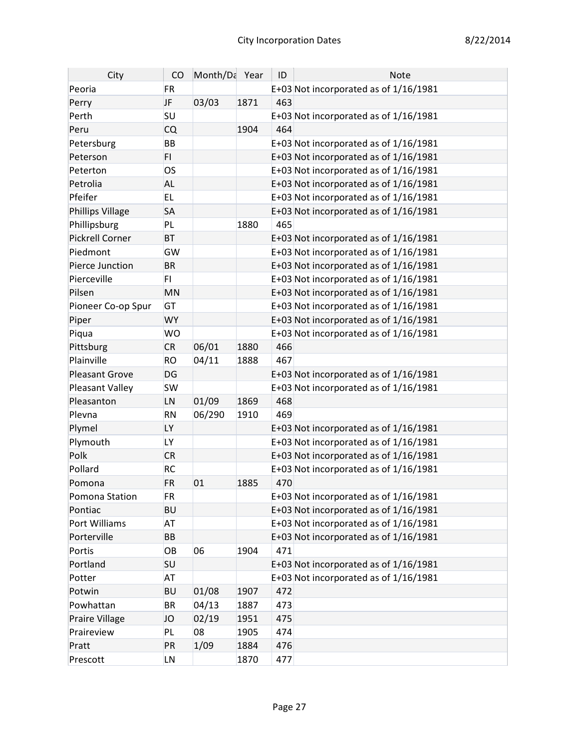| City                    | CO        | Month/Da Year |      | ID  | <b>Note</b>                             |
|-------------------------|-----------|---------------|------|-----|-----------------------------------------|
| Peoria                  | <b>FR</b> |               |      |     | E+03 Not incorporated as of 1/16/1981   |
| Perry                   | <b>JF</b> | 03/03         | 1871 | 463 |                                         |
| Perth                   | SU        |               |      |     | E+03 Not incorporated as of 1/16/1981   |
| Peru                    | <b>CQ</b> |               | 1904 | 464 |                                         |
| Petersburg              | <b>BB</b> |               |      |     | E+03 Not incorporated as of 1/16/1981   |
| Peterson                | FI.       |               |      |     | E+03 Not incorporated as of 1/16/1981   |
| Peterton                | <b>OS</b> |               |      |     | E+03 Not incorporated as of 1/16/1981   |
| Petrolia                | <b>AL</b> |               |      |     | E+03 Not incorporated as of 1/16/1981   |
| Pfeifer                 | <b>EL</b> |               |      |     | E+03 Not incorporated as of $1/16/1981$ |
| <b>Phillips Village</b> | <b>SA</b> |               |      |     | E+03 Not incorporated as of 1/16/1981   |
| Phillipsburg            | PL        |               | 1880 | 465 |                                         |
| <b>Pickrell Corner</b>  | <b>BT</b> |               |      |     | E+03 Not incorporated as of 1/16/1981   |
| Piedmont                | GW        |               |      |     | E+03 Not incorporated as of 1/16/1981   |
| Pierce Junction         | <b>BR</b> |               |      |     | E+03 Not incorporated as of 1/16/1981   |
| Pierceville             | FI.       |               |      |     | E+03 Not incorporated as of 1/16/1981   |
| Pilsen                  | <b>MN</b> |               |      |     | E+03 Not incorporated as of 1/16/1981   |
| Pioneer Co-op Spur      | GT        |               |      |     | E+03 Not incorporated as of 1/16/1981   |
| Piper                   | <b>WY</b> |               |      |     | E+03 Not incorporated as of 1/16/1981   |
| Piqua                   | <b>WO</b> |               |      |     | E+03 Not incorporated as of 1/16/1981   |
| Pittsburg               | <b>CR</b> | 06/01         | 1880 | 466 |                                         |
| Plainville              | <b>RO</b> | 04/11         | 1888 | 467 |                                         |
| <b>Pleasant Grove</b>   | DG        |               |      |     | E+03 Not incorporated as of 1/16/1981   |
| Pleasant Valley         | <b>SW</b> |               |      |     | E+03 Not incorporated as of 1/16/1981   |
| Pleasanton              | LN        | 01/09         | 1869 | 468 |                                         |
| Plevna                  | <b>RN</b> | 06/290        | 1910 | 469 |                                         |
| Plymel                  | <b>LY</b> |               |      |     | E+03 Not incorporated as of 1/16/1981   |
| Plymouth                | LY        |               |      |     | E+03 Not incorporated as of 1/16/1981   |
| Polk                    | <b>CR</b> |               |      |     | E+03 Not incorporated as of 1/16/1981   |
| Pollard                 | <b>RC</b> |               |      |     | E+03 Not incorporated as of 1/16/1981   |
| Pomona                  | <b>FR</b> | 01            | 1885 | 470 |                                         |
| Pomona Station          | FR.       |               |      |     | E+03 Not incorporated as of 1/16/1981   |
| Pontiac                 | <b>BU</b> |               |      |     | E+03 Not incorporated as of 1/16/1981   |
| Port Williams           | <b>AT</b> |               |      |     | E+03 Not incorporated as of $1/16/1981$ |
| Porterville             | <b>BB</b> |               |      |     | E+03 Not incorporated as of 1/16/1981   |
| Portis                  | OB        | 06            | 1904 | 471 |                                         |
| Portland                | SU        |               |      |     | E+03 Not incorporated as of 1/16/1981   |
| Potter                  | AT        |               |      |     | E+03 Not incorporated as of $1/16/1981$ |
| Potwin                  | <b>BU</b> | 01/08         | 1907 | 472 |                                         |
| Powhattan               | <b>BR</b> | 04/13         | 1887 | 473 |                                         |
| Praire Village          | JO        | 02/19         | 1951 | 475 |                                         |
| Praireview              | PL        | 08            | 1905 | 474 |                                         |
| Pratt                   | PR        | 1/09          | 1884 | 476 |                                         |
| Prescott                | LN        |               | 1870 | 477 |                                         |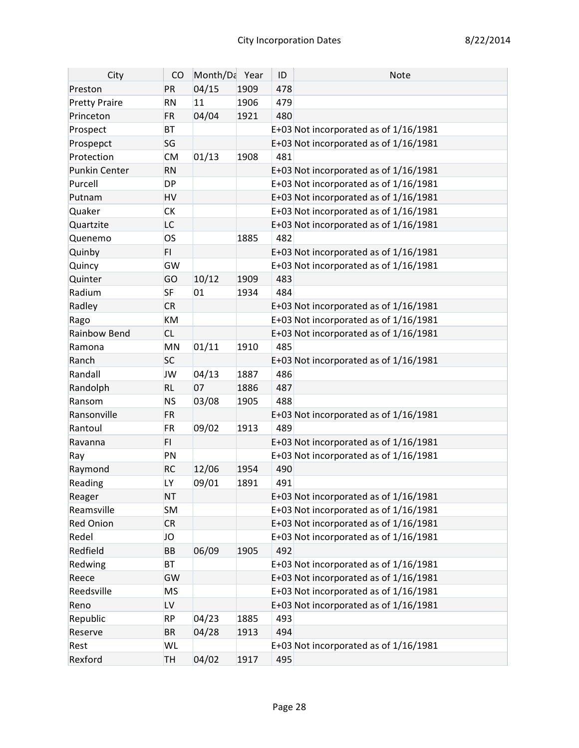| City                 | CO        | Month/Da Year |      | ID  | <b>Note</b>                             |
|----------------------|-----------|---------------|------|-----|-----------------------------------------|
| Preston              | PR        | 04/15         | 1909 | 478 |                                         |
| <b>Pretty Praire</b> | <b>RN</b> | 11            | 1906 | 479 |                                         |
| Princeton            | <b>FR</b> | 04/04         | 1921 | 480 |                                         |
| Prospect             | <b>BT</b> |               |      |     | E+03 Not incorporated as of $1/16/1981$ |
| Prospepct            | SG        |               |      |     | E+03 Not incorporated as of 1/16/1981   |
| Protection           | <b>CM</b> | 01/13         | 1908 | 481 |                                         |
| <b>Punkin Center</b> | <b>RN</b> |               |      |     | E+03 Not incorporated as of 1/16/1981   |
| Purcell              | <b>DP</b> |               |      |     | E+03 Not incorporated as of 1/16/1981   |
| Putnam               | HV        |               |      |     | E+03 Not incorporated as of 1/16/1981   |
| Quaker               | <b>CK</b> |               |      |     | E+03 Not incorporated as of 1/16/1981   |
| Quartzite            | LC        |               |      |     | E+03 Not incorporated as of 1/16/1981   |
| Quenemo              | <b>OS</b> |               | 1885 | 482 |                                         |
| Quinby               | FI.       |               |      |     | E+03 Not incorporated as of 1/16/1981   |
| Quincy               | GW        |               |      |     | E+03 Not incorporated as of $1/16/1981$ |
| Quinter              | GO        | 10/12         | 1909 | 483 |                                         |
| Radium               | <b>SF</b> | 01            | 1934 | 484 |                                         |
| Radley               | <b>CR</b> |               |      |     | E+03 Not incorporated as of 1/16/1981   |
| Rago                 | KM        |               |      |     | E+03 Not incorporated as of 1/16/1981   |
| Rainbow Bend         | <b>CL</b> |               |      |     | E+03 Not incorporated as of 1/16/1981   |
| Ramona               | MN        | 01/11         | 1910 | 485 |                                         |
| Ranch                | <b>SC</b> |               |      |     | E+03 Not incorporated as of 1/16/1981   |
| Randall              | JW        | 04/13         | 1887 | 486 |                                         |
| Randolph             | <b>RL</b> | 07            | 1886 | 487 |                                         |
| Ransom               | <b>NS</b> | 03/08         | 1905 | 488 |                                         |
| Ransonville          | <b>FR</b> |               |      |     | E+03 Not incorporated as of 1/16/1981   |
| Rantoul              | <b>FR</b> | 09/02         | 1913 | 489 |                                         |
| Ravanna              | FI.       |               |      |     | E+03 Not incorporated as of 1/16/1981   |
| Ray                  | PN        |               |      |     | E+03 Not incorporated as of 1/16/1981   |
| Raymond              | <b>RC</b> | 12/06         | 1954 | 490 |                                         |
| Reading              | LY        | 09/01         | 1891 | 491 |                                         |
| Reager               | <b>NT</b> |               |      |     | E+03 Not incorporated as of 1/16/1981   |
| Reamsville           | <b>SM</b> |               |      |     | E+03 Not incorporated as of 1/16/1981   |
| <b>Red Onion</b>     | <b>CR</b> |               |      |     | E+03 Not incorporated as of 1/16/1981   |
| Redel                | JO        |               |      |     | E+03 Not incorporated as of 1/16/1981   |
| Redfield             | ВB        | 06/09         | 1905 | 492 |                                         |
| Redwing              | <b>BT</b> |               |      |     | E+03 Not incorporated as of 1/16/1981   |
| Reece                | GW        |               |      |     | E+03 Not incorporated as of 1/16/1981   |
| Reedsville           | <b>MS</b> |               |      |     | E+03 Not incorporated as of 1/16/1981   |
| Reno                 | LV        |               |      |     | E+03 Not incorporated as of 1/16/1981   |
| Republic             | <b>RP</b> | 04/23         | 1885 | 493 |                                         |
| Reserve              | <b>BR</b> | 04/28         | 1913 | 494 |                                         |
| Rest                 | WL        |               |      |     | E+03 Not incorporated as of 1/16/1981   |
| Rexford              | <b>TH</b> | 04/02         | 1917 | 495 |                                         |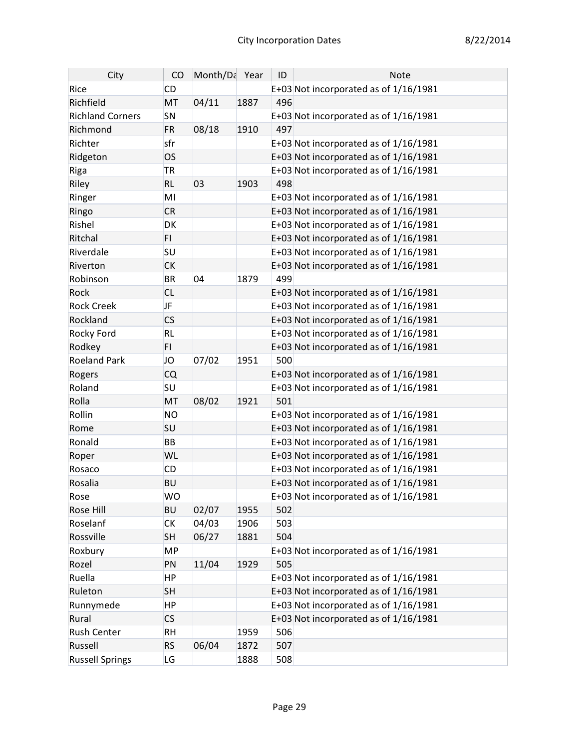| City                    | CO        | Month/Da Year |      | ID  | <b>Note</b>                             |
|-------------------------|-----------|---------------|------|-----|-----------------------------------------|
| Rice                    | <b>CD</b> |               |      |     | E+03 Not incorporated as of 1/16/1981   |
| Richfield               | MT        | 04/11         | 1887 | 496 |                                         |
| <b>Richland Corners</b> | SN        |               |      |     | E+03 Not incorporated as of 1/16/1981   |
| Richmond                | <b>FR</b> | 08/18         | 1910 | 497 |                                         |
| Richter                 | sfr       |               |      |     | E+03 Not incorporated as of 1/16/1981   |
| Ridgeton                | <b>OS</b> |               |      |     | E+03 Not incorporated as of 1/16/1981   |
| Riga                    | <b>TR</b> |               |      |     | E+03 Not incorporated as of 1/16/1981   |
| Riley                   | <b>RL</b> | 03            | 1903 | 498 |                                         |
| Ringer                  | MI        |               |      |     | E+03 Not incorporated as of $1/16/1981$ |
| Ringo                   | <b>CR</b> |               |      |     | E+03 Not incorporated as of 1/16/1981   |
| Rishel                  | <b>DK</b> |               |      |     | E+03 Not incorporated as of 1/16/1981   |
| Ritchal                 | FI.       |               |      |     | E+03 Not incorporated as of 1/16/1981   |
| Riverdale               | SU        |               |      |     | E+03 Not incorporated as of 1/16/1981   |
| Riverton                | <b>CK</b> |               |      |     | E+03 Not incorporated as of 1/16/1981   |
| Robinson                | <b>BR</b> | 04            | 1879 | 499 |                                         |
| Rock                    | <b>CL</b> |               |      |     | E+03 Not incorporated as of 1/16/1981   |
| <b>Rock Creek</b>       | JF        |               |      |     | E+03 Not incorporated as of 1/16/1981   |
| Rockland                | <b>CS</b> |               |      |     | E+03 Not incorporated as of 1/16/1981   |
| Rocky Ford              | <b>RL</b> |               |      |     | E+03 Not incorporated as of 1/16/1981   |
| Rodkey                  | FI.       |               |      |     | E+03 Not incorporated as of 1/16/1981   |
| <b>Roeland Park</b>     | JO        | 07/02         | 1951 | 500 |                                         |
| Rogers                  | <b>CQ</b> |               |      |     | E+03 Not incorporated as of 1/16/1981   |
| Roland                  | <b>SU</b> |               |      |     | E+03 Not incorporated as of 1/16/1981   |
| Rolla                   | MT        | 08/02         | 1921 | 501 |                                         |
| Rollin                  | <b>NO</b> |               |      |     | E+03 Not incorporated as of 1/16/1981   |
| Rome                    | <b>SU</b> |               |      |     | E+03 Not incorporated as of 1/16/1981   |
| Ronald                  | <b>BB</b> |               |      |     | E+03 Not incorporated as of 1/16/1981   |
| Roper                   | <b>WL</b> |               |      |     | E+03 Not incorporated as of 1/16/1981   |
| Rosaco                  | <b>CD</b> |               |      |     | E+03 Not incorporated as of 1/16/1981   |
| Rosalia                 | <b>BU</b> |               |      |     | E+03 Not incorporated as of 1/16/1981   |
| Rose                    | <b>WO</b> |               |      |     | E+03 Not incorporated as of $1/16/1981$ |
| Rose Hill               | <b>BU</b> | 02/07         | 1955 | 502 |                                         |
| Roselanf                | <b>CK</b> | 04/03         | 1906 | 503 |                                         |
| Rossville               | <b>SH</b> | 06/27         | 1881 | 504 |                                         |
| Roxbury                 | <b>MP</b> |               |      |     | E+03 Not incorporated as of $1/16/1981$ |
| Rozel                   | PN        | 11/04         | 1929 | 505 |                                         |
| Ruella                  | <b>HP</b> |               |      |     | E+03 Not incorporated as of $1/16/1981$ |
| Ruleton                 | <b>SH</b> |               |      |     | E+03 Not incorporated as of 1/16/1981   |
| Runnymede               | <b>HP</b> |               |      |     | E+03 Not incorporated as of $1/16/1981$ |
| Rural                   | <b>CS</b> |               |      |     | E+03 Not incorporated as of 1/16/1981   |
| <b>Rush Center</b>      | <b>RH</b> |               | 1959 | 506 |                                         |
| Russell                 | <b>RS</b> | 06/04         | 1872 | 507 |                                         |
| <b>Russell Springs</b>  | LG        |               | 1888 | 508 |                                         |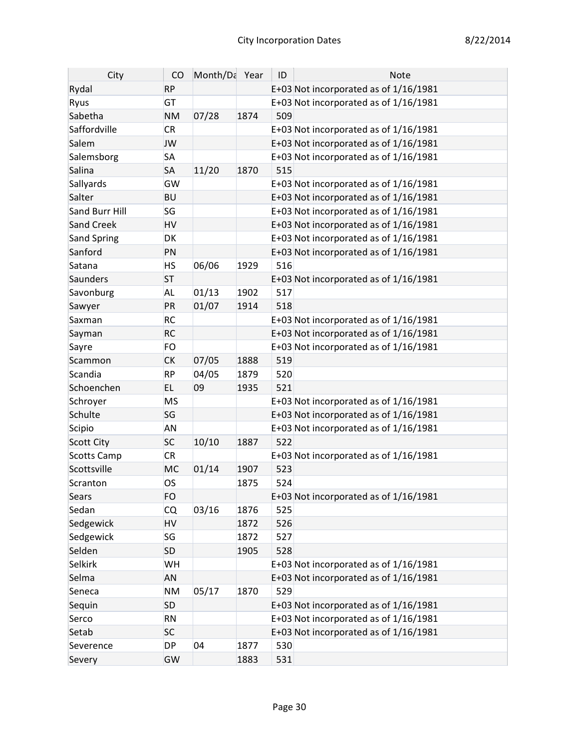| City               | CO        | Month/Da Year |      | ID  | <b>Note</b>                             |
|--------------------|-----------|---------------|------|-----|-----------------------------------------|
| Rydal              | <b>RP</b> |               |      |     | E+03 Not incorporated as of 1/16/1981   |
| Ryus               | <b>GT</b> |               |      |     | E+03 Not incorporated as of 1/16/1981   |
| Sabetha            | <b>NM</b> | 07/28         | 1874 | 509 |                                         |
| Saffordville       | <b>CR</b> |               |      |     | E+03 Not incorporated as of 1/16/1981   |
| Salem              | <b>JW</b> |               |      |     | E+03 Not incorporated as of 1/16/1981   |
| Salemsborg         | <b>SA</b> |               |      |     | E+03 Not incorporated as of 1/16/1981   |
| Salina             | <b>SA</b> | 11/20         | 1870 | 515 |                                         |
| Sallyards          | GW        |               |      |     | E+03 Not incorporated as of $1/16/1981$ |
| Salter             | <b>BU</b> |               |      |     | E+03 Not incorporated as of 1/16/1981   |
| Sand Burr Hill     | SG        |               |      |     | E+03 Not incorporated as of 1/16/1981   |
| Sand Creek         | <b>HV</b> |               |      |     | E+03 Not incorporated as of 1/16/1981   |
| Sand Spring        | <b>DK</b> |               |      |     | E+03 Not incorporated as of 1/16/1981   |
| Sanford            | PN        |               |      |     | E+03 Not incorporated as of 1/16/1981   |
| Satana             | <b>HS</b> | 06/06         | 1929 | 516 |                                         |
| Saunders           | <b>ST</b> |               |      |     | E+03 Not incorporated as of 1/16/1981   |
| Savonburg          | <b>AL</b> | 01/13         | 1902 | 517 |                                         |
| Sawyer             | PR        | 01/07         | 1914 | 518 |                                         |
| Saxman             | <b>RC</b> |               |      |     | E+03 Not incorporated as of $1/16/1981$ |
| Sayman             | <b>RC</b> |               |      |     | E+03 Not incorporated as of 1/16/1981   |
| Sayre              | <b>FO</b> |               |      |     | E+03 Not incorporated as of 1/16/1981   |
| Scammon            | <b>CK</b> | 07/05         | 1888 | 519 |                                         |
| Scandia            | <b>RP</b> | 04/05         | 1879 | 520 |                                         |
| Schoenchen         | EL.       | 09            | 1935 | 521 |                                         |
| Schroyer           | <b>MS</b> |               |      |     | E+03 Not incorporated as of 1/16/1981   |
| Schulte            | SG        |               |      |     | E+03 Not incorporated as of 1/16/1981   |
| Scipio             | <b>AN</b> |               |      |     | E+03 Not incorporated as of 1/16/1981   |
| <b>Scott City</b>  | <b>SC</b> | 10/10         | 1887 | 522 |                                         |
| <b>Scotts Camp</b> | <b>CR</b> |               |      |     | E+03 Not incorporated as of 1/16/1981   |
| Scottsville        | <b>MC</b> | 01/14         | 1907 | 523 |                                         |
| Scranton           | <b>OS</b> |               | 1875 | 524 |                                         |
| Sears              | <b>FO</b> |               |      |     | E+03 Not incorporated as of 1/16/1981   |
| Sedan              | CQ        | 03/16         | 1876 | 525 |                                         |
| Sedgewick          | <b>HV</b> |               | 1872 | 526 |                                         |
| Sedgewick          | <b>SG</b> |               | 1872 | 527 |                                         |
| Selden             | <b>SD</b> |               | 1905 | 528 |                                         |
| Selkirk            | WH        |               |      |     | E+03 Not incorporated as of $1/16/1981$ |
| Selma              | <b>AN</b> |               |      |     | E+03 Not incorporated as of 1/16/1981   |
| Seneca             | <b>NM</b> | 05/17         | 1870 | 529 |                                         |
| Sequin             | <b>SD</b> |               |      |     | E+03 Not incorporated as of 1/16/1981   |
| Serco              | <b>RN</b> |               |      |     | E+03 Not incorporated as of $1/16/1981$ |
| Setab              | <b>SC</b> |               |      |     | E+03 Not incorporated as of 1/16/1981   |
| Severence          | <b>DP</b> | 04            | 1877 | 530 |                                         |
| Severy             | GW        |               | 1883 | 531 |                                         |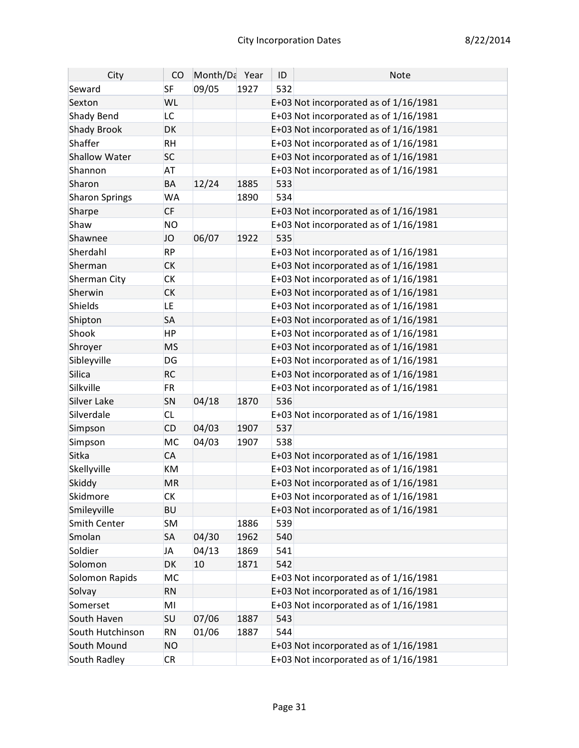| City                  | CO        | Month/Da Year |      | ID  | <b>Note</b>                             |
|-----------------------|-----------|---------------|------|-----|-----------------------------------------|
| Seward                | <b>SF</b> | 09/05         | 1927 | 532 |                                         |
| Sexton                | WL        |               |      |     | E+03 Not incorporated as of 1/16/1981   |
| Shady Bend            | LC        |               |      |     | E+03 Not incorporated as of 1/16/1981   |
| <b>Shady Brook</b>    | DK        |               |      |     | E+03 Not incorporated as of 1/16/1981   |
| Shaffer               | <b>RH</b> |               |      |     | E+03 Not incorporated as of 1/16/1981   |
| <b>Shallow Water</b>  | <b>SC</b> |               |      |     | E+03 Not incorporated as of 1/16/1981   |
| Shannon               | <b>AT</b> |               |      |     | E+03 Not incorporated as of $1/16/1981$ |
| Sharon                | <b>BA</b> | 12/24         | 1885 | 533 |                                         |
| <b>Sharon Springs</b> | <b>WA</b> |               | 1890 | 534 |                                         |
| Sharpe                | <b>CF</b> |               |      |     | E+03 Not incorporated as of 1/16/1981   |
| Shaw                  | <b>NO</b> |               |      |     | E+03 Not incorporated as of 1/16/1981   |
| Shawnee               | JO        | 06/07         | 1922 | 535 |                                         |
| Sherdahl              | <b>RP</b> |               |      |     | E+03 Not incorporated as of 1/16/1981   |
| Sherman               | <b>CK</b> |               |      |     | E+03 Not incorporated as of 1/16/1981   |
| Sherman City          | <b>CK</b> |               |      |     | E+03 Not incorporated as of 1/16/1981   |
| Sherwin               | <b>CK</b> |               |      |     | E+03 Not incorporated as of 1/16/1981   |
| Shields               | LE.       |               |      |     | E+03 Not incorporated as of 1/16/1981   |
| Shipton               | <b>SA</b> |               |      |     | E+03 Not incorporated as of 1/16/1981   |
| Shook                 | <b>HP</b> |               |      |     | E+03 Not incorporated as of 1/16/1981   |
| Shroyer               | <b>MS</b> |               |      |     | E+03 Not incorporated as of 1/16/1981   |
| Sibleyville           | DG        |               |      |     | E+03 Not incorporated as of 1/16/1981   |
| Silica                | <b>RC</b> |               |      |     | E+03 Not incorporated as of 1/16/1981   |
| Silkville             | <b>FR</b> |               |      |     | E+03 Not incorporated as of 1/16/1981   |
| Silver Lake           | SN        | 04/18         | 1870 | 536 |                                         |
| Silverdale            | <b>CL</b> |               |      |     | E+03 Not incorporated as of 1/16/1981   |
| Simpson               | <b>CD</b> | 04/03         | 1907 | 537 |                                         |
| Simpson               | MC        | 04/03         | 1907 | 538 |                                         |
| Sitka                 | CA        |               |      |     | E+03 Not incorporated as of 1/16/1981   |
| Skellyville           | KM        |               |      |     | E+03 Not incorporated as of 1/16/1981   |
| Skiddy                | <b>MR</b> |               |      |     | E+03 Not incorporated as of 1/16/1981   |
| Skidmore              | СK        |               |      |     | E+03 Not incorporated as of 1/16/1981   |
| Smileyville           | <b>BU</b> |               |      |     | E+03 Not incorporated as of 1/16/1981   |
| Smith Center          | <b>SM</b> |               | 1886 | 539 |                                         |
| Smolan                | <b>SA</b> | 04/30         | 1962 | 540 |                                         |
| Soldier               | <b>JA</b> | 04/13         | 1869 | 541 |                                         |
| Solomon               | DK        | 10            | 1871 | 542 |                                         |
| Solomon Rapids        | MC        |               |      |     | E+03 Not incorporated as of $1/16/1981$ |
| Solvay                | <b>RN</b> |               |      |     | E+03 Not incorporated as of 1/16/1981   |
| Somerset              | MI        |               |      |     | E+03 Not incorporated as of 1/16/1981   |
| South Haven           | SU        | 07/06         | 1887 | 543 |                                         |
| South Hutchinson      | <b>RN</b> | 01/06         | 1887 | 544 |                                         |
| South Mound           | <b>NO</b> |               |      |     | E+03 Not incorporated as of 1/16/1981   |
| South Radley          | <b>CR</b> |               |      |     | E+03 Not incorporated as of 1/16/1981   |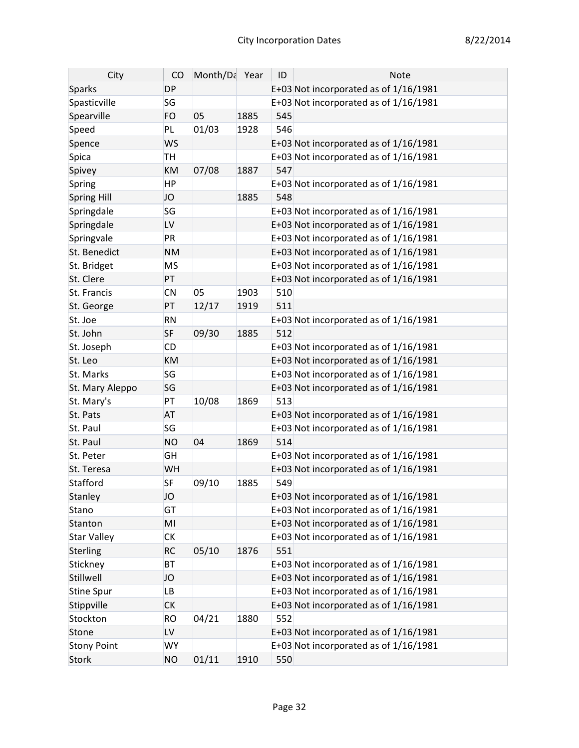| City               | CO        | Month/Da Year |      | ID  | <b>Note</b>                             |
|--------------------|-----------|---------------|------|-----|-----------------------------------------|
| <b>Sparks</b>      | <b>DP</b> |               |      |     | E+03 Not incorporated as of 1/16/1981   |
| Spasticville       | SG        |               |      |     | E+03 Not incorporated as of 1/16/1981   |
| Spearville         | <b>FO</b> | 05            | 1885 | 545 |                                         |
| Speed              | <b>PL</b> | 01/03         | 1928 | 546 |                                         |
| Spence             | <b>WS</b> |               |      |     | E+03 Not incorporated as of 1/16/1981   |
| Spica              | <b>TH</b> |               |      |     | E+03 Not incorporated as of 1/16/1981   |
| Spivey             | <b>KM</b> | 07/08         | 1887 | 547 |                                         |
| Spring             | <b>HP</b> |               |      |     | E+03 Not incorporated as of 1/16/1981   |
| Spring Hill        | JO        |               | 1885 | 548 |                                         |
| Springdale         | SG        |               |      |     | E+03 Not incorporated as of $1/16/1981$ |
| Springdale         | LV        |               |      |     | E+03 Not incorporated as of 1/16/1981   |
| Springvale         | PR        |               |      |     | E+03 Not incorporated as of 1/16/1981   |
| St. Benedict       | <b>NM</b> |               |      |     | E+03 Not incorporated as of 1/16/1981   |
| St. Bridget        | <b>MS</b> |               |      |     | E+03 Not incorporated as of 1/16/1981   |
| St. Clere          | PT        |               |      |     | E+03 Not incorporated as of 1/16/1981   |
| St. Francis        | <b>CN</b> | 05            | 1903 | 510 |                                         |
| St. George         | PT        | 12/17         | 1919 | 511 |                                         |
| St. Joe            | <b>RN</b> |               |      |     | E+03 Not incorporated as of 1/16/1981   |
| St. John           | <b>SF</b> | 09/30         | 1885 | 512 |                                         |
| St. Joseph         | <b>CD</b> |               |      |     | E+03 Not incorporated as of 1/16/1981   |
| St. Leo            | <b>KM</b> |               |      |     | E+03 Not incorporated as of 1/16/1981   |
| St. Marks          | SG        |               |      |     | E+03 Not incorporated as of 1/16/1981   |
| St. Mary Aleppo    | SG        |               |      |     | E+03 Not incorporated as of 1/16/1981   |
| St. Mary's         | PT        | 10/08         | 1869 | 513 |                                         |
| St. Pats           | <b>AT</b> |               |      |     | E+03 Not incorporated as of 1/16/1981   |
| St. Paul           | SG        |               |      |     | E+03 Not incorporated as of 1/16/1981   |
| St. Paul           | <b>NO</b> | 04            | 1869 | 514 |                                         |
| St. Peter          | GH        |               |      |     | E+03 Not incorporated as of 1/16/1981   |
| St. Teresa         | WH        |               |      |     | E+03 Not incorporated as of 1/16/1981   |
| Stafford           | <b>SF</b> | 09/10         | 1885 | 549 |                                         |
| Stanley            | JO        |               |      |     | E+03 Not incorporated as of 1/16/1981   |
| Stano              | <b>GT</b> |               |      |     | E+03 Not incorporated as of $1/16/1981$ |
| Stanton            | MI        |               |      |     | E+03 Not incorporated as of 1/16/1981   |
| <b>Star Valley</b> | <b>CK</b> |               |      |     | E+03 Not incorporated as of 1/16/1981   |
| Sterling           | <b>RC</b> | 05/10         | 1876 | 551 |                                         |
| Stickney           | <b>BT</b> |               |      |     | E+03 Not incorporated as of 1/16/1981   |
| Stillwell          | JO        |               |      |     | E+03 Not incorporated as of 1/16/1981   |
| Stine Spur         | LB        |               |      |     | E+03 Not incorporated as of 1/16/1981   |
| Stippville         | <b>CK</b> |               |      |     | E+03 Not incorporated as of 1/16/1981   |
| Stockton           | <b>RO</b> | 04/21         | 1880 | 552 |                                         |
| Stone              | <b>LV</b> |               |      |     | E+03 Not incorporated as of 1/16/1981   |
| <b>Stony Point</b> | <b>WY</b> |               |      |     | E+03 Not incorporated as of 1/16/1981   |
| <b>Stork</b>       | <b>NO</b> | 01/11         | 1910 | 550 |                                         |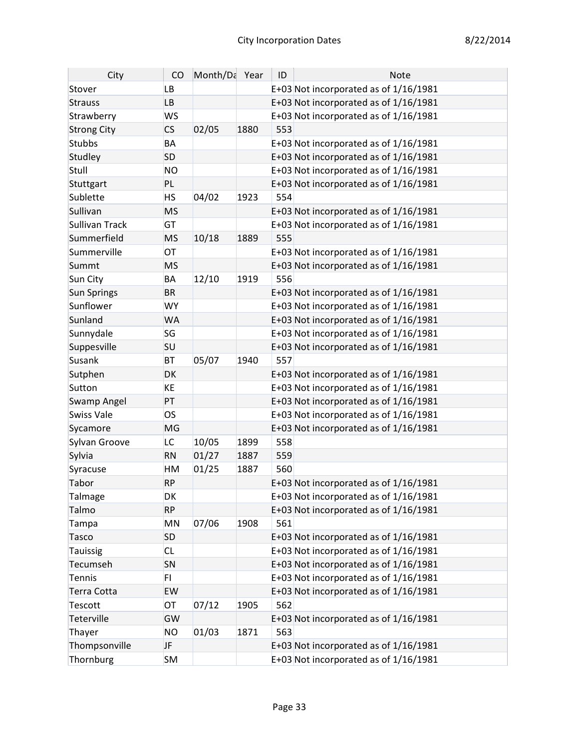| City               | CO        | Month/Da Year |      | ID  | Note                                    |
|--------------------|-----------|---------------|------|-----|-----------------------------------------|
| Stover             | <b>LB</b> |               |      |     | E+03 Not incorporated as of 1/16/1981   |
| <b>Strauss</b>     | <b>LB</b> |               |      |     | E+03 Not incorporated as of 1/16/1981   |
| Strawberry         | <b>WS</b> |               |      |     | E+03 Not incorporated as of 1/16/1981   |
| <b>Strong City</b> | CS        | 02/05         | 1880 | 553 |                                         |
| <b>Stubbs</b>      | BA        |               |      |     | E+03 Not incorporated as of 1/16/1981   |
| Studley            | <b>SD</b> |               |      |     | E+03 Not incorporated as of 1/16/1981   |
| Stull              | <b>NO</b> |               |      |     | E+03 Not incorporated as of 1/16/1981   |
| Stuttgart          | PL        |               |      |     | E+03 Not incorporated as of 1/16/1981   |
| Sublette           | <b>HS</b> | 04/02         | 1923 | 554 |                                         |
| Sullivan           | <b>MS</b> |               |      |     | E+03 Not incorporated as of 1/16/1981   |
| Sullivan Track     | GT        |               |      |     | E+03 Not incorporated as of 1/16/1981   |
| Summerfield        | <b>MS</b> | 10/18         | 1889 | 555 |                                         |
| Summerville        | OT        |               |      |     | E+03 Not incorporated as of 1/16/1981   |
| Summt              | <b>MS</b> |               |      |     | E+03 Not incorporated as of 1/16/1981   |
| Sun City           | BA        | 12/10         | 1919 | 556 |                                         |
| Sun Springs        | <b>BR</b> |               |      |     | E+03 Not incorporated as of 1/16/1981   |
| Sunflower          | <b>WY</b> |               |      |     | E+03 Not incorporated as of 1/16/1981   |
| Sunland            | <b>WA</b> |               |      |     | E+03 Not incorporated as of 1/16/1981   |
| Sunnydale          | SG        |               |      |     | E+03 Not incorporated as of 1/16/1981   |
| Suppesville        | SU        |               |      |     | E+03 Not incorporated as of 1/16/1981   |
| Susank             | <b>BT</b> | 05/07         | 1940 | 557 |                                         |
| Sutphen            | DK        |               |      |     | E+03 Not incorporated as of 1/16/1981   |
| Sutton             | KE        |               |      |     | E+03 Not incorporated as of 1/16/1981   |
| <b>Swamp Angel</b> | PT        |               |      |     | E+03 Not incorporated as of 1/16/1981   |
| <b>Swiss Vale</b>  | <b>OS</b> |               |      |     | E+03 Not incorporated as of 1/16/1981   |
| Sycamore           | MG        |               |      |     | E+03 Not incorporated as of 1/16/1981   |
| Sylvan Groove      | LC        | 10/05         | 1899 | 558 |                                         |
| Sylvia             | <b>RN</b> | 01/27         | 1887 | 559 |                                         |
| Syracuse           | HM        | 01/25         | 1887 | 560 |                                         |
| Tabor              | <b>RP</b> |               |      |     | E+03 Not incorporated as of 1/16/1981   |
| Talmage            | DK        |               |      |     | E+03 Not incorporated as of 1/16/1981   |
| Talmo              | <b>RP</b> |               |      |     | E+03 Not incorporated as of 1/16/1981   |
| Tampa              | MN        | 07/06         | 1908 | 561 |                                         |
| Tasco              | <b>SD</b> |               |      |     | E+03 Not incorporated as of 1/16/1981   |
| Tauissig           | <b>CL</b> |               |      |     | E+03 Not incorporated as of $1/16/1981$ |
| Tecumseh           | SN        |               |      |     | E+03 Not incorporated as of 1/16/1981   |
| <b>Tennis</b>      | FI.       |               |      |     | E+03 Not incorporated as of 1/16/1981   |
| Terra Cotta        | EW        |               |      |     | E+03 Not incorporated as of 1/16/1981   |
| <b>Tescott</b>     | OT        | 07/12         | 1905 | 562 |                                         |
| Teterville         | GW        |               |      |     | E+03 Not incorporated as of 1/16/1981   |
| Thayer             | <b>NO</b> | 01/03         | 1871 | 563 |                                         |
| Thompsonville      | JF        |               |      |     | E+03 Not incorporated as of 1/16/1981   |
| Thornburg          | <b>SM</b> |               |      |     | E+03 Not incorporated as of 1/16/1981   |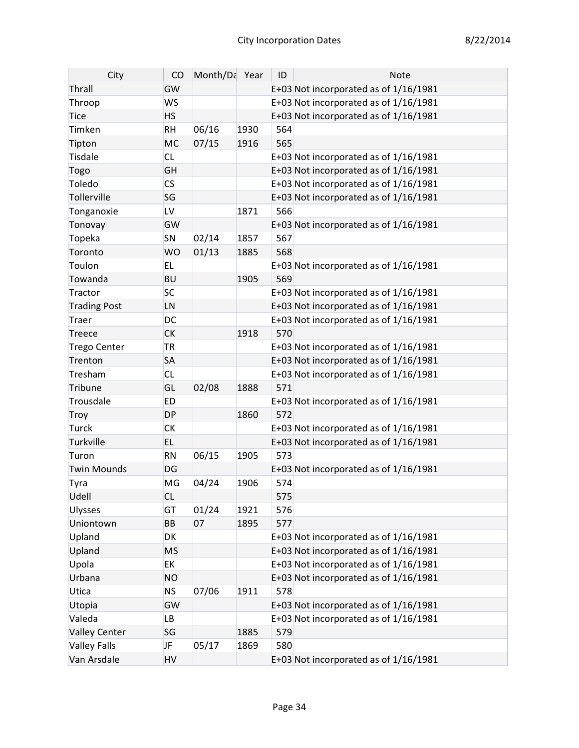| City                 | CO                       | Month/Da Year |      | ID  | Note                                    |
|----------------------|--------------------------|---------------|------|-----|-----------------------------------------|
| Thrall               | GW                       |               |      |     | E+03 Not incorporated as of 1/16/1981   |
| Throop               | <b>WS</b>                |               |      |     | E+03 Not incorporated as of $1/16/1981$ |
| <b>Tice</b>          | <b>HS</b>                |               |      |     | E+03 Not incorporated as of 1/16/1981   |
| Timken               | <b>RH</b>                | 06/16         | 1930 | 564 |                                         |
| Tipton               | <b>MC</b>                | 07/15         | 1916 | 565 |                                         |
| <b>Tisdale</b>       | <b>CL</b>                |               |      |     | E+03 Not incorporated as of 1/16/1981   |
| Togo                 | GH                       |               |      |     | E+03 Not incorporated as of 1/16/1981   |
| Toledo               | $\mathsf{CS}\phantom{0}$ |               |      |     | E+03 Not incorporated as of 1/16/1981   |
| Tollerville          | SG                       |               |      |     | E+03 Not incorporated as of 1/16/1981   |
| Tonganoxie           | LV                       |               | 1871 | 566 |                                         |
| Tonovay              | GW                       |               |      |     | E+03 Not incorporated as of 1/16/1981   |
| Topeka               | SN                       | 02/14         | 1857 | 567 |                                         |
| Toronto              | <b>WO</b>                | 01/13         | 1885 | 568 |                                         |
| Toulon               | <b>EL</b>                |               |      |     | E+03 Not incorporated as of $1/16/1981$ |
| Towanda              | <b>BU</b>                |               | 1905 | 569 |                                         |
| Tractor              | <b>SC</b>                |               |      |     | E+03 Not incorporated as of 1/16/1981   |
| <b>Trading Post</b>  | LN                       |               |      |     | E+03 Not incorporated as of 1/16/1981   |
| Traer                | DC                       |               |      |     | E+03 Not incorporated as of $1/16/1981$ |
| Treece               | <b>CK</b>                |               | 1918 | 570 |                                         |
| <b>Trego Center</b>  | <b>TR</b>                |               |      |     | E+03 Not incorporated as of 1/16/1981   |
| Trenton              | <b>SA</b>                |               |      |     | E+03 Not incorporated as of 1/16/1981   |
| Tresham              | <b>CL</b>                |               |      |     | E+03 Not incorporated as of 1/16/1981   |
| Tribune              | GL                       | 02/08         | 1888 | 571 |                                         |
| Trousdale            | <b>ED</b>                |               |      |     | E+03 Not incorporated as of 1/16/1981   |
| Troy                 | <b>DP</b>                |               | 1860 | 572 |                                         |
| Turck                | <b>CK</b>                |               |      |     | E+03 Not incorporated as of 1/16/1981   |
| Turkville            | EL.                      |               |      |     | E+03 Not incorporated as of 1/16/1981   |
| Turon                | <b>RN</b>                | 06/15         | 1905 | 573 |                                         |
| <b>Twin Mounds</b>   | DG                       |               |      |     | E+03 Not incorporated as of 1/16/1981   |
| Tyra                 | MG                       | 04/24         | 1906 | 574 |                                         |
| Udell                | <b>CL</b>                |               |      | 575 |                                         |
| <b>Ulysses</b>       | GT                       | 01/24         | 1921 | 576 |                                         |
| Uniontown            | BB                       | 07            | 1895 | 577 |                                         |
| Upland               | DK                       |               |      |     | E+03 Not incorporated as of $1/16/1981$ |
| Upland               | MS                       |               |      |     | E+03 Not incorporated as of 1/16/1981   |
| Upola                | EK                       |               |      |     | E+03 Not incorporated as of 1/16/1981   |
| Urbana               | <b>NO</b>                |               |      |     | E+03 Not incorporated as of 1/16/1981   |
| Utica                | <b>NS</b>                | 07/06         | 1911 | 578 |                                         |
| Utopia               | GW                       |               |      |     | E+03 Not incorporated as of 1/16/1981   |
| Valeda               | LB                       |               |      |     | E+03 Not incorporated as of 1/16/1981   |
| <b>Valley Center</b> | SG                       |               | 1885 | 579 |                                         |
| <b>Valley Falls</b>  | JF                       | 05/17         | 1869 | 580 |                                         |
| Van Arsdale          | HV                       |               |      |     | E+03 Not incorporated as of 1/16/1981   |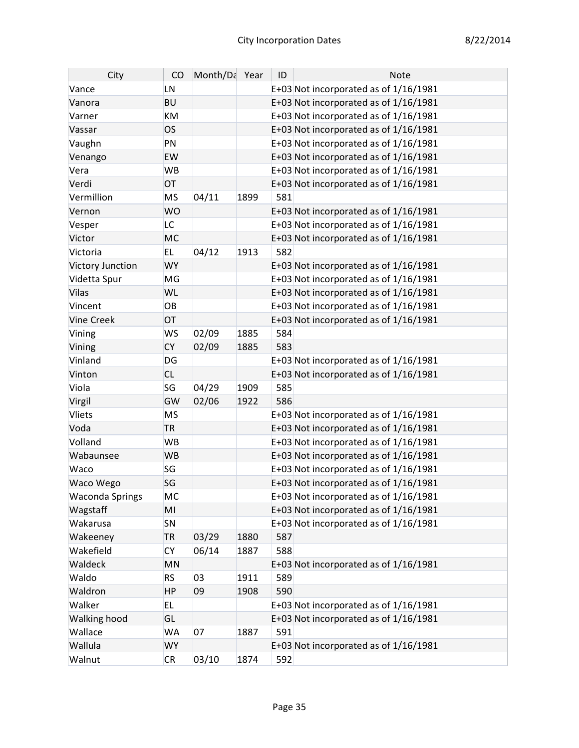| City                   | CO        | Month/Da Year |      | ID  | <b>Note</b>                             |
|------------------------|-----------|---------------|------|-----|-----------------------------------------|
| Vance                  | LN        |               |      |     | E+03 Not incorporated as of 1/16/1981   |
| Vanora                 | <b>BU</b> |               |      |     | E+03 Not incorporated as of 1/16/1981   |
| Varner                 | KM        |               |      |     | E+03 Not incorporated as of 1/16/1981   |
| Vassar                 | <b>OS</b> |               |      |     | E+03 Not incorporated as of 1/16/1981   |
| Vaughn                 | PN        |               |      |     | E+03 Not incorporated as of 1/16/1981   |
| Venango                | EW        |               |      |     | E+03 Not incorporated as of 1/16/1981   |
| Vera                   | WB        |               |      |     | E+03 Not incorporated as of $1/16/1981$ |
| Verdi                  | OT        |               |      |     | E+03 Not incorporated as of 1/16/1981   |
| Vermillion             | <b>MS</b> | 04/11         | 1899 | 581 |                                         |
| Vernon                 | <b>WO</b> |               |      |     | E+03 Not incorporated as of 1/16/1981   |
| Vesper                 | <b>LC</b> |               |      |     | E+03 Not incorporated as of 1/16/1981   |
| Victor                 | <b>MC</b> |               |      |     | E+03 Not incorporated as of 1/16/1981   |
| Victoria               | EL.       | 04/12         | 1913 | 582 |                                         |
| Victory Junction       | <b>WY</b> |               |      |     | E+03 Not incorporated as of 1/16/1981   |
| Videtta Spur           | MG        |               |      |     | E+03 Not incorporated as of 1/16/1981   |
| <b>Vilas</b>           | WL        |               |      |     | E+03 Not incorporated as of 1/16/1981   |
| Vincent                | OB        |               |      |     | E+03 Not incorporated as of 1/16/1981   |
| <b>Vine Creek</b>      | OT        |               |      |     | E+03 Not incorporated as of 1/16/1981   |
| Vining                 | <b>WS</b> | 02/09         | 1885 | 584 |                                         |
| Vining                 | <b>CY</b> | 02/09         | 1885 | 583 |                                         |
| Vinland                | DG        |               |      |     | E+03 Not incorporated as of 1/16/1981   |
| Vinton                 | <b>CL</b> |               |      |     | E+03 Not incorporated as of 1/16/1981   |
| Viola                  | SG        | 04/29         | 1909 | 585 |                                         |
| Virgil                 | GW        | 02/06         | 1922 | 586 |                                         |
| Vliets                 | <b>MS</b> |               |      |     | E+03 Not incorporated as of 1/16/1981   |
| Voda                   | <b>TR</b> |               |      |     | E+03 Not incorporated as of 1/16/1981   |
| Volland                | <b>WB</b> |               |      |     | E+03 Not incorporated as of 1/16/1981   |
| Wabaunsee              | <b>WB</b> |               |      |     | E+03 Not incorporated as of 1/16/1981   |
| Waco                   | SG        |               |      |     | E+03 Not incorporated as of 1/16/1981   |
| Waco Wego              | SG        |               |      |     | E+03 Not incorporated as of 1/16/1981   |
| <b>Waconda Springs</b> | MC        |               |      |     | E+03 Not incorporated as of 1/16/1981   |
| Wagstaff               | MI        |               |      |     | E+03 Not incorporated as of 1/16/1981   |
| Wakarusa               | SN        |               |      |     | E+03 Not incorporated as of 1/16/1981   |
| Wakeeney               | <b>TR</b> | 03/29         | 1880 | 587 |                                         |
| Wakefield              | <b>CY</b> | 06/14         | 1887 | 588 |                                         |
| Waldeck                | MN        |               |      |     | E+03 Not incorporated as of 1/16/1981   |
| Waldo                  | <b>RS</b> | 03            | 1911 | 589 |                                         |
| Waldron                | НP        | 09            | 1908 | 590 |                                         |
| Walker                 | EL        |               |      |     | E+03 Not incorporated as of 1/16/1981   |
| <b>Walking hood</b>    | GL        |               |      |     | E+03 Not incorporated as of 1/16/1981   |
| Wallace                | WA        | 07            | 1887 | 591 |                                         |
| Wallula                | <b>WY</b> |               |      |     | E+03 Not incorporated as of 1/16/1981   |
| Walnut                 | CR        | 03/10         | 1874 | 592 |                                         |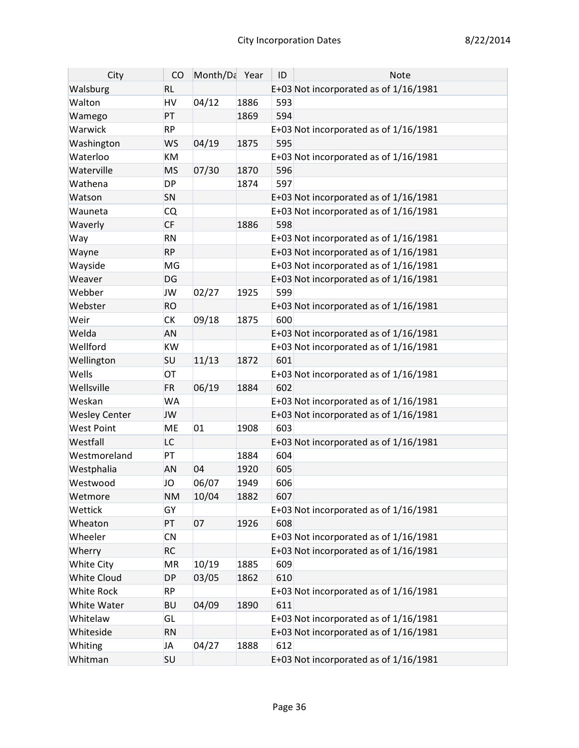| City                 | CO        | Month/Da Year |      | ID  | <b>Note</b>                             |
|----------------------|-----------|---------------|------|-----|-----------------------------------------|
| Walsburg             | <b>RL</b> |               |      |     | E+03 Not incorporated as of 1/16/1981   |
| Walton               | HV        | 04/12         | 1886 | 593 |                                         |
| Wamego               | PT        |               | 1869 | 594 |                                         |
| Warwick              | <b>RP</b> |               |      |     | E+03 Not incorporated as of $1/16/1981$ |
| Washington           | <b>WS</b> | 04/19         | 1875 | 595 |                                         |
| Waterloo             | KM        |               |      |     | E+03 Not incorporated as of 1/16/1981   |
| Waterville           | <b>MS</b> | 07/30         | 1870 | 596 |                                         |
| Wathena              | <b>DP</b> |               | 1874 | 597 |                                         |
| Watson               | SN        |               |      |     | E+03 Not incorporated as of 1/16/1981   |
| Wauneta              | <b>CQ</b> |               |      |     | E+03 Not incorporated as of 1/16/1981   |
| Waverly              | <b>CF</b> |               | 1886 | 598 |                                         |
| Way                  | <b>RN</b> |               |      |     | E+03 Not incorporated as of $1/16/1981$ |
| Wayne                | <b>RP</b> |               |      |     | E+03 Not incorporated as of 1/16/1981   |
| Wayside              | MG        |               |      |     | E+03 Not incorporated as of 1/16/1981   |
| Weaver               | DG        |               |      |     | E+03 Not incorporated as of 1/16/1981   |
| Webber               | <b>JW</b> | 02/27         | 1925 | 599 |                                         |
| Webster              | <b>RO</b> |               |      |     | E+03 Not incorporated as of 1/16/1981   |
| Weir                 | <b>CK</b> | 09/18         | 1875 | 600 |                                         |
| Welda                | AN        |               |      |     | E+03 Not incorporated as of 1/16/1981   |
| Wellford             | KW        |               |      |     | E+03 Not incorporated as of 1/16/1981   |
| Wellington           | <b>SU</b> | 11/13         | 1872 | 601 |                                         |
| Wells                | OT        |               |      |     | E+03 Not incorporated as of 1/16/1981   |
| Wellsville           | <b>FR</b> | 06/19         | 1884 | 602 |                                         |
| Weskan               | <b>WA</b> |               |      |     | E+03 Not incorporated as of 1/16/1981   |
| <b>Wesley Center</b> | <b>JW</b> |               |      |     | E+03 Not incorporated as of 1/16/1981   |
| <b>West Point</b>    | ME        | 01            | 1908 | 603 |                                         |
| Westfall             | LC        |               |      |     | E+03 Not incorporated as of 1/16/1981   |
| Westmoreland         | PT        |               | 1884 | 604 |                                         |
| Westphalia           | <b>AN</b> | 04            | 1920 | 605 |                                         |
| Westwood             | JO        | 06/07         | 1949 | 606 |                                         |
| Wetmore              | <b>NM</b> | 10/04         | 1882 | 607 |                                         |
| Wettick              | GY        |               |      |     | E+03 Not incorporated as of 1/16/1981   |
| Wheaton              | PT        | 07            | 1926 | 608 |                                         |
| Wheeler              | <b>CN</b> |               |      |     | E+03 Not incorporated as of $1/16/1981$ |
| Wherry               | <b>RC</b> |               |      |     | E+03 Not incorporated as of 1/16/1981   |
| White City           | MR        | 10/19         | 1885 | 609 |                                         |
| <b>White Cloud</b>   | <b>DP</b> | 03/05         | 1862 | 610 |                                         |
| White Rock           | <b>RP</b> |               |      |     | E+03 Not incorporated as of $1/16/1981$ |
| White Water          | <b>BU</b> | 04/09         | 1890 | 611 |                                         |
| Whitelaw             | GL        |               |      |     | E+03 Not incorporated as of 1/16/1981   |
| Whiteside            | <b>RN</b> |               |      |     | E+03 Not incorporated as of 1/16/1981   |
| Whiting              | JA        | 04/27         | 1888 | 612 |                                         |
| Whitman              | <b>SU</b> |               |      |     | E+03 Not incorporated as of 1/16/1981   |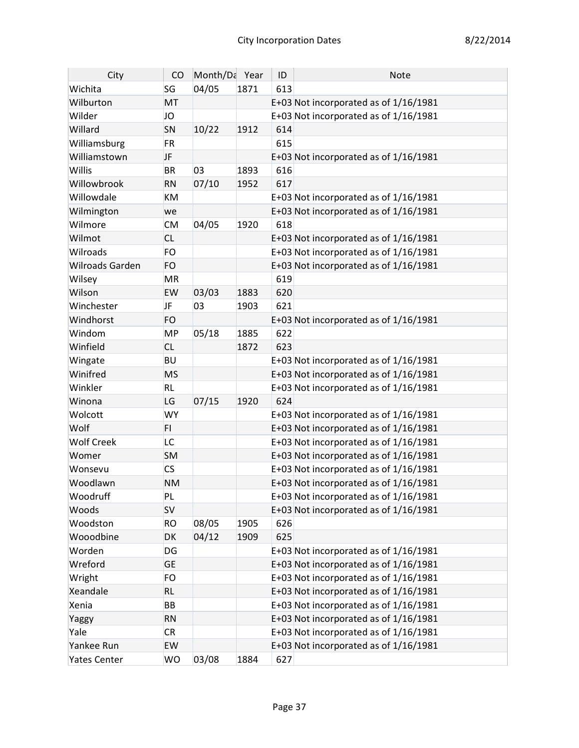| City                | CO        | Month/Da Year |      | ID  | <b>Note</b>                             |
|---------------------|-----------|---------------|------|-----|-----------------------------------------|
| Wichita             | SG        | 04/05         | 1871 | 613 |                                         |
| Wilburton           | MT        |               |      |     | E+03 Not incorporated as of 1/16/1981   |
| Wilder              | JO        |               |      |     | E+03 Not incorporated as of 1/16/1981   |
| Willard             | SN        | 10/22         | 1912 | 614 |                                         |
| Williamsburg        | <b>FR</b> |               |      | 615 |                                         |
| Williamstown        | <b>JF</b> |               |      |     | E+03 Not incorporated as of 1/16/1981   |
| Willis              | <b>BR</b> | 03            | 1893 | 616 |                                         |
| Willowbrook         | <b>RN</b> | 07/10         | 1952 | 617 |                                         |
| Willowdale          | KM        |               |      |     | E+03 Not incorporated as of $1/16/1981$ |
| Wilmington          | we        |               |      |     | E+03 Not incorporated as of 1/16/1981   |
| Wilmore             | <b>CM</b> | 04/05         | 1920 | 618 |                                         |
| Wilmot              | <b>CL</b> |               |      |     | E+03 Not incorporated as of 1/16/1981   |
| Wilroads            | <b>FO</b> |               |      |     | E+03 Not incorporated as of $1/16/1981$ |
| Wilroads Garden     | FO        |               |      |     | E+03 Not incorporated as of 1/16/1981   |
| Wilsey              | MR        |               |      | 619 |                                         |
| Wilson              | EW        | 03/03         | 1883 | 620 |                                         |
| Winchester          | <b>JF</b> | 03            | 1903 | 621 |                                         |
| Windhorst           | FO        |               |      |     | E+03 Not incorporated as of 1/16/1981   |
| Windom              | <b>MP</b> | 05/18         | 1885 | 622 |                                         |
| Winfield            | <b>CL</b> |               | 1872 | 623 |                                         |
| Wingate             | <b>BU</b> |               |      |     | E+03 Not incorporated as of 1/16/1981   |
| Winifred            | <b>MS</b> |               |      |     | E+03 Not incorporated as of 1/16/1981   |
| Winkler             | <b>RL</b> |               |      |     | E+03 Not incorporated as of 1/16/1981   |
| Winona              | LG        | 07/15         | 1920 | 624 |                                         |
| Wolcott             | <b>WY</b> |               |      |     | E+03 Not incorporated as of 1/16/1981   |
| Wolf                | FI.       |               |      |     | E+03 Not incorporated as of 1/16/1981   |
| <b>Wolf Creek</b>   | LC        |               |      |     | E+03 Not incorporated as of 1/16/1981   |
| Womer               | <b>SM</b> |               |      |     | E+03 Not incorporated as of 1/16/1981   |
| Wonsevu             | <b>CS</b> |               |      |     | E+03 Not incorporated as of 1/16/1981   |
| Woodlawn            | <b>NM</b> |               |      |     | E+03 Not incorporated as of 1/16/1981   |
| Woodruff            | PL        |               |      |     | E+03 Not incorporated as of $1/16/1981$ |
| Woods               | SV        |               |      |     | E+03 Not incorporated as of 1/16/1981   |
| Woodston            | <b>RO</b> | 08/05         | 1905 | 626 |                                         |
| Wooodbine           | DK        | 04/12         | 1909 | 625 |                                         |
| Worden              | DG        |               |      |     | E+03 Not incorporated as of 1/16/1981   |
| Wreford             | <b>GE</b> |               |      |     | E+03 Not incorporated as of 1/16/1981   |
| Wright              | FO        |               |      |     | E+03 Not incorporated as of 1/16/1981   |
| Xeandale            | <b>RL</b> |               |      |     | E+03 Not incorporated as of 1/16/1981   |
| Xenia               | BB        |               |      |     | E+03 Not incorporated as of 1/16/1981   |
| Yaggy               | <b>RN</b> |               |      |     | E+03 Not incorporated as of 1/16/1981   |
| Yale                | <b>CR</b> |               |      |     | E+03 Not incorporated as of 1/16/1981   |
| Yankee Run          | EW        |               |      |     | E+03 Not incorporated as of 1/16/1981   |
| <b>Yates Center</b> | <b>WO</b> | 03/08         | 1884 | 627 |                                         |